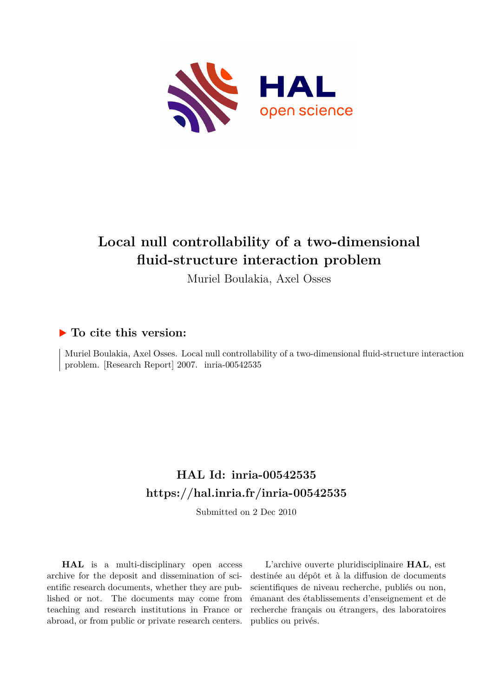

# **Local null controllability of a two-dimensional fluid-structure interaction problem**

Muriel Boulakia, Axel Osses

## **To cite this version:**

Muriel Boulakia, Axel Osses. Local null controllability of a two-dimensional fluid-structure interaction problem. [Research Report] 2007. inria-00542535

## **HAL Id: inria-00542535 <https://hal.inria.fr/inria-00542535>**

Submitted on 2 Dec 2010

**HAL** is a multi-disciplinary open access archive for the deposit and dissemination of scientific research documents, whether they are published or not. The documents may come from teaching and research institutions in France or abroad, or from public or private research centers.

L'archive ouverte pluridisciplinaire **HAL**, est destinée au dépôt et à la diffusion de documents scientifiques de niveau recherche, publiés ou non, émanant des établissements d'enseignement et de recherche français ou étrangers, des laboratoires publics ou privés.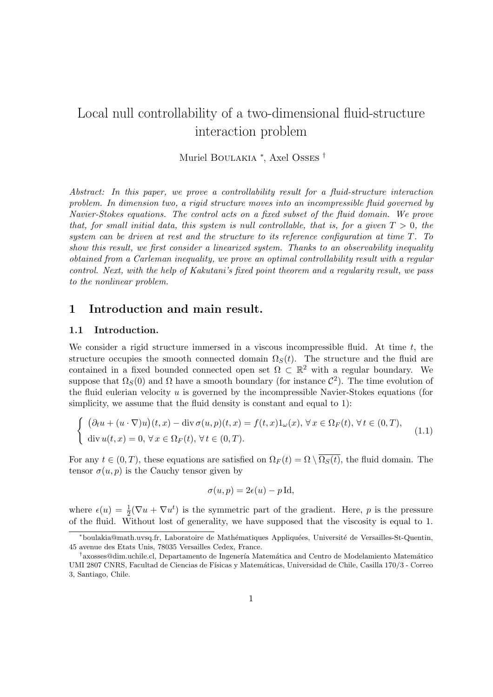## Local null controllability of a two-dimensional fluid-structure interaction problem

Muriel Boulakia <sup>∗</sup> , Axel Osses †

Abstract: In this paper, we prove a controllability result for a fluid-structure interaction problem. In dimension two, a rigid structure moves into an incompressible fluid governed by Navier-Stokes equations. The control acts on a fixed subset of the fluid domain. We prove that, for small initial data, this system is null controllable, that is, for a given  $T > 0$ , the system can be driven at rest and the structure to its reference configuration at time T. To show this result, we first consider a linearized system. Thanks to an observability inequality obtained from a Carleman inequality, we prove an optimal controllability result with a regular control. Next, with the help of Kakutani's fixed point theorem and a regularity result, we pass to the nonlinear problem.

## 1 Introduction and main result.

#### 1.1 Introduction.

We consider a rigid structure immersed in a viscous incompressible fluid. At time  $t$ , the structure occupies the smooth connected domain  $\Omega_s(t)$ . The structure and the fluid are contained in a fixed bounded connected open set  $\Omega \subset \mathbb{R}^2$  with a regular boundary. We suppose that  $\Omega_S(0)$  and  $\Omega$  have a smooth boundary (for instance  $\mathcal{C}^2$ ). The time evolution of the fluid eulerian velocity  $u$  is governed by the incompressible Navier-Stokes equations (for simplicity, we assume that the fluid density is constant and equal to 1):

$$
\begin{cases} (\partial_t u + (u \cdot \nabla)u)(t, x) - \text{div}\,\sigma(u, p)(t, x) = f(t, x)1_\omega(x), \,\forall x \in \Omega_F(t), \,\forall t \in (0, T),\\ \text{div}\,u(t, x) = 0, \,\forall x \in \Omega_F(t), \,\forall t \in (0, T). \end{cases}
$$
\n(1.1)

For any  $t \in (0, T)$ , these equations are satisfied on  $\Omega_F(t) = \Omega \setminus \overline{\Omega_S(t)}$ , the fluid domain. The tensor  $\sigma(u, p)$  is the Cauchy tensor given by

$$
\sigma(u, p) = 2\epsilon(u) - p \operatorname{Id},
$$

where  $\epsilon(u) = \frac{1}{2}(\nabla u + \nabla u^t)$  is the symmetric part of the gradient. Here, p is the pressure of the fluid. Without lost of generality, we have supposed that the viscosity is equal to 1.

<sup>\*</sup>boulakia@math.uvsq.fr, Laboratoire de Mathématiques Appliquées, Université de Versailles-St-Quentin, 45 avenue des Etats Unis, 78035 Versailles Cedex, France.

<sup>&</sup>lt;sup>†</sup>axosses@dim.uchile.cl, Departamento de Ingenería Matemática and Centro de Modelamiento Matemático UMI 2807 CNRS, Facultad de Ciencias de Físicas y Matemáticas, Universidad de Chile, Casilla 170/3 - Correo 3, Santiago, Chile.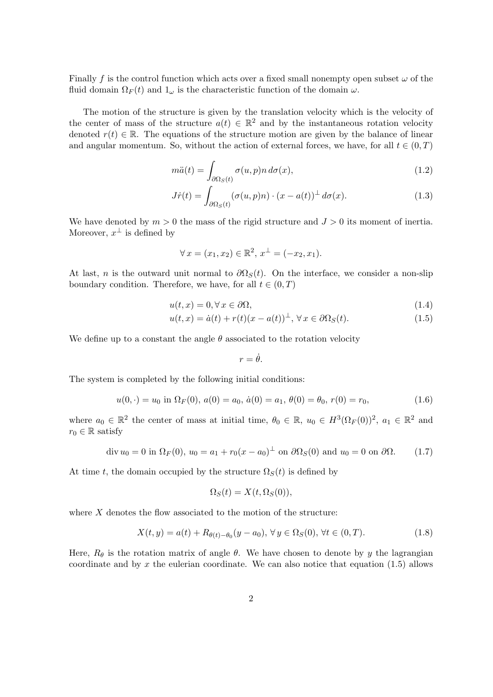Finally f is the control function which acts over a fixed small nonempty open subset  $\omega$  of the fluid domain  $\Omega_F(t)$  and  $1_{\omega}$  is the characteristic function of the domain  $\omega$ .

The motion of the structure is given by the translation velocity which is the velocity of the center of mass of the structure  $a(t) \in \mathbb{R}^2$  and by the instantaneous rotation velocity denoted  $r(t) \in \mathbb{R}$ . The equations of the structure motion are given by the balance of linear and angular momentum. So, without the action of external forces, we have, for all  $t \in (0, T)$ 

$$
m\ddot{a}(t) = \int_{\partial\Omega_S(t)} \sigma(u, p) n \, d\sigma(x),\tag{1.2}
$$

$$
J\dot{r}(t) = \int_{\partial\Omega_S(t)} (\sigma(u, p)n) \cdot (x - a(t))^{\perp} d\sigma(x).
$$
 (1.3)

We have denoted by  $m > 0$  the mass of the rigid structure and  $J > 0$  its moment of inertia. Moreover,  $x^{\perp}$  is defined by

$$
\forall x = (x_1, x_2) \in \mathbb{R}^2, x^{\perp} = (-x_2, x_1).
$$

At last, n is the outward unit normal to  $\partial\Omega_s(t)$ . On the interface, we consider a non-slip boundary condition. Therefore, we have, for all  $t \in (0, T)$ 

$$
u(t,x) = 0, \forall x \in \partial\Omega,\tag{1.4}
$$

$$
u(t,x) = \dot{a}(t) + r(t)(x - a(t))^\perp, \forall x \in \partial \Omega_S(t).
$$
\n(1.5)

We define up to a constant the angle  $\theta$  associated to the rotation velocity

$$
r=\dot{\theta}.
$$

The system is completed by the following initial conditions:

$$
u(0, \cdot) = u_0 \text{ in } \Omega_F(0), \ a(0) = a_0, \ \dot{a}(0) = a_1, \ \theta(0) = \theta_0, \ r(0) = r_0,
$$
\n
$$
(1.6)
$$

where  $a_0 \in \mathbb{R}^2$  the center of mass at initial time,  $\theta_0 \in \mathbb{R}$ ,  $u_0 \in H^3(\Omega_F(0))^2$ ,  $a_1 \in \mathbb{R}^2$  and  $r_0 \in \mathbb{R}$  satisfy

$$
\operatorname{div} u_0 = 0 \text{ in } \Omega_F(0), u_0 = a_1 + r_0(x - a_0)^{\perp} \text{ on } \partial\Omega_S(0) \text{ and } u_0 = 0 \text{ on } \partial\Omega. \tag{1.7}
$$

At time t, the domain occupied by the structure  $\Omega_S(t)$  is defined by

$$
\Omega_S(t) = X(t, \Omega_S(0)),
$$

where  $X$  denotes the flow associated to the motion of the structure:

$$
X(t, y) = a(t) + R_{\theta(t) - \theta_0}(y - a_0), \forall y \in \Omega_S(0), \forall t \in (0, T).
$$
 (1.8)

Here,  $R_{\theta}$  is the rotation matrix of angle  $\theta$ . We have chosen to denote by y the lagrangian coordinate and by x the eulerian coordinate. We can also notice that equation  $(1.5)$  allows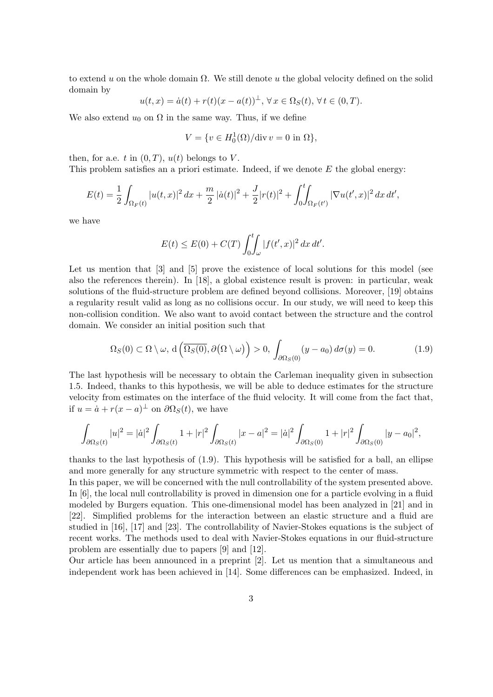to extend u on the whole domain  $\Omega$ . We still denote u the global velocity defined on the solid domain by

$$
u(t,x) = \dot{a}(t) + r(t)(x - a(t))^\perp, \forall x \in \Omega_S(t), \forall t \in (0,T).
$$

We also extend  $u_0$  on  $\Omega$  in the same way. Thus, if we define

$$
V = \{ v \in H_0^1(\Omega) / \text{div } v = 0 \text{ in } \Omega \},
$$

then, for a.e. t in  $(0, T)$ ,  $u(t)$  belongs to V.

This problem satisfies an a priori estimate. Indeed, if we denote  $E$  the global energy:

$$
E(t) = \frac{1}{2} \int_{\Omega_F(t)} |u(t,x)|^2 dx + \frac{m}{2} |\dot{a}(t)|^2 + \frac{J}{2} |r(t)|^2 + \int_0^t \int_{\Omega_F(t')} |\nabla u(t',x)|^2 dx dt',
$$

we have

$$
E(t) \le E(0) + C(T) \int_0^t \int_{\omega} |f(t', x)|^2 dx dt'.
$$

Let us mention that [3] and [5] prove the existence of local solutions for this model (see also the references therein). In [18], a global existence result is proven: in particular, weak solutions of the fluid-structure problem are defined beyond collisions. Moreover, [19] obtains a regularity result valid as long as no collisions occur. In our study, we will need to keep this non-collision condition. We also want to avoid contact between the structure and the control domain. We consider an initial position such that

$$
\Omega_S(0) \subset \Omega \setminus \omega, \, d\left(\overline{\Omega_S(0)}, \partial(\Omega \setminus \omega)\right) > 0, \, \int_{\partial\Omega_S(0)} (y - a_0) \, d\sigma(y) = 0. \tag{1.9}
$$

The last hypothesis will be necessary to obtain the Carleman inequality given in subsection 1.5. Indeed, thanks to this hypothesis, we will be able to deduce estimates for the structure velocity from estimates on the interface of the fluid velocity. It will come from the fact that, if  $u = \dot{a} + r(x - a)^{\perp}$  on  $\partial \Omega_S(t)$ , we have

$$
\int_{\partial\Omega_S(t)} |u|^2 = |\dot{a}|^2 \int_{\partial\Omega_S(t)} 1 + |r|^2 \int_{\partial\Omega_S(t)} |x - a|^2 = |\dot{a}|^2 \int_{\partial\Omega_S(0)} 1 + |r|^2 \int_{\partial\Omega_S(0)} |y - a_0|^2,
$$

thanks to the last hypothesis of (1.9). This hypothesis will be satisfied for a ball, an ellipse and more generally for any structure symmetric with respect to the center of mass.

In this paper, we will be concerned with the null controllability of the system presented above. In [6], the local null controllability is proved in dimension one for a particle evolving in a fluid modeled by Burgers equation. This one-dimensional model has been analyzed in [21] and in [22]. Simplified problems for the interaction between an elastic structure and a fluid are studied in [16], [17] and [23]. The controllability of Navier-Stokes equations is the subject of recent works. The methods used to deal with Navier-Stokes equations in our fluid-structure problem are essentially due to papers [9] and [12].

Our article has been announced in a preprint [2]. Let us mention that a simultaneous and independent work has been achieved in [14]. Some differences can be emphasized. Indeed, in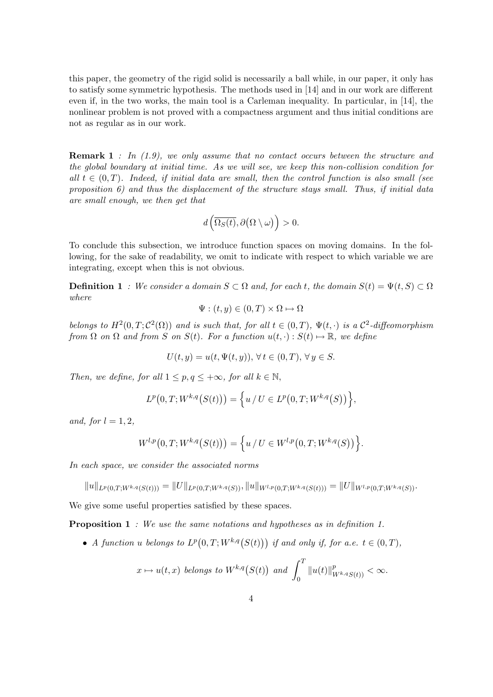this paper, the geometry of the rigid solid is necessarily a ball while, in our paper, it only has to satisfy some symmetric hypothesis. The methods used in [14] and in our work are different even if, in the two works, the main tool is a Carleman inequality. In particular, in [14], the nonlinear problem is not proved with a compactness argument and thus initial conditions are not as regular as in our work.

**Remark 1** : In  $(1.9)$ , we only assume that no contact occurs between the structure and the global boundary at initial time. As we will see, we keep this non-collision condition for all  $t \in (0,T)$ . Indeed, if initial data are small, then the control function is also small (see proposition 6) and thus the displacement of the structure stays small. Thus, if initial data are small enough, we then get that

$$
d\left(\overline{\Omega_S(t)},\partial\big(\Omega\setminus\omega\big)\right)>0.
$$

To conclude this subsection, we introduce function spaces on moving domains. In the following, for the sake of readability, we omit to indicate with respect to which variable we are integrating, except when this is not obvious.

**Definition 1** : We consider a domain  $S \subset \Omega$  and, for each t, the domain  $S(t) = \Psi(t, S) \subset \Omega$ where

$$
\Psi: (t,y) \in (0,T) \times \Omega \mapsto \Omega
$$

belongs to  $H^2(0,T;\mathcal{C}^2(\Omega))$  and is such that, for all  $t \in (0,T)$ ,  $\Psi(t,\cdot)$  is a  $\mathcal{C}^2$ -diffeomorphism from  $\Omega$  on  $\Omega$  and from S on  $S(t)$ . For a function  $u(t, \cdot) : S(t) \mapsto \mathbb{R}$ , we define

$$
U(t, y) = u(t, \Psi(t, y)), \forall t \in (0, T), \forall y \in S.
$$

Then, we define, for all  $1 \leq p, q \leq +\infty$ , for all  $k \in \mathbb{N}$ ,

$$
L^{p}(0,T;W^{k,q}(S(t))) = \left\{ u \mid U \in L^{p}(0,T;W^{k,q}(S)) \right\},\
$$

and, for  $l = 1, 2$ ,

$$
W^{l,p}(0,T;W^{k,q}(S(t))) = \left\{ u \mid U \in W^{l,p}(0,T;W^{k,q}(S)) \right\}.
$$

In each space, we consider the associated norms

 $||u||_{L^p(0,T;W^{k,q}(S(t)))} = ||U||_{L^p(0,T;W^{k,q}(S))}, ||u||_{W^{l,p}(0,T;W^{k,q}(S(t)))} = ||U||_{W^{l,p}(0,T;W^{k,q}(S))}.$ 

We give some useful properties satisfied by these spaces.

**Proposition 1** : We use the same notations and hypotheses as in definition 1.

• A function u belongs to  $L^p(0,T;W^{k,q}(S(t)))$  if and only if, for a.e.  $t \in (0,T)$ ,

$$
x \mapsto u(t,x) \text{ belongs to } W^{k,q}\big(S(t)\big) \text{ and } \int_0^T \|u(t)\|_{W^{k,q}S(t)}^p < \infty.
$$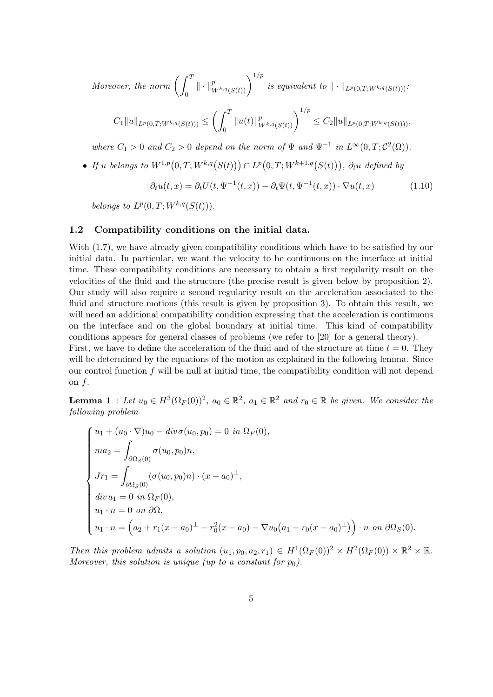Moreover, the norm  $\int^T$  $\int_0^T\|\cdot\|^p_{W^{k,q}(S(t))}\bigg)^{1/p} \textit{ is equivalent to } \|\cdot\|_{L^p(0,T;W^{k,q}(S(t)))}.$ 

$$
C_1 \|u\|_{L^p(0,T;W^{k,q}(S(t)))} \leq \left(\int_0^T \|u(t)\|_{W^{k,q}(S(t))}^p\right)^{1/p} \leq C_2 \|u\|_{L^p(0,T;W^{k,q}(S(t)))},
$$

where  $C_1 > 0$  and  $C_2 > 0$  depend on the norm of  $\Psi$  and  $\Psi^{-1}$  in  $L^{\infty}(0,T; C^2(\Omega))$ .

• If u belongs to  $W^{1,p}(0,T;W^{k,q}(S(t))) \cap L^p(0,T;W^{k+1,q}(S(t))), \partial_t u$  defined by

$$
\partial_t u(t,x) = \partial_t U(t, \Psi^{-1}(t,x)) - \partial_t \Psi(t, \Psi^{-1}(t,x)) \cdot \nabla u(t,x) \tag{1.10}
$$

belongs to  $L^p(0,T;W^{k,q}(S(t)))$ .

#### 1.2 Compatibility conditions on the initial data.

With  $(1.7)$ , we have already given compatibility conditions which have to be satisfied by our initial data. In particular, we want the velocity to be continuous on the interface at initial time. These compatibility conditions are necessary to obtain a first regularity result on the velocities of the fluid and the structure (the precise result is given below by proposition 2). Our study will also require a second regularity result on the acceleration associated to the fluid and structure motions (this result is given by proposition 3). To obtain this result, we will need an additional compatibility condition expressing that the acceleration is continuous on the interface and on the global boundary at initial time. This kind of compatibility conditions appears for general classes of problems (we refer to [20] for a general theory). First, we have to define the acceleration of the fluid and of the structure at time  $t = 0$ . They

will be determined by the equations of the motion as explained in the following lemma. Since our control function  $f$  will be null at initial time, the compatibility condition will not depend on  $f$ .

**Lemma 1** : Let  $u_0 \in H^3(\Omega_F(0))^2$ ,  $a_0 \in \mathbb{R}^2$ ,  $a_1 \in \mathbb{R}^2$  and  $r_0 \in \mathbb{R}$  be given. We consider the following problem

$$
\begin{cases}\nu_1 + (u_0 \cdot \nabla)u_0 - div \sigma(u_0, p_0) = 0 & \text{in } \Omega_F(0), \\
ma_2 = \int_{\partial\Omega_S(0)} \sigma(u_0, p_0) n, \\
Jr_1 = \int_{\partial\Omega_S(0)} (\sigma(u_0, p_0) n) \cdot (x - a_0)^{\perp}, \\
div u_1 = 0 & \text{in } \Omega_F(0), \\
u_1 \cdot n = 0 & \text{on } \partial\Omega, \\
u_1 \cdot n = \left(a_2 + r_1(x - a_0)^{\perp} - r_0^2(x - a_0) - \nabla u_0(a_1 + r_0(x - a_0)^{\perp})\right) \cdot n & \text{on } \partial\Omega_S(0).\n\end{cases}
$$

Then this problem admits a solution  $(u_1, p_0, a_2, r_1) \in H^1(\Omega_F(0))^2 \times H^2(\Omega_F(0)) \times \mathbb{R}^2 \times \mathbb{R}$ . Moreover, this solution is unique (up to a constant for  $p_0$ ).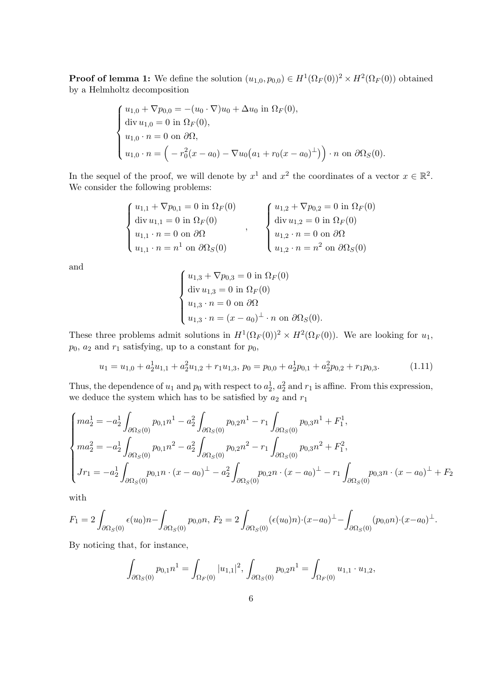**Proof of lemma 1:** We define the solution  $(u_{1,0}, p_{0,0}) \in H^1(\Omega_F(0))^2 \times H^2(\Omega_F(0))$  obtained by a Helmholtz decomposition

$$
\begin{cases}\nu_{1,0} + \nabla p_{0,0} = -(u_0 \cdot \nabla)u_0 + \Delta u_0 \text{ in } \Omega_F(0), \\
\text{div } u_{1,0} = 0 \text{ in } \Omega_F(0), \\
u_{1,0} \cdot n = 0 \text{ on } \partial\Omega, \\
u_{1,0} \cdot n = (-r_0^2(x - a_0) - \nabla u_0(a_1 + r_0(x - a_0)^{\perp})) \cdot n \text{ on } \partial\Omega_S(0).\n\end{cases}
$$

In the sequel of the proof, we will denote by  $x^1$  and  $x^2$  the coordinates of a vector  $x \in \mathbb{R}^2$ . We consider the following problems:

$$
\begin{cases}\nu_{1,1} + \nabla p_{0,1} = 0 \text{ in } \Omega_F(0) \\
\text{div } u_{1,1} = 0 \text{ in } \Omega_F(0) \\
u_{1,1} \cdot n = 0 \text{ on } \partial\Omega \\
u_{1,1} \cdot n = n^1 \text{ on } \partial\Omega_S(0)\n\end{cases},\n\qquad\n\begin{cases}\nu_{1,2} + \nabla p_{0,2} = 0 \text{ in } \Omega_F(0) \\
\text{div } u_{1,2} = 0 \text{ in } \Omega_F(0) \\
u_{1,2} \cdot n = 0 \text{ on } \partial\Omega \\
u_{1,2} \cdot n = n^2 \text{ on } \partial\Omega_S(0)\n\end{cases}
$$

and

$$
\begin{cases}\nu_{1,3} + \nabla p_{0,3} = 0 \text{ in } \Omega_F(0) \\
\text{div } u_{1,3} = 0 \text{ in } \Omega_F(0) \\
u_{1,3} \cdot n = 0 \text{ on } \partial\Omega \\
u_{1,3} \cdot n = (x - a_0)^{\perp} \cdot n \text{ on } \partial\Omega_S(0).\n\end{cases}
$$

These three problems admit solutions in  $H^1(\Omega_F(0))^2 \times H^2(\Omega_F(0))$ . We are looking for  $u_1$ ,  $p_0$ ,  $a_2$  and  $r_1$  satisfying, up to a constant for  $p_0$ ,

$$
u_1 = u_{1,0} + a_2^1 u_{1,1} + a_2^2 u_{1,2} + r_1 u_{1,3}, \ p_0 = p_{0,0} + a_2^1 p_{0,1} + a_2^2 p_{0,2} + r_1 p_{0,3}.
$$
 (1.11)

Thus, the dependence of  $u_1$  and  $p_0$  with respect to  $a_2^1$ ,  $a_2^2$  and  $r_1$  is affine. From this expression, we deduce the system which has to be satisfied by  $a_2$  and  $r_1$ 

$$
\begin{cases}\nma_2^1 = -a_2^1 \int_{\partial \Omega_S(0)} p_{0,1} n^1 - a_2^2 \int_{\partial \Omega_S(0)} p_{0,2} n^1 - r_1 \int_{\partial \Omega_S(0)} p_{0,3} n^1 + F_1^1, \\
ma_2^2 = -a_2^1 \int_{\partial \Omega_S(0)} p_{0,1} n^2 - a_2^2 \int_{\partial \Omega_S(0)} p_{0,2} n^2 - r_1 \int_{\partial \Omega_S(0)} p_{0,3} n^2 + F_1^2, \\
Jr_1 = -a_2^1 \int_{\partial \Omega_S(0)} p_{0,1} n \cdot (x - a_0)^{\perp} - a_2^2 \int_{\partial \Omega_S(0)} p_{0,2} n \cdot (x - a_0)^{\perp} - r_1 \int_{\partial \Omega_S(0)} p_{0,3} n \cdot (x - a_0)^{\perp} + F_2\n\end{cases}
$$

with

$$
F_1 = 2 \int_{\partial \Omega_S(0)} \epsilon(u_0) n - \int_{\partial \Omega_S(0)} p_{0,0} n, \ F_2 = 2 \int_{\partial \Omega_S(0)} (\epsilon(u_0) n) \cdot (x - a_0)^{\perp} - \int_{\partial \Omega_S(0)} (p_{0,0} n) \cdot (x - a_0)^{\perp}.
$$

By noticing that, for instance,

$$
\int_{\partial\Omega_S(0)} p_{0,1} n^1 = \int_{\Omega_F(0)} |u_{1,1}|^2, \ \int_{\partial\Omega_S(0)} p_{0,2} n^1 = \int_{\Omega_F(0)} u_{1,1} \cdot u_{1,2},
$$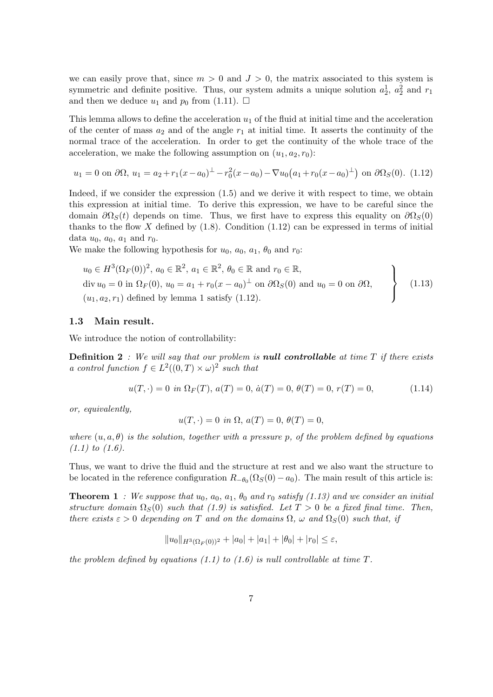we can easily prove that, since  $m > 0$  and  $J > 0$ , the matrix associated to this system is symmetric and definite positive. Thus, our system admits a unique solution  $a_2^1$ ,  $a_2^2$  and  $r_1$ and then we deduce  $u_1$  and  $p_0$  from (1.11).  $\Box$ 

This lemma allows to define the acceleration  $u_1$  of the fluid at initial time and the acceleration of the center of mass  $a_2$  and of the angle  $r_1$  at initial time. It asserts the continuity of the normal trace of the acceleration. In order to get the continuity of the whole trace of the acceleration, we make the following assumption on  $(u_1, a_2, r_0)$ :

$$
u_1 = 0 \text{ on } \partial\Omega, \ u_1 = a_2 + r_1(x - a_0)^{\perp} - r_0^2(x - a_0) - \nabla u_0(a_1 + r_0(x - a_0)^{\perp}) \text{ on } \partial\Omega_S(0). \ (1.12)
$$

Indeed, if we consider the expression (1.5) and we derive it with respect to time, we obtain this expression at initial time. To derive this expression, we have to be careful since the domain  $\partial \Omega_s(t)$  depends on time. Thus, we first have to express this equality on  $\partial \Omega_s(0)$ thanks to the flow X defined by  $(1.8)$ . Condition  $(1.12)$  can be expressed in terms of initial data  $u_0$ ,  $a_0$ ,  $a_1$  and  $r_0$ .

We make the following hypothesis for  $u_0$ ,  $a_0$ ,  $a_1$ ,  $\theta_0$  and  $r_0$ :

$$
u_0 \in H^3(\Omega_F(0))^2, a_0 \in \mathbb{R}^2, a_1 \in \mathbb{R}^2, \theta_0 \in \mathbb{R} \text{ and } r_0 \in \mathbb{R},
$$
  
div  $u_0 = 0$  in  $\Omega_F(0), u_0 = a_1 + r_0(x - a_0)^\perp$  on  $\partial\Omega_S(0)$  and  $u_0 = 0$  on  $\partial\Omega$ ,  
 $(u_1, a_2, r_1)$  defined by lemma 1 satisfy (1.12).

#### 1.3 Main result.

We introduce the notion of controllability:

**Definition 2** : We will say that our problem is **null controllable** at time  $T$  if there exists a control function  $f \in L^2((0,T) \times \omega)^2$  such that

$$
u(T, \cdot) = 0 \text{ in } \Omega_F(T), \ a(T) = 0, \ \dot{a}(T) = 0, \ \theta(T) = 0, \ r(T) = 0,
$$
\n(1.14)

or, equivalently,

$$
u(T, \cdot) = 0
$$
 in  $\Omega$ ,  $a(T) = 0$ ,  $\theta(T) = 0$ ,

where  $(u, a, \theta)$  is the solution, together with a pressure p, of the problem defined by equations  $(1.1)$  to  $(1.6)$ .

Thus, we want to drive the fluid and the structure at rest and we also want the structure to be located in the reference configuration  $R_{-\theta_0}(\Omega_S(0) - a_0)$ . The main result of this article is:

**Theorem 1** : We suppose that  $u_0$ ,  $a_0$ ,  $a_1$ ,  $\theta_0$  and  $r_0$  satisfy (1.13) and we consider an initial structure domain  $\Omega_S(0)$  such that (1.9) is satisfied. Let  $T > 0$  be a fixed final time. Then, there exists  $\varepsilon > 0$  depending on T and on the domains  $\Omega$ ,  $\omega$  and  $\Omega_S(0)$  such that, if

$$
||u_0||_{H^3(\Omega_F(0))^2} + |a_0| + |a_1| + |\theta_0| + |r_0| \le \varepsilon,
$$

the problem defined by equations (1.1) to (1.6) is null controllable at time  $T$ .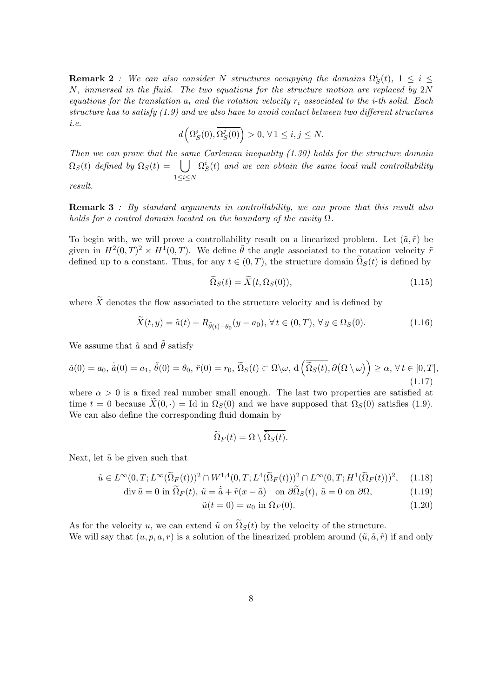**Remark 2** : We can also consider N structures occupying the domains  $\Omega_S^i(t)$ ,  $1 \leq i \leq$  $N$ , immersed in the fluid. The two equations for the structure motion are replaced by  $2N$ equations for the translation  $a_i$  and the rotation velocity  $r_i$  associated to the *i*-th solid. Each structure has to satisfy (1.9) and we also have to avoid contact between two different structures i.e.

$$
d\left(\overline{\Omega_S^i(0)},\overline{\Omega_S^j(0)}\right)>0,\,\forall\,1\leq i,j\leq N.
$$

Then we can prove that the same Carleman inequality (1.30) holds for the structure domain  $\Omega_S(t)$  defined by  $\Omega_S(t) =$   $\bigcup \ \Omega_S^i(t)$  and we can obtain the same local null controllability  $1\leq i\leq N$ 

result.

**Remark 3** : By standard arguments in controllability, we can prove that this result also holds for a control domain located on the boundary of the cavity  $\Omega$ .

To begin with, we will prove a controllability result on a linearized problem. Let  $(\tilde{a}, \tilde{r})$  be given in  $H^2(0,T)^2 \times H^1(0,T)$ . We define  $\tilde{\theta}$  the angle associated to the rotation velocity  $\tilde{r}$ defined up to a constant. Thus, for any  $t \in (0, T)$ , the structure domain  $\Omega_S(t)$  is defined by

$$
\Omega_S(t) = \tilde{X}(t, \Omega_S(0)),\tag{1.15}
$$

where  $\widetilde{X}$  denotes the flow associated to the structure velocity and is defined by

$$
\widetilde{X}(t,y) = \widetilde{a}(t) + R_{\widetilde{\theta}(t) - \theta_0}(y - a_0), \,\forall \, t \in (0,T), \,\forall \, y \in \Omega_S(0). \tag{1.16}
$$

We assume that  $\tilde{a}$  and  $\tilde{\theta}$  satisfy

$$
\tilde{a}(0) = a_0, \,\dot{\tilde{a}}(0) = a_1, \,\tilde{\theta}(0) = \theta_0, \,\tilde{r}(0) = r_0, \,\tilde{\Omega}_S(t) \subset \Omega \setminus \omega, \, d\left(\overline{\tilde{\Omega}_S(t)}, \partial(\Omega \setminus \omega)\right) \ge \alpha, \,\forall \, t \in [0, T],
$$
\n(1.17)

where  $\alpha > 0$  is a fixed real number small enough. The last two properties are satisfied at time  $t = 0$  because  $\hat{X}(0, \cdot) = \text{Id}$  in  $\Omega_S(0)$  and we have supposed that  $\Omega_S(0)$  satisfies (1.9). We can also define the corresponding fluid domain by

$$
\widetilde{\Omega}_F(t) = \Omega \setminus \widetilde{\Omega}_S(t).
$$

Next, let  $\tilde{u}$  be given such that

 $\operatorname{div} \tilde{u} =$ 

$$
\tilde{u} \in L^{\infty}(0,T;L^{\infty}(\tilde{\Omega}_F(t)))^2 \cap W^{1,4}(0,T;L^4(\tilde{\Omega}_F(t)))^2 \cap L^{\infty}(0,T;H^1(\tilde{\Omega}_F(t)))^2, \quad (1.18)
$$

$$
0 \text{ in } \Omega_F(t), \tilde{u} = \dot{\tilde{a}} + \tilde{r}(x - \tilde{a})^{\perp} \text{ on } \partial \Omega_S(t), \tilde{u} = 0 \text{ on } \partial \Omega,
$$
\n(1.19)

$$
\tilde{u}(t=0) = u_0 \text{ in } \Omega_F(0). \tag{1.20}
$$

As for the velocity u, we can extend  $\tilde{u}$  on  $\tilde{\Omega}_S(t)$  by the velocity of the structure. We will say that  $(u, p, a, r)$  is a solution of the linearized problem around  $(\tilde{u}, \tilde{a}, \tilde{r})$  if and only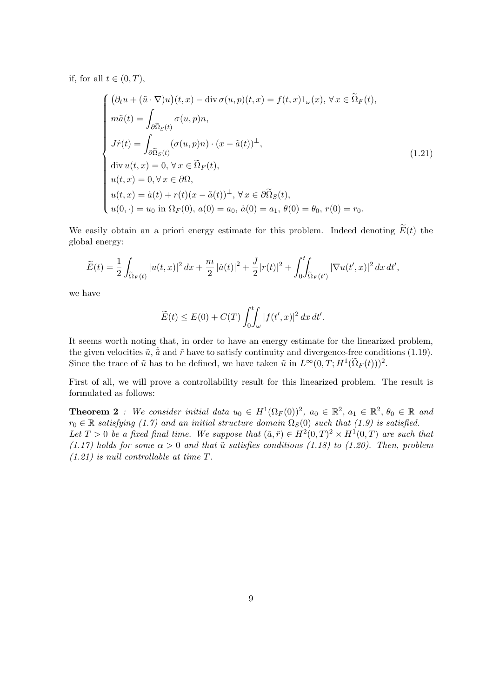if, for all  $t \in (0, T)$ ,

$$
\begin{cases}\n(\partial_t u + (\tilde{u} \cdot \nabla)u)(t, x) - \text{div}\,\sigma(u, p)(t, x) = f(t, x)1_\omega(x), \forall x \in \tilde{\Omega}_F(t), \\
m\ddot{a}(t) = \int_{\partial \tilde{\Omega}_S(t)} \sigma(u, p)n, \\
J\dot{r}(t) = \int_{\partial \tilde{\Omega}_S(t)} (\sigma(u, p)n) \cdot (x - \tilde{a}(t))^{\perp}, \\
\text{div}\,u(t, x) = 0, \forall x \in \tilde{\Omega}_F(t), \\
u(t, x) = 0, \forall x \in \partial\Omega, \\
u(t, x) = \dot{a}(t) + r(t)(x - \tilde{a}(t))^{\perp}, \forall x \in \partial \tilde{\Omega}_S(t), \\
u(0, \cdot) = u_0 \text{ in } \Omega_F(0), a(0) = a_0, \dot{a}(0) = a_1, \theta(0) = \theta_0, r(0) = r_0.\n\end{cases}
$$
\n(1.21)

We easily obtain an a priori energy estimate for this problem. Indeed denoting  $E(t)$  the global energy:

$$
\widetilde{E}(t) = \frac{1}{2} \int_{\widetilde{\Omega}_F(t)} |u(t,x)|^2 \, dx + \frac{m}{2} |\dot{a}(t)|^2 + \frac{J}{2} |r(t)|^2 + \int_0^t \int_{\widetilde{\Omega}_F(t')} |\nabla u(t',x)|^2 \, dx \, dt',
$$

we have

$$
\widetilde{E}(t) \le E(0) + C(T) \int_0^t \int_{\omega} |f(t',x)|^2 dx dt'.
$$

It seems worth noting that, in order to have an energy estimate for the linearized problem, the given velocities  $\tilde{u}$ ,  $\tilde{a}$  and  $\tilde{r}$  have to satisfy continuity and divergence-free conditions (1.19). Since the trace of  $\tilde{u}$  has to be defined, we have taken  $\tilde{u}$  in  $L^{\infty}(0,T;H^{1}(\tilde{\Omega}_{F}(t)))^{2}$ .

First of all, we will prove a controllability result for this linearized problem. The result is formulated as follows:

**Theorem 2**: We consider initial data  $u_0 \in H^1(\Omega_F(0))^2$ ,  $a_0 \in \mathbb{R}^2$ ,  $a_1 \in \mathbb{R}^2$ ,  $\theta_0 \in \mathbb{R}$  and  $r_0 \in \mathbb{R}$  satisfying (1.7) and an initial structure domain  $\Omega_S(0)$  such that (1.9) is satisfied. Let  $T > 0$  be a fixed final time. We suppose that  $(\tilde{a}, \tilde{r}) \in H^2(0,T)^2 \times H^1(0,T)$  are such that (1.17) holds for some  $\alpha > 0$  and that  $\tilde{u}$  satisfies conditions (1.18) to (1.20). Then, problem

 $(1.21)$  is null controllable at time T.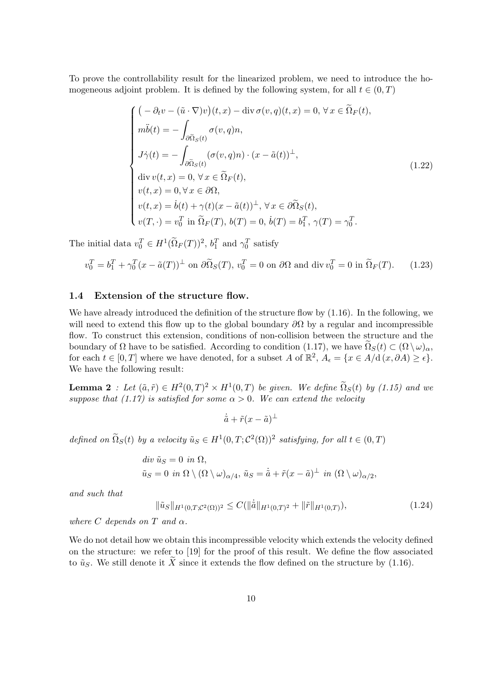To prove the controllability result for the linearized problem, we need to introduce the homogeneous adjoint problem. It is defined by the following system, for all  $t \in (0, T)$ 

$$
\begin{cases}\n\left(-\partial_t v - (\tilde{u} \cdot \nabla)v\right)(t, x) - \text{div }\sigma(v, q)(t, x) = 0, \forall x \in \tilde{\Omega}_F(t), \\
m\ddot{b}(t) = -\int_{\partial \tilde{\Omega}_S(t)} \sigma(v, q)n, \\
J\dot{\gamma}(t) = -\int_{\partial \tilde{\Omega}_S(t)} (\sigma(v, q)n) \cdot (x - \tilde{a}(t))^{\perp}, \\
\text{div } v(t, x) = 0, \forall x \in \tilde{\Omega}_F(t), \\
v(t, x) = 0, \forall x \in \partial\Omega, \\
v(t, x) = \dot{b}(t) + \gamma(t)(x - \tilde{a}(t))^{\perp}, \forall x \in \partial \tilde{\Omega}_S(t), \\
v(T, \cdot) = v_0^T \text{ in } \tilde{\Omega}_F(T), b(T) = 0, \dot{b}(T) = b_1^T, \gamma(T) = \gamma_0^T.\n\end{cases}
$$
\n(1.22)

The initial data  $v_0^T \in H^1(\Omega_F(T))^2$ ,  $b_1^T$  and  $\gamma_0^T$  satisfy

$$
v_0^T = b_1^T + \gamma_0^T (x - \tilde{a}(T))^{\perp} \text{ on } \partial \tilde{\Omega}_S(T), v_0^T = 0 \text{ on } \partial \Omega \text{ and div } v_0^T = 0 \text{ in } \tilde{\Omega}_F(T). \tag{1.23}
$$

### 1.4 Extension of the structure flow.

We have already introduced the definition of the structure flow by  $(1.16)$ . In the following, we will need to extend this flow up to the global boundary  $\partial\Omega$  by a regular and incompressible flow. To construct this extension, conditions of non-collision between the structure and the boundary of  $\Omega$  have to be satisfied. According to condition (1.17), we have  $\Omega_S(t) \subset (\Omega \setminus \omega)_{\alpha}$ , for each  $t \in [0, T]$  where we have denoted, for a subset A of  $\mathbb{R}^2$ ,  $A_{\epsilon} = \{x \in A/\mathrm{d}(x, \partial A) \geq \epsilon\}.$ We have the following result:

**Lemma 2** : Let  $(\tilde{a}, \tilde{r}) \in H^2(0,T)^2 \times H^1(0,T)$  be given. We define  $\tilde{\Omega}_S(t)$  by (1.15) and we suppose that (1.17) is satisfied for some  $\alpha > 0$ . We can extend the velocity

$$
\dot{\tilde{a}} + \tilde{r}(x - \tilde{a})^{\perp}
$$

defined on  $\Omega_S(t)$  by a velocity  $\tilde{u}_S \in H^1(0,T; \mathcal{C}^2(\Omega))^2$  satisfying, for all  $t \in (0,T)$ 

$$
div \tilde{u}_S = 0 \text{ in } \Omega,
$$
  

$$
\tilde{u}_S = 0 \text{ in } \Omega \setminus (\Omega \setminus \omega)_{\alpha/4}, \tilde{u}_S = \dot{\tilde{a}} + \tilde{r}(x - \tilde{a})^{\perp} \text{ in } (\Omega \setminus \omega)_{\alpha/2},
$$

and such that

$$
\|\tilde{u}_S\|_{H^1(0,T;\mathcal{C}^2(\Omega))^2} \le C(\|\dot{\tilde{a}}\|_{H^1(0,T)^2} + \|\tilde{r}\|_{H^1(0,T)}),\tag{1.24}
$$

where C depends on T and  $\alpha$ .

We do not detail how we obtain this incompressible velocity which extends the velocity defined on the structure: we refer to [19] for the proof of this result. We define the flow associated to  $\tilde{u}_S$ . We still denote it  $\tilde{X}$  since it extends the flow defined on the structure by (1.16).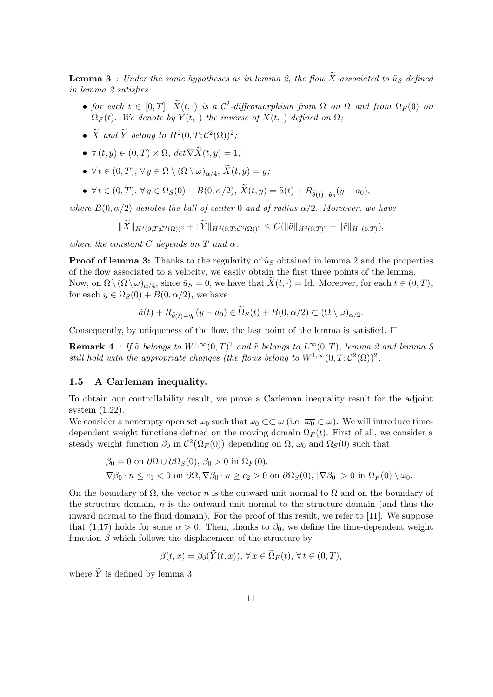**Lemma 3** : Under the same hypotheses as in lemma 2, the flow  $\widetilde{X}$  associated to  $\widetilde{u}_S$  defined in lemma 2 satisfies:

- for each  $t \in [0,T]$ ,  $\widetilde{X}(t, \cdot)$  is a  $\mathcal{C}^2$ -diffeomorphism from  $\Omega$  on  $\Omega$  and from  $\Omega_F(0)$  on  $\widetilde{\Omega}_F(t)$ . We denote by  $\widetilde{Y}(t, \cdot)$  the inverse of  $\widetilde{X}(t, \cdot)$  defined on  $\Omega$ ;
- $\tilde{X}$  and  $\tilde{Y}$  belong to  $H^2(0,T;\mathcal{C}^2(\Omega))^2$ ;
- $\forall (t, y) \in (0, T) \times \Omega$ ,  $\det \nabla \widetilde{X}(t, y) = 1$ ;
- $\forall t \in (0,T), \forall y \in \Omega \setminus (\Omega \setminus \omega)_{\alpha/4}, X(t,y) = y;$
- $\forall t \in (0, T), \forall y \in \Omega_S(0) + B(0, \alpha/2), X(t, y) = \tilde{a}(t) + R_{\tilde{\theta}(t) \theta_0}(y a_0),$

where  $B(0, \alpha/2)$  denotes the ball of center 0 and of radius  $\alpha/2$ . Moreover, we have

$$
\|X\|_{H^2(0,T;\mathcal{C}^2(\Omega))^2} + \|Y\|_{H^2(0,T;\mathcal{C}^2(\Omega))^2} \leq C(\|\tilde{a}\|_{H^2(0,T)^2} + \|\tilde{r}\|_{H^1(0,T)}),
$$

where the constant C depends on T and  $\alpha$ .

**Proof of lemma 3:** Thanks to the regularity of  $\tilde{u}_S$  obtained in lemma 2 and the properties of the flow associated to a velocity, we easily obtain the first three points of the lemma. Now, on  $\Omega \setminus (\Omega \setminus \omega)_{\alpha/4}$ , since  $\tilde{u}_S = 0$ , we have that  $X(t, \cdot) = \text{Id}$ . Moreover, for each  $t \in (0, T)$ , for each  $y \in \Omega_S(0) + B(0, \alpha/2)$ , we have

$$
\tilde{a}(t) + R_{\tilde{\theta}(t) - \theta_0}(y - a_0) \in \Omega_S(t) + B(0, \alpha/2) \subset (\Omega \setminus \omega)_{\alpha/2}.
$$

Consequently, by uniqueness of the flow, the last point of the lemma is satisfied.  $\Box$ 

**Remark 4** : If  $\tilde{a}$  belongs to  $W^{1,\infty}(0,T)^2$  and  $\tilde{r}$  belongs to  $L^{\infty}(0,T)$ , lemma 2 and lemma 3 still hold with the appropriate changes (the flows belong to  $W^{1,\infty}(0,T;\mathcal{C}^2(\Omega))^2$ .

#### 1.5 A Carleman inequality.

To obtain our controllability result, we prove a Carleman inequality result for the adjoint system (1.22).

We consider a nonempty open set  $\omega_0$  such that  $\omega_0 \subset \subset \omega$  (i.e.  $\overline{\omega_0} \subset \omega$ ). We will introduce timedependent weight functions defined on the moving domain  $\Omega_F(t)$ . First of all, we consider a steady weight function  $\beta_0$  in  $\mathcal{C}^2(\overline{\Omega_F(0)})$  depending on  $\Omega$ ,  $\omega_0$  and  $\Omega_S(0)$  such that

$$
\beta_0 = 0 \text{ on } \partial\Omega \cup \partial\Omega_S(0), \ \beta_0 > 0 \text{ in } \Omega_F(0), \nabla\beta_0 \cdot n \le c_1 < 0 \text{ on } \partial\Omega, \nabla\beta_0 \cdot n \ge c_2 > 0 \text{ on } \partial\Omega_S(0), \ |\nabla\beta_0| > 0 \text{ in } \Omega_F(0) \setminus \overline{\omega_0}.
$$

On the boundary of  $\Omega$ , the vector n is the outward unit normal to  $\Omega$  and on the boundary of the structure domain, n is the outward unit normal to the structure domain (and thus the inward normal to the fluid domain). For the proof of this result, we refer to [11]. We suppose that (1.17) holds for some  $\alpha > 0$ . Then, thanks to  $\beta_0$ , we define the time-dependent weight function  $\beta$  which follows the displacement of the structure by

$$
\beta(t,x) = \beta_0(\overline{Y}(t,x)), \forall x \in \Omega_F(t), \forall t \in (0,T),
$$

where  $\widetilde{Y}$  is defined by lemma 3.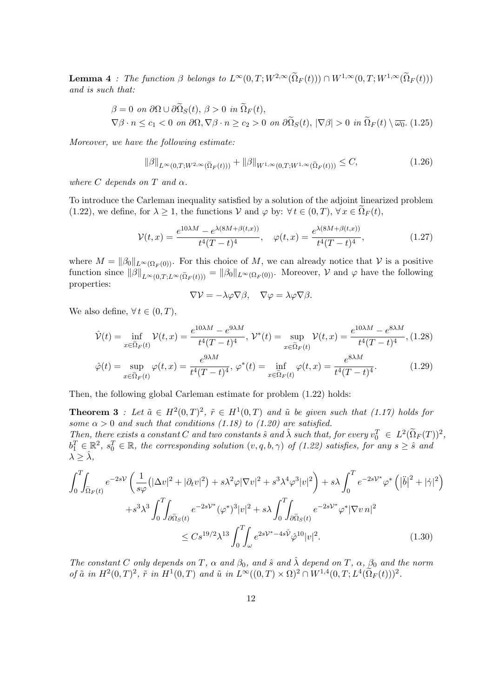**Lemma 4** : The function  $\beta$  belongs to  $L^{\infty}(0,T;W^{2,\infty}(\tilde{\Omega}_F(t))) \cap W^{1,\infty}(0,T;W^{1,\infty}(\tilde{\Omega}_F(t)))$ and is such that:

$$
\beta = 0 \text{ on } \partial\Omega \cup \partial\widetilde{\Omega}_S(t), \ \beta > 0 \text{ in } \widetilde{\Omega}_F(t),
$$
\n
$$
\nabla\beta \cdot n \le c_1 < 0 \text{ on } \partial\Omega, \nabla\beta \cdot n \ge c_2 > 0 \text{ on } \partial\widetilde{\Omega}_S(t), \ |\nabla\beta| > 0 \text{ in } \widetilde{\Omega}_F(t) \setminus \overline{\omega_0}. \ (1.25)
$$

Moreover, we have the following estimate:

$$
\|\beta\|_{L^{\infty}(0,T;W^{2,\infty}(\tilde{\Omega}_F(t)))} + \|\beta\|_{W^{1,\infty}(0,T;W^{1,\infty}(\tilde{\Omega}_F(t)))} \leq C,
$$
\n(1.26)

where C depends on T and  $\alpha$ .

To introduce the Carleman inequality satisfied by a solution of the adjoint linearized problem (1.22), we define, for  $\lambda \geq 1$ , the functions  $\mathcal V$  and  $\varphi$  by:  $\forall t \in (0, T)$ ,  $\forall x \in \Omega_F(t)$ ,

$$
\mathcal{V}(t,x) = \frac{e^{10\lambda M} - e^{\lambda(8M + \beta(t,x))}}{t^4 (T-t)^4}, \quad \varphi(t,x) = \frac{e^{\lambda(8M + \beta(t,x))}}{t^4 (T-t)^4},\tag{1.27}
$$

where  $M = ||\beta_0||_{L^{\infty}(\Omega_F(0))}$ . For this choice of M, we can already notice that V is a positive function since  $\|\beta\|_{L^{\infty}(0,T;L^{\infty}(\tilde{\Omega}_F(t)))} = \|\beta_0\|_{L^{\infty}(\Omega_F(0))}$ . Moreover,  $\mathcal V$  and  $\varphi$  have the following properties:

$$
\nabla \mathcal{V} = -\lambda \varphi \nabla \beta, \quad \nabla \varphi = \lambda \varphi \nabla \beta.
$$

We also define,  $\forall t \in (0, T)$ ,

$$
\hat{\mathcal{V}}(t) = \inf_{x \in \tilde{\Omega}_F(t)} \mathcal{V}(t, x) = \frac{e^{10\lambda M} - e^{9\lambda M}}{t^4 (T - t)^4}, \ \mathcal{V}^*(t) = \sup_{x \in \tilde{\Omega}_F(t)} \mathcal{V}(t, x) = \frac{e^{10\lambda M} - e^{8\lambda M}}{t^4 (T - t)^4}, \ (1.28)
$$
\n
$$
\hat{\varphi}(t) = \sup_{x \in \tilde{\Omega}_F(t)} \varphi(t, x) = \frac{e^{9\lambda M}}{t^4 (T - t)^4}, \ \varphi^*(t) = \inf_{x \in \tilde{\Omega}_F(t)} \varphi(t, x) = \frac{e^{8\lambda M}}{t^4 (T - t)^4}.
$$
\n(1.29)

Then, the following global Carleman estimate for problem (1.22) holds:

**Theorem 3** : Let  $\tilde{a} \in H^2(0,T)^2$ ,  $\tilde{r} \in H^1(0,T)$  and  $\tilde{u}$  be given such that (1.17) holds for some  $\alpha > 0$  and such that conditions (1.18) to (1.20) are satisfied. Then, there exists a constant C and two constants  $\hat{s}$  and  $\hat{\lambda}$  such that, for every  $v_0^T \in L^2(\tilde{\Omega}_F(T))^2$ ,  $b_1^T \in \mathbb{R}^2$ ,  $s_0^T \in \mathbb{R}$ , the corresponding solution  $(v, q, b, \gamma)$  of  $(1.22)$  satisfies, for any  $s \geq \hat{s}$  and  $\lambda \geq \lambda$ ,

$$
\int_{0}^{T} \int_{\tilde{\Omega}_{F}(t)} e^{-2sV} \left( \frac{1}{s\varphi} \left( |\Delta v|^{2} + |\partial_{t} v|^{2} \right) + s\lambda^{2} \varphi |\nabla v|^{2} + s^{3} \lambda^{4} \varphi^{3} |v|^{2} \right) + s\lambda \int_{0}^{T} e^{-2sV^{*}} \varphi^{*} \left( |\ddot{b}|^{2} + |\dot{\gamma}|^{2} \right) \n+ s^{3} \lambda^{3} \int_{0}^{T} \int_{\partial \tilde{\Omega}_{S}(t)} e^{-2sV^{*}} (\varphi^{*})^{3} |v|^{2} + s\lambda \int_{0}^{T} \int_{\partial \tilde{\Omega}_{S}(t)} e^{-2sV^{*}} \varphi^{*} |\nabla v n|^{2} \n\leq C s^{19/2} \lambda^{13} \int_{0}^{T} \int_{\omega} e^{2sV^{*} - 4s\hat{V}} \hat{\varphi}^{10} |v|^{2}.
$$
\n(1.30)

The constant C only depends on T,  $\alpha$  and  $\beta_0$ , and  $\hat{s}$  and  $\hat{\lambda}$  depend on T,  $\alpha$ ,  $\beta_0$  and the norm of  $\tilde{a}$  in  $H^2(0,T)^2$ ,  $\tilde{r}$  in  $H^1(0,T)$  and  $\tilde{u}$  in  $L^{\infty}((0,T)\times \Omega)^2 \cap W^{1,4}(0,T;L^4(\Omega_F(t)))^2$ .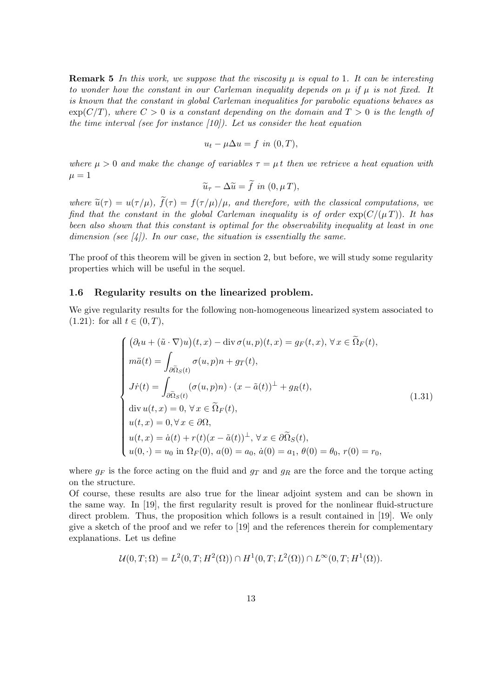**Remark 5** In this work, we suppose that the viscosity  $\mu$  is equal to 1. It can be interesting to wonder how the constant in our Carleman inequality depends on  $\mu$  if  $\mu$  is not fixed. It is known that the constant in global Carleman inequalities for parabolic equations behaves as  $\exp(C/T)$ , where  $C > 0$  is a constant depending on the domain and  $T > 0$  is the length of the time interval (see for instance  $[10]$ ). Let us consider the heat equation

$$
u_t - \mu \Delta u = f \text{ in } (0, T),
$$

where  $\mu > 0$  and make the change of variables  $\tau = \mu t$  then we retrieve a heat equation with  $\mu = 1$ 

$$
\widetilde{u}_{\tau}-\Delta\widetilde{u}=\widetilde{f} \,\,in\,\, (0,\mu\,T),
$$

where  $\tilde{u}(\tau) = u(\tau/\mu)$ ,  $\tilde{f}(\tau) = f(\tau/\mu)/\mu$ , and therefore, with the classical computations, we find that the constant in the global Carleman inequality is of order  $\exp(C/(\mu T))$ . It has been also shown that this constant is optimal for the observability inequality at least in one dimension (see  $\vert 4 \vert$ ). In our case, the situation is essentially the same.

The proof of this theorem will be given in section 2, but before, we will study some regularity properties which will be useful in the sequel.

#### 1.6 Regularity results on the linearized problem.

We give regularity results for the following non-homogeneous linearized system associated to  $(1.21)$ : for all  $t \in (0, T)$ ,

$$
\begin{cases}\n(\partial_t u + (\tilde{u} \cdot \nabla)u)(t, x) - \text{div}\,\sigma(u, p)(t, x) = g_F(t, x), \forall x \in \tilde{\Omega}_F(t), \\
m\ddot{a}(t) = \int_{\partial \tilde{\Omega}_S(t)} \sigma(u, p)n + g_T(t), \\
J\dot{r}(t) = \int_{\partial \tilde{\Omega}_S(t)} (\sigma(u, p)n) \cdot (x - \tilde{a}(t))^{\perp} + g_R(t), \\
\text{div}\,u(t, x) = 0, \forall x \in \tilde{\Omega}_F(t), \\
u(t, x) = 0, \forall x \in \partial \Omega, \\
u(t, x) = \dot{a}(t) + r(t)(x - \tilde{a}(t))^{\perp}, \forall x \in \partial \tilde{\Omega}_S(t), \\
u(0, \cdot) = u_0 \text{ in } \Omega_F(0), a(0) = a_0, \dot{a}(0) = a_1, \theta(0) = \theta_0, r(0) = r_0,\n\end{cases}
$$
\n(1.31)

where  $g_F$  is the force acting on the fluid and  $g_T$  and  $g_R$  are the force and the torque acting on the structure.

Of course, these results are also true for the linear adjoint system and can be shown in the same way. In [19], the first regularity result is proved for the nonlinear fluid-structure direct problem. Thus, the proposition which follows is a result contained in [19]. We only give a sketch of the proof and we refer to [19] and the references therein for complementary explanations. Let us define

$$
\mathcal{U}(0,T;\Omega) = L^{2}(0,T;H^{2}(\Omega)) \cap H^{1}(0,T;L^{2}(\Omega)) \cap L^{\infty}(0,T;H^{1}(\Omega)).
$$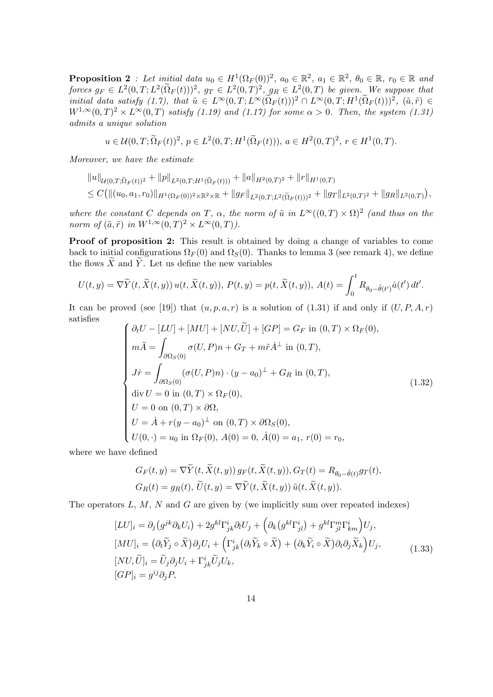**Proposition** 2: Let initial data  $u_0 \in H^1(\Omega_F(0))^2$ ,  $a_0 \in \mathbb{R}^2$ ,  $a_1 \in \mathbb{R}^2$ ,  $\theta_0 \in \mathbb{R}$ ,  $r_0 \in \mathbb{R}$  and forces  $g_F \in L^2(0,T; L^2(\tilde{\Omega}_F(t)))^2$ ,  $g_T \in L^2(0,T)^2$ ,  $g_R \in L^2(0,T)$  be given. We suppose that initial data satisfy  $(1.7)$ , that  $\tilde{u} \in L^{\infty}(0,T; L^{\infty}(\Omega_F(t)))^2 \cap L^{\infty}(0,T; H^1(\Omega_F(t)))^2$ ,  $(\tilde{a}, \tilde{r}) \in$  $W^{1,\infty}(0,T)^2 \times L^{\infty}(0,T)$  satisfy (1.19) and (1.17) for some  $\alpha > 0$ . Then, the system (1.31) admits a unique solution

$$
u \in \mathcal{U}(0,T; \tilde{\Omega}_F(t))^2
$$
,  $p \in L^2(0,T; H^1(\tilde{\Omega}_F(t))), a \in H^2(0,T)^2$ ,  $r \in H^1(0,T)$ .

Moreover, we have the estimate

$$
||u||_{\mathcal{U}(0,T;\tilde{\Omega}_F(t))^2} + ||p||_{L^2(0,T;H^1(\tilde{\Omega}_F(t)))} + ||a||_{H^2(0,T)^2} + ||r||_{H^1(0,T)}
$$
  
\n
$$
\leq C(||(u_0, a_1, r_0)||_{H^1(\Omega_F(0))^2 \times \mathbb{R}^2 \times \mathbb{R}} + ||g_F||_{L^2(0,T;L^2(\tilde{\Omega}_F(t)))^2} + ||g_T||_{L^2(0,T)^2} + ||g_R||_{L^2(0,T)}),
$$

where the constant C depends on T,  $\alpha$ , the norm of  $\tilde{u}$  in  $L^{\infty}((0,T) \times \Omega)^2$  (and thus on the norm of  $(\tilde{a}, \tilde{r})$  in  $W^{1,\infty}(0,T)^2 \times L^{\infty}(0,T)$ ).

Proof of proposition 2: This result is obtained by doing a change of variables to come back to initial configurations  $\Omega_F(0)$  and  $\Omega_S(0)$ . Thanks to lemma 3 (see remark 4), we define the flows  $\overline{X}$  and  $\overline{Y}$ . Let us define the new variables

$$
U(t,y) = \nabla \widetilde{Y}(t, \widetilde{X}(t,y)) u(t, \widetilde{X}(t,y)), P(t,y) = p(t, \widetilde{X}(t,y)), A(t) = \int_0^t R_{\theta_0 - \widetilde{\theta}(t')} \dot{a}(t') dt'.
$$

It can be proved (see [19]) that  $(u, p, a, r)$  is a solution of (1.31) if and only if  $(U, P, A, r)$ satisfies

$$
\begin{cases}\n\partial_t U - [LU] + [MU] + [NU, \tilde{U}] + [GP] = G_F \text{ in } (0, T) \times \Omega_F(0), \\
m\ddot{A} = \int_{\partial\Omega_S(0)} \sigma(U, P)n + G_T + m\tilde{r}\dot{A}^{\perp} \text{ in } (0, T), \\
J\dot{r} = \int_{\partial\Omega_S(0)} (\sigma(U, P)n) \cdot (y - a_0)^{\perp} + G_R \text{ in } (0, T), \\
\text{div } U = 0 \text{ in } (0, T) \times \Omega_F(0), \\
U = 0 \text{ on } (0, T) \times \partial\Omega, \\
U = \dot{A} + r(y - a_0)^{\perp} \text{ on } (0, T) \times \partial\Omega_S(0), \\
U(0, \cdot) = u_0 \text{ in } \Omega_F(0), A(0) = 0, \dot{A}(0) = a_1, r(0) = r_0,\n\end{cases}
$$
\n(1.32)

where we have defined

$$
G_F(t, y) = \nabla \widetilde{Y}(t, \widetilde{X}(t, y)) g_F(t, \widetilde{X}(t, y)), G_T(t) = R_{\theta_0 - \widetilde{\theta}(t)} g_T(t),
$$
  
\n
$$
G_R(t) = g_R(t), \widetilde{U}(t, y) = \nabla \widetilde{Y}(t, \widetilde{X}(t, y)) \widetilde{u}(t, \widetilde{X}(t, y)).
$$

The operators  $L, M, N$  and  $G$  are given by (we implicitly sum over repeated indexes)

$$
[LU]_i = \partial_j (g^{jk} \partial_k U_i) + 2g^{kl} \Gamma^i_{jk} \partial_l U_j + \left( \partial_k (g^{kl} \Gamma^i_{jl}) + g^{kl} \Gamma^m_{jl} \Gamma^i_{km} \right) U_j,
$$
  
\n
$$
[MU]_i = (\partial_t \widetilde{Y}_j \circ \widetilde{X}) \partial_j U_i + \left( \Gamma^i_{jk} (\partial_t \widetilde{Y}_k \circ \widetilde{X}) + (\partial_k \widetilde{Y}_i \circ \widetilde{X}) \partial_t \partial_j \widetilde{X}_k \right) U_j,
$$
  
\n
$$
[NU, \widetilde{U}]_i = \widetilde{U}_j \partial_j U_i + \Gamma^i_{jk} \widetilde{U}_j U_k,
$$
  
\n
$$
[GP]_i = g^{ij} \partial_j P,
$$
\n(1.33)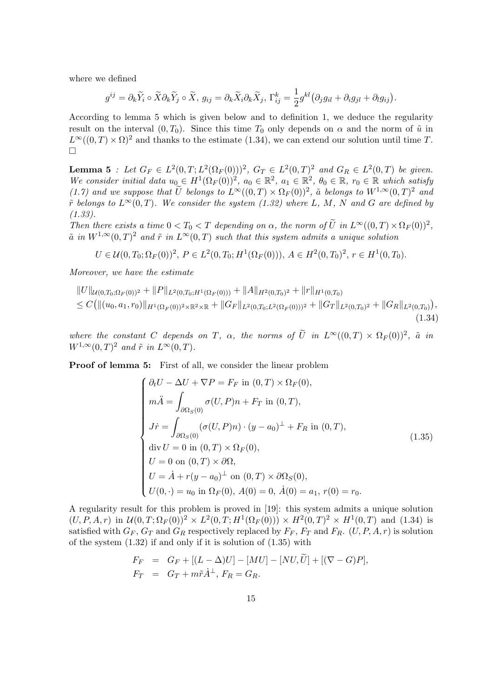where we defined

$$
g^{ij} = \partial_k \widetilde{Y}_i \circ \widetilde{X} \partial_k \widetilde{Y}_j \circ \widetilde{X}, \ g_{ij} = \partial_k \widetilde{X}_i \partial_k \widetilde{X}_j, \ \Gamma_{ij}^k = \frac{1}{2} g^{kl} \big( \partial_j g_{il} + \partial_i g_{jl} + \partial_l g_{ij} \big).
$$

According to lemma 5 which is given below and to definition 1, we deduce the regularity result on the interval  $(0, T_0)$ . Since this time  $T_0$  only depends on  $\alpha$  and the norm of  $\tilde{u}$  in  $L^{\infty}((0,T)\times\Omega)^2$  and thanks to the estimate (1.34), we can extend our solution until time T.  $\Box$ 

**Lemma 5** : Let  $G_F \in L^2(0,T; L^2(\Omega_F(0)))^2$ ,  $G_T \in L^2(0,T)^2$  and  $G_R \in L^2(0,T)$  be given. We consider initial data  $u_0 \in H^1(\Omega_F(0))^2$ ,  $a_0 \in \mathbb{R}^2$ ,  $a_1 \in \mathbb{R}^2$ ,  $\theta_0 \in \mathbb{R}$ ,  $r_0 \in \mathbb{R}$  which satisfy (1.7) and we suppose that  $\tilde{U}$  belongs to  $L^{\infty}((0,T) \times \Omega_F(0))^2$ ,  $\tilde{a}$  belongs to  $W^{1,\infty}(0,T)^2$  and  $\tilde{r}$  belongs to  $L^{\infty}(0,T)$ . We consider the system (1.32) where L, M, N and G are defined by (1.33).

Then there exists a time  $0 < T_0 < T$  depending on  $\alpha$ , the norm of  $\tilde{U}$  in  $L^{\infty}((0,T) \times \Omega_F(0))^2$ ,  $\tilde{a}$  in  $W^{1,\infty}(0,T)^2$  and  $\tilde{r}$  in  $L^{\infty}(0,T)$  such that this system admits a unique solution

$$
U \in \mathcal{U}(0, T_0; \Omega_F(0))^2, P \in L^2(0, T_0; H^1(\Omega_F(0))), A \in H^2(0, T_0)^2, r \in H^1(0, T_0).
$$

Moreover, we have the estimate

$$
||U||_{\mathcal{U}(0,T_0;\Omega_F(0))^2} + ||P||_{L^2(0,T_0;H^1(\Omega_F(0)))} + ||A||_{H^2(0,T_0)^2} + ||r||_{H^1(0,T_0)}
$$
  
\n
$$
\leq C(||(u_0,a_1,r_0)||_{H^1(\Omega_F(0))^2 \times \mathbb{R}^2 \times \mathbb{R}} + ||G_F||_{L^2(0,T_0;L^2(\Omega_F(0)))^2} + ||G_T||_{L^2(0,T_0)^2} + ||G_R||_{L^2(0,T_0)}),
$$
\n(1.34)

where the constant C depends on T,  $\alpha$ , the norms of  $\tilde{U}$  in  $L^{\infty}((0,T) \times \Omega_F(0))^2$ ,  $\tilde{a}$  in  $W^{1,\infty}(0,T)^2$  and  $\tilde{r}$  in  $L^{\infty}(0,T)$ .

Proof of lemma 5: First of all, we consider the linear problem

$$
\begin{cases}\n\partial_t U - \Delta U + \nabla P = F_F \text{ in } (0, T) \times \Omega_F(0), \\
m\ddot{A} = \int_{\partial\Omega_S(0)} \sigma(U, P)n + F_T \text{ in } (0, T), \\
J\dot{r} = \int_{\partial\Omega_S(0)} (\sigma(U, P)n) \cdot (y - a_0)^{\perp} + F_R \text{ in } (0, T), \\
\text{div } U = 0 \text{ in } (0, T) \times \Omega_F(0), \\
U = 0 \text{ on } (0, T) \times \partial\Omega, \\
U = \dot{A} + r(y - a_0)^{\perp} \text{ on } (0, T) \times \partial\Omega_S(0), \\
U(0, \cdot) = u_0 \text{ in } \Omega_F(0), A(0) = 0, \dot{A}(0) = a_1, r(0) = r_0.\n\end{cases}
$$
\n(1.35)

A regularity result for this problem is proved in [19]: this system admits a unique solution  $(U, P, A, r)$  in  $\mathcal{U}(0, T; \Omega_F(0))^2 \times L^2(0, T; H^1(\Omega_F(0))) \times H^2(0, T)^2 \times H^1(0, T)$  and (1.34) is satisfied with  $G_F$ ,  $G_T$  and  $G_R$  respectively replaced by  $F_F$ ,  $F_T$  and  $F_R$ .  $(U, P, A, r)$  is solution of the system  $(1.32)$  if and only if it is solution of  $(1.35)$  with

$$
F_F = G_F + [(L - \Delta)U] - [MU] - [NU, \tilde{U}] + [(\nabla - G)P],
$$
  
\n
$$
F_T = G_T + m\tilde{r}\dot{A}^{\perp}, F_R = G_R.
$$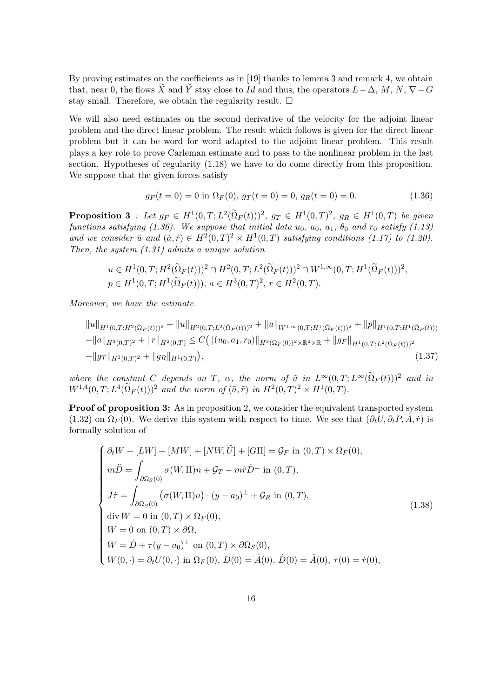By proving estimates on the coefficients as in [19] thanks to lemma 3 and remark 4, we obtain that, near 0, the flows  $\widetilde{X}$  and  $\widetilde{Y}$  stay close to Id and thus, the operators  $L-\Delta$ , M, N,  $\nabla-G$ stay small. Therefore, we obtain the regularity result.  $\Box$ 

We will also need estimates on the second derivative of the velocity for the adjoint linear problem and the direct linear problem. The result which follows is given for the direct linear problem but it can be word for word adapted to the adjoint linear problem. This result plays a key role to prove Carleman estimate and to pass to the nonlinear problem in the last section. Hypotheses of regularity (1.18) we have to do come directly from this proposition. We suppose that the given forces satisfy

$$
g_F(t=0) = 0 \text{ in } \Omega_F(0), \ g_T(t=0) = 0, \ g_R(t=0) = 0. \tag{1.36}
$$

**Proposition 3** : Let  $g_F \in H^1(0,T; L^2(\Omega_F(t)))^2$ ,  $g_T \in H^1(0,T)^2$ ,  $g_R \in H^1(0,T)$  be given functions satisfying (1.36). We suppose that initial data  $u_0$ ,  $a_0$ ,  $a_1$ ,  $\theta_0$  and  $r_0$  satisfy (1.13) and we consider  $\tilde{u}$  and  $(\tilde{a}, \tilde{r}) \in H^2(0,T)^2 \times H^1(0,T)$  satisfying conditions (1.17) to (1.20). Then, the system  $(1.31)$  admits a unique solution

$$
u \in H^1(0, T; H^2(\tilde{\Omega}_F(t)))^2 \cap H^2(0, T; L^2(\tilde{\Omega}_F(t)))^2 \cap W^{1, \infty}(0, T; H^1(\tilde{\Omega}_F(t)))^2,
$$
  

$$
p \in H^1(0, T; H^1(\tilde{\Omega}_F(t))), a \in H^3(0, T)^2, r \in H^2(0, T).
$$

Moreover, we have the estimate

$$
||u||_{H^1(0,T;H^2(\tilde{\Omega}_F(t)))^2} + ||u||_{H^2(0,T;L^2(\tilde{\Omega}_F(t)))^2} + ||u||_{W^{1,\infty}(0,T;H^1(\tilde{\Omega}_F(t)))^2} + ||p||_{H^1(0,T;H^1(\tilde{\Omega}_F(t)))}
$$
  
+ 
$$
||a||_{H^3(0,T)^2} + ||r||_{H^2(0,T)} \leq C(||(u_0, a_1, r_0)||_{H^3(\Omega_F(0))^2 \times \mathbb{R}^2 \times \mathbb{R}} + ||g_F||_{H^1(0,T;L^2(\tilde{\Omega}_F(t)))^2}
$$
  
+ 
$$
||g_T||_{H^1(0,T)^2} + ||g_R||_{H^1(0,T)}),
$$
 (1.37)

where the constant C depends on T,  $\alpha$ , the norm of  $\tilde{u}$  in  $L^{\infty}(0,T;L^{\infty}(\tilde{\Omega}_F(t)))^2$  and in  $W^{1,4}(0,T; L^{4}(\tilde{\Omega}_F(t)))^2$  and the norm of  $(\tilde{a}, \tilde{r})$  in  $H^2(0,T)^2 \times H^1(0,T)$ .

Proof of proposition 3: As in proposition 2, we consider the equivalent transported system (1.32) on  $\Omega_F(0)$ . We derive this system with respect to time. We see that  $(\partial_t U, \partial_t P, \dot{A}, \dot{r})$  is formally solution of

$$
\begin{cases}\n\partial_t W - [L W] + [M W] + [N W, \tilde{U}] + [G\Pi] = \mathcal{G}_F \text{ in } (0, T) \times \Omega_F(0), \\
m\ddot{D} = \int_{\partial\Omega_S(0)} \sigma(W, \Pi) n + \mathcal{G}_T - m\tilde{r}\dot{D}^{\perp} \text{ in } (0, T), \\
J\dot{\tau} = \int_{\partial\Omega_S(0)} (\sigma(W, \Pi) n) \cdot (y - a_0)^{\perp} + \mathcal{G}_R \text{ in } (0, T), \\
\text{div } W = 0 \text{ in } (0, T) \times \Omega_F(0), \\
W = 0 \text{ on } (0, T) \times \partial\Omega, \\
W = \dot{D} + \tau(y - a_0)^{\perp} \text{ on } (0, T) \times \partial\Omega_S(0), \\
W(0, \cdot) = \partial_t U(0, \cdot) \text{ in } \Omega_F(0), D(0) = \dot{A}(0), \dot{D}(0) = \ddot{A}(0), \tau(0) = \dot{r}(0),\n\end{cases} (1.38)
$$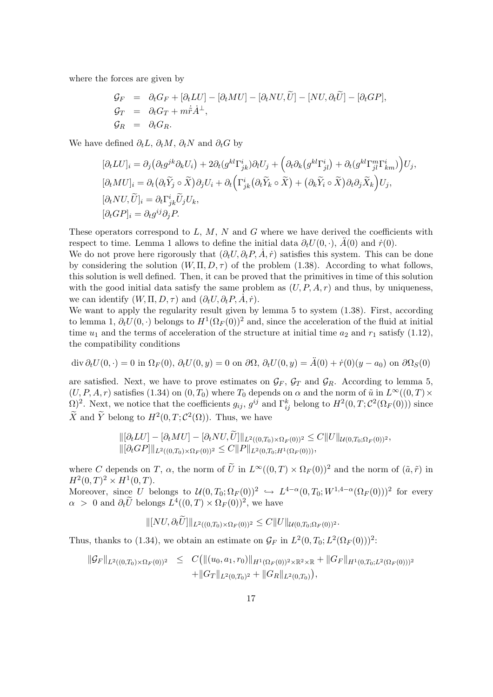where the forces are given by

$$
\begin{array}{rcl}\n\mathcal{G}_F &=& \partial_t G_F + [\partial_t LU] - [\partial_t MU] - [\partial_t NU, U] - [NU, \partial_t \tilde{U}] - [\partial_t GP], \\
\mathcal{G}_T &=& \partial_t G_T + m \dot{\tilde{r}} \dot{A}^\perp, \\
\mathcal{G}_R &=& \partial_t G_R.\n\end{array}
$$

We have defined  $\partial_t L$ ,  $\partial_t M$ ,  $\partial_t N$  and  $\partial_t G$  by

$$
\begin{aligned}\n[\partial_t LU]_i &= \partial_j \big(\partial_t g^{jk} \partial_k U_i\big) + 2\partial_t \big(g^{kl} \Gamma^i_{jk}\big) \partial_l U_j + \Big(\partial_t \partial_k \big(g^{kl} \Gamma^i_{jl}\big) + \partial_t \big(g^{kl} \Gamma^m_{jl} \Gamma^i_{km}\big)\Big) U_j, \\
[\partial_t MU]_i &= \partial_t \big(\partial_t \widetilde{Y}_j \circ \widetilde{X}\big) \partial_j U_i + \partial_t \Big(\Gamma^i_{jk} \big(\partial_t \widetilde{Y}_k \circ \widetilde{X}\big) + \big(\partial_k \widetilde{Y}_i \circ \widetilde{X}\big) \partial_t \partial_j \widetilde{X}_k\Big) U_j, \\
[\partial_t N U, \widetilde{U}]_i &= \partial_t \Gamma^i_{jk} \widetilde{U}_j U_k, \\
[\partial_t GP]_i &= \partial_t g^{ij} \partial_j P.\n\end{aligned}
$$

These operators correspond to  $L, M, N$  and G where we have derived the coefficients with respect to time. Lemma 1 allows to define the initial data  $\partial_t U(0, \cdot)$ ,  $\tilde{A}(0)$  and  $\dot{r}(0)$ .

We do not prove here rigorously that  $(\partial_t U, \partial_t P, \dot{A}, \dot{r})$  satisfies this system. This can be done by considering the solution  $(W,\Pi,D,\tau)$  of the problem (1.38). According to what follows, this solution is well defined. Then, it can be proved that the primitives in time of this solution with the good initial data satisfy the same problem as  $(U, P, A, r)$  and thus, by uniqueness, we can identify  $(W, \Pi, D, \tau)$  and  $(\partial_t U, \partial_t P, A, \dot{r}).$ 

We want to apply the regularity result given by lemma 5 to system  $(1.38)$ . First, according to lemma 1,  $\partial_t U(0, \cdot)$  belongs to  $H^1(\Omega_F(0))^2$  and, since the acceleration of the fluid at initial time  $u_1$  and the terms of acceleration of the structure at initial time  $a_2$  and  $r_1$  satisfy (1.12), the compatibility conditions

$$
\operatorname{div} \partial_t U(0,\cdot) = 0 \text{ in } \Omega_F(0), \ \partial_t U(0,y) = 0 \text{ on } \partial\Omega, \ \partial_t U(0,y) = \ddot{A}(0) + \dot{r}(0)(y - a_0) \text{ on } \partial\Omega_S(0)
$$

are satisfied. Next, we have to prove estimates on  $\mathcal{G}_F$ ,  $\mathcal{G}_T$  and  $\mathcal{G}_R$ . According to lemma 5,  $(U, P, A, r)$  satisfies (1.34) on  $(0, T_0)$  where  $T_0$  depends on  $\alpha$  and the norm of  $\tilde{u}$  in  $L^{\infty}((0, T) \times$  $\Omega$ <sup>2</sup>. Next, we notice that the coefficients  $g_{ij}$ ,  $g^{ij}$  and  $\Gamma_{ij}^k$  belong to  $H^2(0,T;\mathcal{C}^2(\Omega_F(0)))$  since  $\tilde{X}$  and  $\tilde{Y}$  belong to  $H^2(0,T;\mathcal{C}^2(\Omega))$ . Thus, we have

$$
\|[\partial_t LU] - [\partial_t MU] - [\partial_t NU, U]\|_{L^2((0,T_0)\times\Omega_F(0))^2} \leq C \|U\|_{\mathcal{U}(0,T_0;\Omega_F(0))^2},
$$
  

$$
\|[\partial_t GP]\|_{L^2((0,T_0)\times\Omega_F(0))^2} \leq C \|P\|_{L^2(0,T_0;H^1(\Omega_F(0)))},
$$

where C depends on T,  $\alpha$ , the norm of  $\tilde{U}$  in  $L^{\infty}((0,T) \times \Omega_F(0))^2$  and the norm of  $(\tilde{a}, \tilde{r})$  in  $H^2(0,T)^2 \times H^1(0,T).$ 

Moreover, since U belongs to  $\mathcal{U}(0,T_0;\Omega_F(0))^2 \hookrightarrow L^{4-\alpha}(0,T_0;W^{1,4-\alpha}(\Omega_F(0)))^2$  for every  $\alpha > 0$  and  $\partial_t \tilde{U}$  belongs  $L^4((0,T) \times \Omega_F(0))^2$ , we have

$$
\| [NU, \partial_t U] \|_{L^2((0,T_0)\times\Omega_F(0))^2} \leq C \| U \|_{\mathcal{U}(0,T_0;\Omega_F(0))^2}.
$$

Thus, thanks to (1.34), we obtain an estimate on  $\mathcal{G}_F$  in  $L^2(0,T_0;L^2(\Omega_F(0)))^2$ :

$$
\begin{array}{rcl}\|\mathcal{G}_F\|_{L^2((0,T_0)\times\Omega_F(0))^2} & \leq & C\big(\|(u_0,a_1,r_0)\|_{H^1(\Omega_F(0))^2\times\mathbb{R}^2\times\mathbb{R}} + \|G_F\|_{H^1(0,T_0;L^2(\Omega_F(0)))^2} \\
& + \|G_T\|_{L^2(0,T_0)^2} + \|G_R\|_{L^2(0,T_0)}\big),\end{array}
$$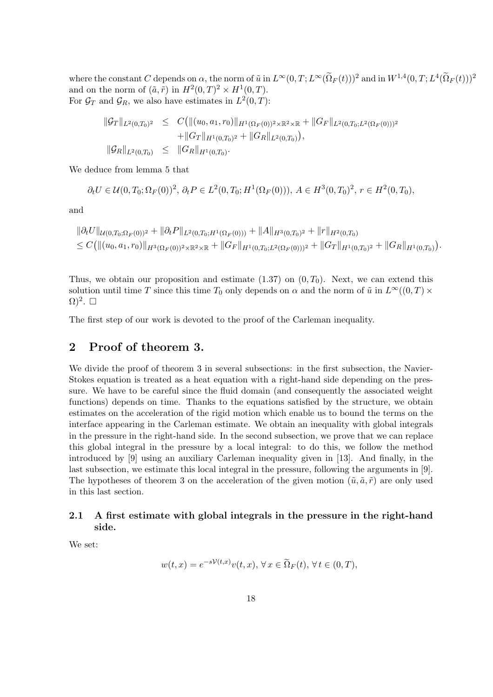where the constant C depends on  $\alpha$ , the norm of  $\tilde{u}$  in  $L^{\infty}(0,T;L^{\infty}(\tilde{\Omega}_F(t)))^2$  and in  $W^{1,4}(0,T;L^4(\tilde{\Omega}_F(t)))^2$ and on the norm of  $(\tilde{a}, \tilde{r})$  in  $H^2(0,T)^2 \times H^1(0,T)$ . For  $\mathcal{G}_T$  and  $\mathcal{G}_R$ , we also have estimates in  $L^2(0,T)$ :

$$
\begin{array}{rcl}\n\|\mathcal{G}_T\|_{L^2(0,T_0)^2} & \leq & C\big(\|(u_0,a_1,r_0)\|_{H^1(\Omega_F(0))^2 \times \mathbb{R}^2 \times \mathbb{R}} + \|G_F\|_{L^2(0,T_0;L^2(\Omega_F(0)))^2} \\
& \quad + \|G_T\|_{H^1(0,T_0)^2} + \|G_R\|_{L^2(0,T_0)}\big), \\
\|\mathcal{G}_R\|_{L^2(0,T_0)} & \leq & \|G_R\|_{H^1(0,T_0)}.\n\end{array}
$$

We deduce from lemma 5 that

$$
\partial_t U \in \mathcal{U}(0, T_0; \Omega_F(0))^2, \ \partial_t P \in L^2(0, T_0; H^1(\Omega_F(0))), \ A \in H^3(0, T_0)^2, \ r \in H^2(0, T_0),
$$

and

$$
\|\partial_t U\|_{\mathcal{U}(0,T_0;\Omega_F(0))^2} + \|\partial_t P\|_{L^2(0,T_0;H^1(\Omega_F(0)))} + \|A\|_{H^3(0,T_0)^2} + \|r\|_{H^2(0,T_0)} \leq C \big( \|(u_0,a_1,r_0)\|_{H^3(\Omega_F(0))^2 \times \mathbb{R}^2 \times \mathbb{R}} + \|G_F\|_{H^1(0,T_0;L^2(\Omega_F(0)))^2} + \|G_T\|_{H^1(0,T_0)^2} + \|G_R\|_{H^1(0,T_0)} \big).
$$

Thus, we obtain our proposition and estimate  $(1.37)$  on  $(0, T_0)$ . Next, we can extend this solution until time T since this time  $T_0$  only depends on  $\alpha$  and the norm of  $\tilde{u}$  in  $L^{\infty}((0,T) \times$  $\Omega)^2$ .  $\square$ 

The first step of our work is devoted to the proof of the Carleman inequality.

## 2 Proof of theorem 3.

We divide the proof of theorem 3 in several subsections: in the first subsection, the Navier-Stokes equation is treated as a heat equation with a right-hand side depending on the pressure. We have to be careful since the fluid domain (and consequently the associated weight functions) depends on time. Thanks to the equations satisfied by the structure, we obtain estimates on the acceleration of the rigid motion which enable us to bound the terms on the interface appearing in the Carleman estimate. We obtain an inequality with global integrals in the pressure in the right-hand side. In the second subsection, we prove that we can replace this global integral in the pressure by a local integral: to do this, we follow the method introduced by [9] using an auxiliary Carleman inequality given in [13]. And finally, in the last subsection, we estimate this local integral in the pressure, following the arguments in [9]. The hypotheses of theorem 3 on the acceleration of the given motion  $(\tilde{u}, \tilde{a}, \tilde{r})$  are only used in this last section.

## 2.1 A first estimate with global integrals in the pressure in the right-hand side.

We set:

$$
w(t,x) = e^{-s\mathcal{V}(t,x)}v(t,x), \forall x \in \tilde{\Omega}_F(t), \forall t \in (0,T),
$$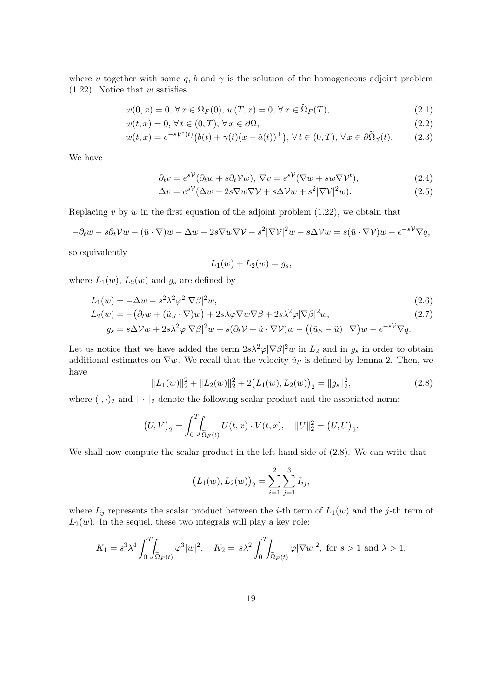where v together with some q, b and  $\gamma$  is the solution of the homogeneous adjoint problem  $(1.22)$ . Notice that w satisfies

$$
w(0, x) = 0, \forall x \in \Omega_F(0), w(T, x) = 0, \forall x \in \Omega_F(T),
$$
\n(2.1)

$$
w(t,x) = 0, \forall t \in (0,T), \forall x \in \partial\Omega,
$$
\n
$$
(2.2)
$$

$$
w(t,x) = e^{-s\mathcal{V}^*(t)}(\dot{b}(t) + \gamma(t)(x - \tilde{a}(t))^{\perp}), \,\forall \, t \in (0,T), \,\forall \, x \in \partial \tilde{\Omega}_S(t). \tag{2.3}
$$

We have

$$
\partial_t v = e^{s\mathcal{V}} (\partial_t w + s \partial_t \mathcal{V} w), \nabla v = e^{s\mathcal{V}} (\nabla w + s w \nabla \mathcal{V}^t), \tag{2.4}
$$

$$
\Delta v = e^{s\mathcal{V}} (\Delta w + 2s\nabla w\nabla \mathcal{V} + s\Delta \mathcal{V}w + s^2 |\nabla \mathcal{V}|^2 w).
$$
 (2.5)

Replacing  $v$  by  $w$  in the first equation of the adjoint problem  $(1.22)$ , we obtain that

$$
-\partial_t w - s\partial_t \mathcal{V}w - (\tilde{u} \cdot \nabla)w - \Delta w - 2s\nabla w \nabla \mathcal{V} - s^2 |\nabla \mathcal{V}|^2 w - s\Delta \mathcal{V}w = s(\tilde{u} \cdot \nabla \mathcal{V})w - e^{-s\mathcal{V}} \nabla q,
$$

so equivalently

$$
L_1(w) + L_2(w) = g_s,
$$

where  $L_1(w)$ ,  $L_2(w)$  and  $g_s$  are defined by

$$
L_1(w) = -\Delta w - s^2 \lambda^2 \varphi^2 |\nabla \beta|^2 w,\tag{2.6}
$$

$$
L_2(w) = -(\partial_t w + (\tilde{u}_S \cdot \nabla)w) + 2s\lambda\varphi\nabla w\nabla\beta + 2s\lambda^2\varphi|\nabla\beta|^2 w, \tag{2.7}
$$

$$
g_s = s\Delta \mathcal{V}w + 2s\lambda^2 \varphi |\nabla \beta|^2 w + s(\partial_t \mathcal{V} + \tilde{u} \cdot \nabla \mathcal{V})w - ((\tilde{u}_S - \tilde{u}) \cdot \nabla)w - e^{-s\mathcal{V}} \nabla q.
$$

Let us notice that we have added the term  $2s\lambda^2\varphi|\nabla\beta|^2w$  in  $L_2$  and in  $g_s$  in order to obtain additional estimates on  $\nabla w$ . We recall that the velocity  $\tilde{u}_S$  is defined by lemma 2. Then, we have

$$
||L_1(w)||_2^2 + ||L_2(w)||_2^2 + 2(L_1(w), L_2(w))_2 = ||g_s||_2^2,
$$
\n(2.8)

where  $(\cdot, \cdot)_2$  and  $\|\cdot\|_2$  denote the following scalar product and the associated norm:

$$
(U, V)_2 = \int_0^T \int_{\tilde{\Omega}_F(t)} U(t, x) \cdot V(t, x), \quad ||U||_2^2 = (U, U)_2.
$$

We shall now compute the scalar product in the left hand side of  $(2.8)$ . We can write that

$$
(L_1(w), L_2(w))_2 = \sum_{i=1}^2 \sum_{j=1}^3 I_{ij},
$$

where  $I_{ij}$  represents the scalar product between the *i*-th term of  $L_1(w)$  and the *j*-th term of  $L_2(w)$ . In the sequel, these two integrals will play a key role:

$$
K_1 = s^3 \lambda^4 \int_0^T \int_{\tilde{\Omega}_F(t)} \varphi^3 |w|^2, \quad K_2 = s \lambda^2 \int_0^T \int_{\tilde{\Omega}_F(t)} \varphi |\nabla w|^2, \text{ for } s > 1 \text{ and } \lambda > 1.
$$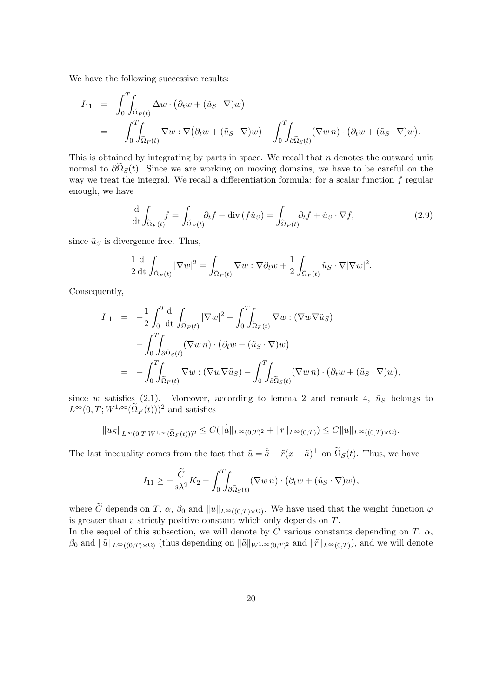We have the following successive results:

$$
I_{11} = \int_0^T \int_{\tilde{\Omega}_F(t)} \Delta w \cdot (\partial_t w + (\tilde{u}_S \cdot \nabla) w)
$$
  
= 
$$
- \int_0^T \int_{\tilde{\Omega}_F(t)} \nabla w \cdot \nabla (\partial_t w + (\tilde{u}_S \cdot \nabla) w) - \int_0^T \int_{\partial \tilde{\Omega}_S(t)} (\nabla w \, n) \cdot (\partial_t w + (\tilde{u}_S \cdot \nabla) w).
$$

This is obtained by integrating by parts in space. We recall that  $n$  denotes the outward unit normal to  $\partial \Omega_S(t)$ . Since we are working on moving domains, we have to be careful on the way we treat the integral. We recall a differentiation formula: for a scalar function  $f$  regular enough, we have

$$
\frac{\mathrm{d}}{\mathrm{d}t} \int_{\tilde{\Omega}_F(t)} f = \int_{\tilde{\Omega}_F(t)} \partial_t f + \mathrm{div} \left( f \tilde{u}_S \right) = \int_{\tilde{\Omega}_F(t)} \partial_t f + \tilde{u}_S \cdot \nabla f,\tag{2.9}
$$

since  $\tilde{u}_S$  is divergence free. Thus,

$$
\frac{1}{2}\frac{\mathrm{d}}{\mathrm{d}t}\int_{\widetilde{\Omega}_F(t)}|\nabla w|^2=\int_{\widetilde{\Omega}_F(t)}\nabla w:\nabla\partial_t w+\frac{1}{2}\int_{\widetilde{\Omega}_F(t)}\tilde{u}_S\cdot\nabla|\nabla w|^2.
$$

Consequently,

$$
I_{11} = -\frac{1}{2} \int_0^T \frac{d}{dt} \int_{\tilde{\Omega}_F(t)} |\nabla w|^2 - \int_0^T \int_{\tilde{\Omega}_F(t)} \nabla w : (\nabla w \nabla \tilde{u}_S) - \int_0^T \int_{\partial \tilde{\Omega}_S(t)} (\nabla w n) \cdot (\partial_t w + (\tilde{u}_S \cdot \nabla) w) = - \int_0^T \int_{\tilde{\Omega}_F(t)} \nabla w : (\nabla w \nabla \tilde{u}_S) - \int_0^T \int_{\partial \tilde{\Omega}_S(t)} (\nabla w n) \cdot (\partial_t w + (\tilde{u}_S \cdot \nabla) w),
$$

since w satisfies (2.1). Moreover, according to lemma 2 and remark 4,  $\tilde{u}_S$  belongs to  $L^{\infty}(0,T;W^{1,\infty}(\tilde{\Omega}_F(t)))^2$  and satisfies

$$
\|\tilde{u}_S\|_{L^{\infty}(0,T;W^{1,\infty}(\tilde{\Omega}_F(t)))^2} \leq C(\|\dot{\tilde{a}}\|_{L^{\infty}(0,T)^2} + \|\tilde{r}\|_{L^{\infty}(0,T)}) \leq C\|\tilde{u}\|_{L^{\infty}((0,T)\times\Omega)}.
$$

The last inequality comes from the fact that  $\tilde{u} = \dot{\tilde{a}} + \tilde{r}(x - \tilde{a})^{\perp}$  on  $\tilde{\Omega}_S(t)$ . Thus, we have

$$
I_{11} \geq -\frac{\tilde{C}}{s\lambda^2}K_2 - \int_0^T \int_{\partial \tilde{\Omega}_S(t)} (\nabla w \, n) \cdot (\partial_t w + (\tilde{u}_S \cdot \nabla) w),
$$

where  $\tilde{C}$  depends on T,  $\alpha$ ,  $\beta_0$  and  $\|\tilde{u}\|_{L^{\infty}((0,T)\times\Omega)}$ . We have used that the weight function  $\varphi$ is greater than a strictly positive constant which only depends on T.

In the sequel of this subsection, we will denote by  $\tilde{C}$  various constants depending on T,  $\alpha$ ,  $\beta_0$  and  $\|\tilde{u}\|_{L^{\infty}((0,T)\times\Omega)}$  (thus depending on  $\|\tilde{a}\|_{W^{1,\infty}(0,T)^2}$  and  $\|\tilde{r}\|_{L^{\infty}(0,T)}$ ), and we will denote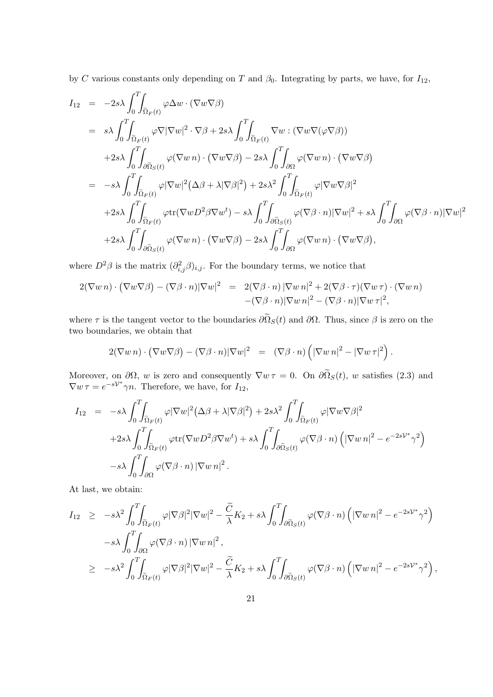by C various constants only depending on T and  $\beta_0$ . Integrating by parts, we have, for  $I_{12}$ ,

$$
I_{12} = -2s\lambda \int_{0}^{T} \int_{\tilde{\Omega}_{F}(t)} \varphi \Delta w \cdot (\nabla w \nabla \beta)
$$
  
\n
$$
= s\lambda \int_{0}^{T} \int_{\tilde{\Omega}_{F}(t)} \varphi \nabla |\nabla w|^{2} \cdot \nabla \beta + 2s\lambda \int_{0}^{T} \int_{\tilde{\Omega}_{F}(t)} \nabla w \cdot (\nabla w \nabla (\varphi \nabla \beta))
$$
  
\n
$$
+2s\lambda \int_{0}^{T} \int_{\partial \tilde{\Omega}_{S}(t)} \varphi (\nabla w n) \cdot (\nabla w \nabla \beta) - 2s\lambda \int_{0}^{T} \int_{\partial \Omega} \varphi (\nabla w n) \cdot (\nabla w \nabla \beta)
$$
  
\n
$$
= -s\lambda \int_{0}^{T} \int_{\tilde{\Omega}_{F}(t)} \varphi |\nabla w|^{2} (\Delta \beta + \lambda |\nabla \beta|^{2}) + 2s\lambda^{2} \int_{0}^{T} \int_{\tilde{\Omega}_{F}(t)} \varphi |\nabla w \nabla \beta|^{2}
$$
  
\n
$$
+2s\lambda \int_{0}^{T} \int_{\tilde{\Omega}_{F}(t)} \varphi \text{tr}(\nabla w D^{2} \beta \nabla w^{t}) - s\lambda \int_{0}^{T} \int_{\partial \tilde{\Omega}_{S}(t)} \varphi (\nabla \beta \cdot n) |\nabla w|^{2} + s\lambda \int_{0}^{T} \int_{\partial \Omega} \varphi (\nabla \beta \cdot n) |\nabla w|^{2}
$$
  
\n
$$
+2s\lambda \int_{0}^{T} \int_{\partial \tilde{\Omega}_{S}(t)} \varphi (\nabla w n) \cdot (\nabla w \nabla \beta) - 2s\lambda \int_{0}^{T} \int_{\partial \Omega} \varphi (\nabla w n) \cdot (\nabla w \nabla \beta),
$$

where  $D^2\beta$  is the matrix  $(\partial^2_{i,j}\beta)_{i,j}$ . For the boundary terms, we notice that

$$
2(\nabla w n) \cdot (\nabla w \nabla \beta) - (\nabla \beta \cdot n) |\nabla w|^2 = 2(\nabla \beta \cdot n) |\nabla w n|^2 + 2(\nabla \beta \cdot \tau) (\nabla w \tau) \cdot (\nabla w n) - (\nabla \beta \cdot n) |\nabla w n|^2 - (\nabla \beta \cdot n) |\nabla w \tau|^2,
$$

where  $\tau$  is the tangent vector to the boundaries  $\partial \tilde{\Omega}_S(t)$  and  $\partial \Omega$ . Thus, since  $\beta$  is zero on the two boundaries, we obtain that

$$
2(\nabla w n) \cdot (\nabla w \nabla \beta) - (\nabla \beta \cdot n) |\nabla w|^2 = (\nabla \beta \cdot n) (\vert \nabla w n \vert^2 - \vert \nabla w \, \tau \vert^2).
$$

Moreover, on  $\partial\Omega$ , w is zero and consequently  $\nabla w \tau = 0$ . On  $\partial \tilde{\Omega}_S(t)$ , w satisfies (2.3) and  $\nabla w \tau = e^{-s\mathcal{V}^*} \gamma n$ . Therefore, we have, for  $I_{12}$ ,

$$
I_{12} = -s\lambda \int_0^T \int_{\tilde{\Omega}_F(t)} \varphi |\nabla w|^2 (\Delta \beta + \lambda |\nabla \beta|^2) + 2s\lambda^2 \int_0^T \int_{\tilde{\Omega}_F(t)} \varphi |\nabla w \nabla \beta|^2 + 2s\lambda \int_0^T \int_{\tilde{\Omega}_F(t)} \varphi \text{tr}(\nabla w D^2 \beta \nabla w^t) + s\lambda \int_0^T \int_{\partial \tilde{\Omega}_S(t)} \varphi (\nabla \beta \cdot n) (\|\nabla w n|^2 - e^{-2s\mathcal{V}^*} \gamma^2) - s\lambda \int_0^T \int_{\partial \Omega} \varphi (\nabla \beta \cdot n) |\nabla w n|^2.
$$

At last, we obtain:

$$
I_{12} \geq -s\lambda^{2} \int_{0}^{T} \int_{\tilde{\Omega}_{F}(t)} \varphi |\nabla \beta|^{2} |\nabla w|^{2} - \frac{\tilde{C}}{\lambda} K_{2} + s\lambda \int_{0}^{T} \int_{\partial \tilde{\Omega}_{S}(t)} \varphi (\nabla \beta \cdot n) \left( |\nabla w \, n|^{2} - e^{-2s\mathcal{V}^{*}} \gamma^{2} \right) -s\lambda \int_{0}^{T} \int_{\partial \Omega} \varphi (\nabla \beta \cdot n) |\nabla w \, n|^{2},
$$
  

$$
\geq -s\lambda^{2} \int_{0}^{T} \int_{\tilde{\Omega}_{F}(t)} \varphi |\nabla \beta|^{2} |\nabla w|^{2} - \frac{\tilde{C}}{\lambda} K_{2} + s\lambda \int_{0}^{T} \int_{\partial \tilde{\Omega}_{S}(t)} \varphi (\nabla \beta \cdot n) \left( |\nabla w \, n|^{2} - e^{-2s\mathcal{V}^{*}} \gamma^{2} \right),
$$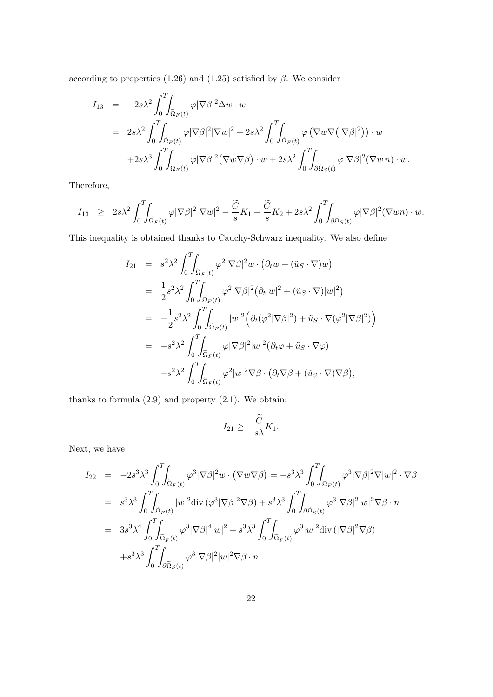according to properties (1.26) and (1.25) satisfied by  $\beta$ . We consider

$$
I_{13} = -2s\lambda^{2} \int_{0}^{T} \int_{\tilde{\Omega}_{F}(t)} \varphi |\nabla \beta|^{2} \Delta w \cdot w
$$
  
\n
$$
= 2s\lambda^{2} \int_{0}^{T} \int_{\tilde{\Omega}_{F}(t)} \varphi |\nabla \beta|^{2} |\nabla w|^{2} + 2s\lambda^{2} \int_{0}^{T} \int_{\tilde{\Omega}_{F}(t)} \varphi (\nabla w \nabla (|\nabla \beta|^{2})) \cdot w
$$
  
\n
$$
+ 2s\lambda^{3} \int_{0}^{T} \int_{\tilde{\Omega}_{F}(t)} \varphi |\nabla \beta|^{2} (\nabla w \nabla \beta) \cdot w + 2s\lambda^{2} \int_{0}^{T} \int_{\partial \tilde{\Omega}_{S}(t)} \varphi |\nabla \beta|^{2} (\nabla w \, n) \cdot w.
$$

Therefore,

$$
I_{13} \geq 2s\lambda^2 \int_0^T \int_{\tilde{\Omega}_F(t)} \varphi |\nabla \beta|^2 |\nabla w|^2 - \frac{\tilde{C}}{s} K_1 - \frac{\tilde{C}}{s} K_2 + 2s\lambda^2 \int_0^T \int_{\partial \tilde{\Omega}_S(t)} \varphi |\nabla \beta|^2 (\nabla w n) \cdot w.
$$

This inequality is obtained thanks to Cauchy-Schwarz inequality. We also define

$$
I_{21} = s^2 \lambda^2 \int_0^T \int_{\tilde{\Omega}_F(t)} \varphi^2 |\nabla \beta|^2 w \cdot (\partial_t w + (\tilde{u}_S \cdot \nabla) w)
$$
  
\n
$$
= \frac{1}{2} s^2 \lambda^2 \int_0^T \int_{\tilde{\Omega}_F(t)} \varphi^2 |\nabla \beta|^2 (\partial_t |w|^2 + (\tilde{u}_S \cdot \nabla) |w|^2)
$$
  
\n
$$
= -\frac{1}{2} s^2 \lambda^2 \int_0^T \int_{\tilde{\Omega}_F(t)} |w|^2 (\partial_t (\varphi^2 |\nabla \beta|^2) + \tilde{u}_S \cdot \nabla (\varphi^2 |\nabla \beta|^2))
$$
  
\n
$$
= -s^2 \lambda^2 \int_0^T \int_{\tilde{\Omega}_F(t)} \varphi |\nabla \beta|^2 |w|^2 (\partial_t \varphi + \tilde{u}_S \cdot \nabla \varphi)
$$
  
\n
$$
-s^2 \lambda^2 \int_0^T \int_{\tilde{\Omega}_F(t)} \varphi^2 |w|^2 \nabla \beta \cdot (\partial_t \nabla \beta + (\tilde{u}_S \cdot \nabla) \nabla \beta),
$$

thanks to formula  $(2.9)$  and property  $(2.1)$ . We obtain:

$$
I_{21} \geq -\frac{\widetilde{C}}{s\lambda}K_1.
$$

Next, we have

$$
I_{22} = -2s^3 \lambda^3 \int_0^T \int_{\tilde{\Omega}_F(t)} \varphi^3 |\nabla \beta|^2 w \cdot (\nabla w \nabla \beta) = -s^3 \lambda^3 \int_0^T \int_{\tilde{\Omega}_F(t)} \varphi^3 |\nabla \beta|^2 \nabla |w|^2 \cdot \nabla \beta
$$
  
\n
$$
= s^3 \lambda^3 \int_0^T \int_{\tilde{\Omega}_F(t)} |w|^2 \operatorname{div} (\varphi^3 |\nabla \beta|^2 \nabla \beta) + s^3 \lambda^3 \int_0^T \int_{\partial \tilde{\Omega}_S(t)} \varphi^3 |\nabla \beta|^2 |w|^2 \nabla \beta \cdot n
$$
  
\n
$$
= 3s^3 \lambda^4 \int_0^T \int_{\tilde{\Omega}_F(t)} \varphi^3 |\nabla \beta|^4 |w|^2 + s^3 \lambda^3 \int_0^T \int_{\tilde{\Omega}_F(t)} \varphi^3 |w|^2 \operatorname{div} (|\nabla \beta|^2 \nabla \beta)
$$
  
\n
$$
+s^3 \lambda^3 \int_0^T \int_{\partial \tilde{\Omega}_S(t)} \varphi^3 |\nabla \beta|^2 |w|^2 \nabla \beta \cdot n.
$$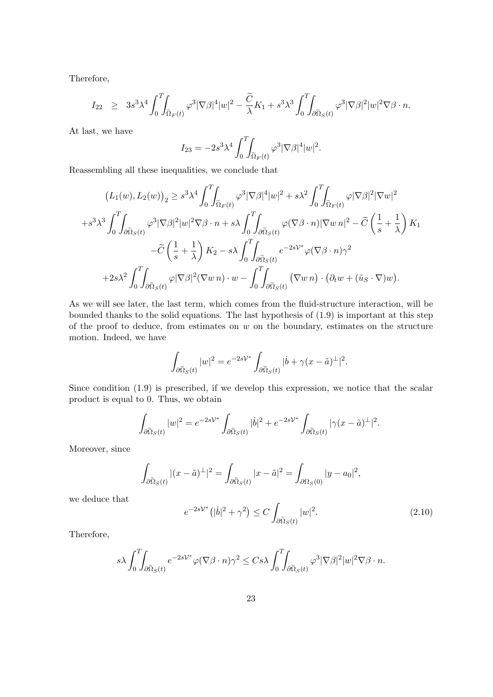Therefore,

$$
I_{22} \geq 3s^3\lambda^4 \int_0^T \int_{\tilde{\Omega}_F(t)} \varphi^3 |\nabla \beta|^4 |w|^2 - \frac{\tilde{C}}{\lambda} K_1 + s^3 \lambda^3 \int_0^T \int_{\partial \tilde{\Omega}_S(t)} \varphi^3 |\nabla \beta|^2 |w|^2 \nabla \beta \cdot n.
$$

At last, we have

$$
I_{23} = -2s^3\lambda^4 \int_0^T \int_{\tilde{\Omega}_F(t)} \varphi^3 |\nabla \beta|^4 |w|^2.
$$

Reassembling all these inequalities, we conclude that

$$
(L_1(w), L_2(w))_2 \ge s^3 \lambda^4 \int_0^T \int_{\tilde{\Omega}_F(t)} \varphi^3 |\nabla \beta|^4 |w|^2 + s \lambda^2 \int_0^T \int_{\tilde{\Omega}_F(t)} \varphi |\nabla \beta|^2 |\nabla w|^2
$$
  
+ $s^3 \lambda^3 \int_0^T \int_{\partial \tilde{\Omega}_S(t)} \varphi^3 |\nabla \beta|^2 |w|^2 \nabla \beta \cdot n + s \lambda \int_0^T \int_{\partial \tilde{\Omega}_S(t)} \varphi (\nabla \beta \cdot n) |\nabla w|_2^2 - \tilde{C} \left(\frac{1}{s} + \frac{1}{\lambda}\right) K_1$   
- $\tilde{C} \left(\frac{1}{s} + \frac{1}{\lambda}\right) K_2 - s \lambda \int_0^T \int_{\partial \tilde{\Omega}_S(t)} e^{-2s \mathcal{V}^*} \varphi (\nabla \beta \cdot n) \gamma^2$   
+ $2s \lambda^2 \int_0^T \int_{\partial \tilde{\Omega}_S(t)} \varphi |\nabla \beta|^2 (\nabla w|_2) \cdot w - \int_0^T \int_{\partial \tilde{\Omega}_S(t)} (\nabla w|_2) \cdot (\partial_t w + (\tilde{u}_S \cdot \nabla) w).$ 

As we will see later, the last term, which comes from the fluid-structure interaction, will be bounded thanks to the solid equations. The last hypothesis of (1.9) is important at this step of the proof to deduce, from estimates on  $w$  on the boundary, estimates on the structure motion. Indeed, we have

$$
\int_{\partial \tilde{\Omega}_S(t)} |w|^2 = e^{-2s\mathcal{V}^*} \int_{\partial \tilde{\Omega}_S(t)} |\dot{b} + \gamma (x - \tilde{a})^{\perp}|^2.
$$

Since condition (1.9) is prescribed, if we develop this expression, we notice that the scalar product is equal to 0. Thus, we obtain

$$
\int_{\partial \tilde{\Omega}_S(t)} |w|^2 = e^{-2s\mathcal{V}^*} \int_{\partial \tilde{\Omega}_S(t)} |\dot{b}|^2 + e^{-2s\mathcal{V}^*} \int_{\partial \tilde{\Omega}_S(t)} |\gamma(x - \tilde{a})^{\perp}|^2.
$$

Moreover, since

$$
\int_{\partial \tilde{\Omega}_S(t)} |(x - \tilde{a})^{\perp}|^2 = \int_{\partial \tilde{\Omega}_S(t)} |x - \tilde{a}|^2 = \int_{\partial \Omega_S(0)} |y - a_0|^2,
$$

we deduce that

$$
e^{-2s\mathcal{V}^*}(|\dot{b}|^2 + \gamma^2) \le C \int_{\partial \tilde{\Omega}_S(t)} |w|^2.
$$
\n(2.10)

Therefore,

$$
s\lambda \int_0^T \int_{\partial \tilde{\Omega}_S(t)} e^{-2sV^*} \varphi(\nabla \beta \cdot n) \gamma^2 \leq C s\lambda \int_0^T \int_{\partial \tilde{\Omega}_S(t)} \varphi^3 |\nabla \beta|^2 |w|^2 \nabla \beta \cdot n.
$$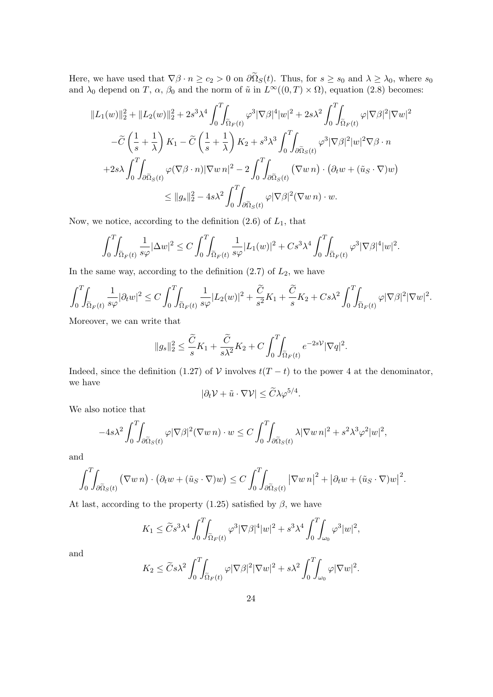Here, we have used that  $\nabla \beta \cdot n \ge c_2 > 0$  on  $\partial \Omega_S(t)$ . Thus, for  $s \ge s_0$  and  $\lambda \ge \lambda_0$ , where  $s_0$ and  $\lambda_0$  depend on T,  $\alpha$ ,  $\beta_0$  and the norm of  $\tilde{u}$  in  $L^{\infty}((0,T) \times \Omega)$ , equation (2.8) becomes:

$$
||L_1(w)||_2^2 + ||L_2(w)||_2^2 + 2s^3\lambda^4 \int_0^T \int_{\tilde{\Omega}_F(t)} \varphi^3 |\nabla \beta|^4 |w|^2 + 2s\lambda^2 \int_0^T \int_{\tilde{\Omega}_F(t)} \varphi |\nabla \beta|^2 |\nabla w|^2
$$
  

$$
-\tilde{C} \left(\frac{1}{s} + \frac{1}{\lambda}\right) K_1 - \tilde{C} \left(\frac{1}{s} + \frac{1}{\lambda}\right) K_2 + s^3\lambda^3 \int_0^T \int_{\partial \tilde{\Omega}_S(t)} \varphi^3 |\nabla \beta|^2 |w|^2 \nabla \beta \cdot n
$$
  

$$
+ 2s\lambda \int_0^T \int_{\partial \tilde{\Omega}_S(t)} \varphi (\nabla \beta \cdot n) |\nabla w| \cdot n \Big|^{2} - 2 \int_0^T \int_{\partial \tilde{\Omega}_S(t)} (\nabla w| n) \cdot (\partial_t w + (\tilde{u}_S \cdot \nabla) w)
$$
  

$$
\leq ||g_s||_2^2 - 4s\lambda^2 \int_0^T \int_{\partial \tilde{\Omega}_S(t)} \varphi |\nabla \beta|^2 (\nabla w| n) \cdot w.
$$

Now, we notice, according to the definition  $(2.6)$  of  $L_1$ , that

$$
\int_0^T \int_{\tilde{\Omega}_F(t)} \frac{1}{s\varphi} |\Delta w|^2 \le C \int_0^T \int_{\tilde{\Omega}_F(t)} \frac{1}{s\varphi} |L_1(w)|^2 + Cs^3 \lambda^4 \int_0^T \int_{\tilde{\Omega}_F(t)} \varphi^3 |\nabla \beta|^4 |w|^2.
$$

In the same way, according to the definition  $(2.7)$  of  $L_2$ , we have

$$
\int_0^T \int_{\tilde{\Omega}_F(t)} \frac{1}{s\varphi} |\partial_t w|^2 \le C \int_0^T \int_{\tilde{\Omega}_F(t)} \frac{1}{s\varphi} |L_2(w)|^2 + \frac{\tilde{C}}{s^2} K_1 + \frac{\tilde{C}}{s} K_2 + Cs\lambda^2 \int_0^T \int_{\tilde{\Omega}_F(t)} \varphi |\nabla \beta|^2 |\nabla w|^2.
$$

Moreover, we can write that

$$
||g_s||_2^2 \le \frac{\widetilde{C}}{s}K_1 + \frac{\widetilde{C}}{s\lambda^2}K_2 + C\int_0^T\!\!\!\int_{\widetilde{\Omega}_F(t)} e^{-2s\mathcal{V}}|\nabla q|^2.
$$

Indeed, since the definition (1.27) of V involves  $t(T - t)$  to the power 4 at the denominator, we have

$$
|\partial_t \mathcal{V} + \tilde{u} \cdot \nabla \mathcal{V}| \leq \widetilde{C} \lambda \varphi^{5/4}.
$$

We also notice that

$$
-4s\lambda^2 \int_0^T \int_{\partial \tilde{\Omega}_S(t)} \varphi |\nabla \beta|^2 (\nabla w \, n) \cdot w \le C \int_0^T \int_{\partial \tilde{\Omega}_S(t)} \lambda |\nabla w \, n|^2 + s^2 \lambda^3 \varphi^2 |w|^2,
$$

and

$$
\int_0^T \int_{\partial \tilde{\Omega}_S(t)} (\nabla w \, n) \cdot (\partial_t w + (\tilde{u}_S \cdot \nabla) w) \le C \int_0^T \int_{\partial \tilde{\Omega}_S(t)} |\nabla w \, n|^2 + |\partial_t w + (\tilde{u}_S \cdot \nabla) w|^2.
$$

At last, according to the property (1.25) satisfied by  $\beta$ , we have

$$
K_1 \leq \widetilde{C} s^3 \lambda^4 \int_0^T \int_{\widetilde{\Omega}_F(t)} \varphi^3 |\nabla \beta|^4 |w|^2 + s^3 \lambda^4 \int_0^T \int_{\omega_0} \varphi^3 |w|^2,
$$

and

$$
K_2 \le \widetilde{C}s\lambda^2 \int_0^T \int_{\widetilde{\Omega}_F(t)} \varphi |\nabla \beta|^2 |\nabla w|^2 + s\lambda^2 \int_0^T \int_{\omega_0} \varphi |\nabla w|^2.
$$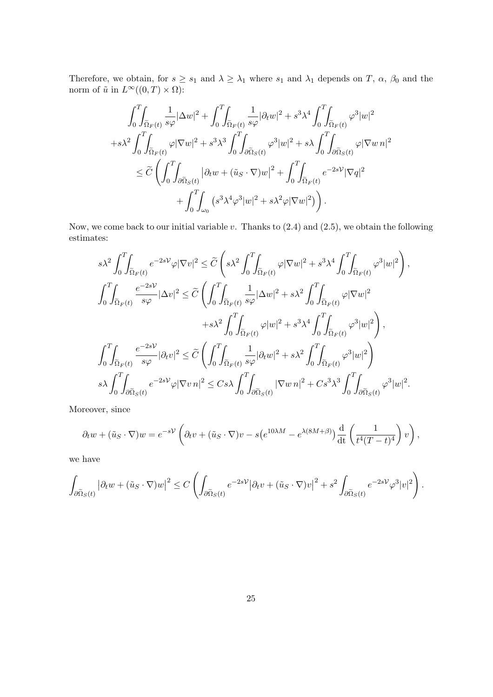Therefore, we obtain, for  $s \geq s_1$  and  $\lambda \geq \lambda_1$  where  $s_1$  and  $\lambda_1$  depends on  $T$ ,  $\alpha$ ,  $\beta_0$  and the norm of  $\tilde{u}$  in  $L^{\infty}((0,T)\times\Omega)$ :

$$
\int_0^T \int_{\tilde{\Omega}_F(t)} \frac{1}{s\varphi} |\Delta w|^2 + \int_0^T \int_{\tilde{\Omega}_F(t)} \frac{1}{s\varphi} |\partial_t w|^2 + s^3 \lambda^4 \int_0^T \int_{\tilde{\Omega}_F(t)} \varphi^3 |w|^2
$$
  
+ $s\lambda^2 \int_0^T \int_{\tilde{\Omega}_F(t)} \varphi |\nabla w|^2 + s^3 \lambda^3 \int_0^T \int_{\partial \tilde{\Omega}_S(t)} \varphi^3 |w|^2 + s\lambda \int_0^T \int_{\partial \tilde{\Omega}_S(t)} \varphi |\nabla w n|^2$   
 $\leq \widetilde{C} \left( \int_0^T \int_{\partial \tilde{\Omega}_S(t)} |\partial_t w + (\tilde{u}_S \cdot \nabla) w|^2 + \int_0^T \int_{\tilde{\Omega}_F(t)} e^{-2s\gamma} |\nabla q|^2 + \int_0^T \int_{\omega_0} (s^3 \lambda^4 \varphi^3 |w|^2 + s\lambda^2 \varphi |\nabla w|^2) \right).$ 

Now, we come back to our initial variable  $v$ . Thanks to  $(2.4)$  and  $(2.5)$ , we obtain the following estimates:

$$
s\lambda^{2}\int_{0}^{T}\!\!\!\int_{\widetilde{\Omega}_{F}(t)}e^{-2s\mathcal{V}}\varphi|\nabla v|^{2} \leq \widetilde{C}\left(s\lambda^{2}\int_{0}^{T}\!\!\!\int_{\widetilde{\Omega}_{F}(t)}\varphi|\nabla w|^{2} + s^{3}\lambda^{4}\int_{0}^{T}\!\!\!\int_{\widetilde{\Omega}_{F}(t)}\varphi^{3}|w|^{2}\right),
$$
  

$$
\int_{0}^{T}\!\!\!\int_{\widetilde{\Omega}_{F}(t)}\frac{e^{-2s\mathcal{V}}}{s\varphi}|\Delta v|^{2} \leq \widetilde{C}\left(\int_{0}^{T}\!\!\!\int_{\widetilde{\Omega}_{F}(t)}\frac{1}{s\varphi}|\Delta w|^{2} + s\lambda^{2}\int_{0}^{T}\!\!\!\int_{\widetilde{\Omega}_{F}(t)}\varphi|\nabla w|^{2} + s\lambda^{2}\int_{0}^{T}\!\!\!\int_{\widetilde{\Omega}_{F}(t)}\varphi^{3}|w|^{2}\right),
$$
  

$$
\int_{0}^{T}\!\!\!\int_{\widetilde{\Omega}_{F}(t)}\frac{e^{-2s\mathcal{V}}}{s\varphi}|\partial_{t}v|^{2} \leq \widetilde{C}\left(\int_{0}^{T}\!\!\!\int_{\widetilde{\Omega}_{F}(t)}\frac{1}{s\varphi}|\partial_{t}w|^{2} + s\lambda^{2}\int_{0}^{T}\!\!\!\int_{\widetilde{\Omega}_{F}(t)}\varphi^{3}|w|^{2}\right),
$$
  

$$
s\lambda\int_{0}^{T}\!\!\!\int_{\partial\widetilde{\Omega}_{S}(t)}e^{-2s\mathcal{V}}\varphi|\nabla v\eta|^{2} \leq Cs\lambda\int_{0}^{T}\!\!\!\int_{\partial\widetilde{\Omega}_{S}(t)}|\nabla w\eta|^{2} + Cs^{3}\lambda^{3}\int_{0}^{T}\!\!\!\int_{\partial\widetilde{\Omega}_{S}(t)}\varphi^{3}|w|^{2}.
$$

Moreover, since

$$
\partial_t w + (\tilde{u}_S \cdot \nabla) w = e^{-sV} \left( \partial_t v + (\tilde{u}_S \cdot \nabla) v - s \left( e^{10\lambda M} - e^{\lambda (8M+\beta)} \right) \frac{d}{dt} \left( \frac{1}{t^4 (T-t)^4} \right) v \right),
$$

we have

$$
\int_{\partial \tilde{\Omega}_S(t)} \left| \partial_t w + (\tilde{u}_S \cdot \nabla) w \right|^2 \le C \left( \int_{\partial \tilde{\Omega}_S(t)} e^{-2s\mathcal{V}} \left| \partial_t v + (\tilde{u}_S \cdot \nabla) v \right|^2 + s^2 \int_{\partial \tilde{\Omega}_S(t)} e^{-2s\mathcal{V}} \varphi^3 |v|^2 \right).
$$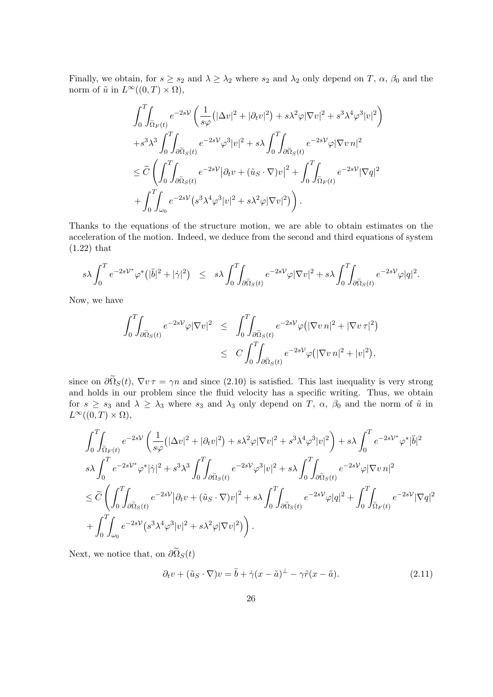Finally, we obtain, for  $s \geq s_2$  and  $\lambda \geq \lambda_2$  where  $s_2$  and  $\lambda_2$  only depend on T,  $\alpha$ ,  $\beta_0$  and the norm of  $\tilde{u}$  in  $L^{\infty}((0,T)\times\Omega),$ 

$$
\int_0^T \int_{\tilde{\Omega}_F(t)} e^{-2sV} \left( \frac{1}{s\varphi} \left( |\Delta v|^2 + |\partial_t v|^2 \right) + s\lambda^2 \varphi |\nabla v|^2 + s^3 \lambda^4 \varphi^3 |v|^2 \right) \n+ s^3 \lambda^3 \int_0^T \int_{\partial \tilde{\Omega}_S(t)} e^{-2sV} \varphi^3 |v|^2 + s\lambda \int_0^T \int_{\partial \tilde{\Omega}_S(t)} e^{-2sV} \varphi |\nabla v \eta|^2 \n\leq \widetilde{C} \left( \int_0^T \int_{\partial \tilde{\Omega}_S(t)} e^{-2sV} |\partial_t v + (\tilde{u}_S \cdot \nabla) v|^2 + \int_0^T \int_{\tilde{\Omega}_F(t)} e^{-2sV} |\nabla q|^2 \n+ \int_0^T \int_{\omega_0} e^{-2sV} \left( s^3 \lambda^4 \varphi^3 |v|^2 + s\lambda^2 \varphi |\nabla v|^2 \right) \right).
$$

Thanks to the equations of the structure motion, we are able to obtain estimates on the acceleration of the motion. Indeed, we deduce from the second and third equations of system (1.22) that

$$
s\lambda \int_0^T e^{-2s\mathcal{V}^*} \varphi^* (|\ddot{b}|^2 + |\dot{\gamma}|^2) \leq s\lambda \int_0^T \int_{\partial \tilde{\Omega}_S(t)} e^{-2s\mathcal{V}} \varphi |\nabla v|^2 + s\lambda \int_0^T \int_{\partial \tilde{\Omega}_S(t)} e^{-2s\mathcal{V}} \varphi |q|^2.
$$

Now, we have

$$
\int_0^T \int_{\partial \tilde{\Omega}_S(t)} e^{-2s\mathcal{V}} \varphi |\nabla v|^2 \leq \int_0^T \int_{\partial \tilde{\Omega}_S(t)} e^{-2s\mathcal{V}} \varphi \left( |\nabla v \, n|^2 + |\nabla v \, \tau|^2 \right) \leq C \int_0^T \int_{\partial \tilde{\Omega}_S(t)} e^{-2s\mathcal{V}} \varphi \left( |\nabla v \, n|^2 + |v|^2 \right),
$$

since on  $\partial \tilde{\Omega}_S(t)$ ,  $\nabla v \tau = \gamma n$  and since (2.10) is satisfied. This last inequality is very strong and holds in our problem since the fluid velocity has a specific writing. Thus, we obtain for  $s \geq s_3$  and  $\lambda \geq \lambda_3$  where  $s_3$  and  $\lambda_3$  only depend on T,  $\alpha$ ,  $\beta_0$  and the norm of  $\tilde{u}$  in  $L^{\infty}((0,T)\times\Omega),$ 

$$
\int_{0}^{T} \int_{\tilde{\Omega}_{F}(t)} e^{-2s\mathcal{V}} \left( \frac{1}{s\varphi} \left( |\Delta v|^{2} + |\partial_{t} v|^{2} \right) + s\lambda^{2} \varphi |\nabla v|^{2} + s^{3} \lambda^{4} \varphi^{3} |v|^{2} \right) + s\lambda \int_{0}^{T} e^{-2s\mathcal{V}^{*}} \varphi^{*} |\ddot{b}|^{2}
$$
\n
$$
s\lambda \int_{0}^{T} e^{-2s\mathcal{V}^{*}} \varphi^{*} |\dot{\gamma}|^{2} + s^{3} \lambda^{3} \int_{0}^{T} \int_{\partial \tilde{\Omega}_{S}(t)} e^{-2s\mathcal{V}} \varphi^{3} |v|^{2} + s\lambda \int_{0}^{T} \int_{\partial \tilde{\Omega}_{S}(t)} e^{-2s\mathcal{V}} \varphi |\nabla v| |^{2}
$$
\n
$$
\leq \widetilde{C} \left( \int_{0}^{T} \int_{\partial \tilde{\Omega}_{S}(t)} e^{-2s\mathcal{V}} |\partial_{t} v + (\tilde{u}_{S} \cdot \nabla) v|^{2} + s\lambda \int_{0}^{T} \int_{\partial \tilde{\Omega}_{S}(t)} e^{-2s\mathcal{V}} \varphi |q|^{2} + \int_{0}^{T} \int_{\tilde{\Omega}_{F}(t)} e^{-2s\mathcal{V}} |\nabla q|^{2} \right.
$$
\n
$$
+ \int_{0}^{T} \int_{\omega_{0}} e^{-2s\mathcal{V}} (s^{3} \lambda^{4} \varphi^{3} |v|^{2} + s\lambda^{2} \varphi |\nabla v|^{2}) \right).
$$

Next, we notice that, on  $\partial \tilde{\Omega}_S(t)$ 

$$
\partial_t v + (\tilde{u}_S \cdot \nabla) v = \ddot{b} + \dot{\gamma} (x - \tilde{a})^\perp - \gamma \tilde{r} (x - \tilde{a}). \tag{2.11}
$$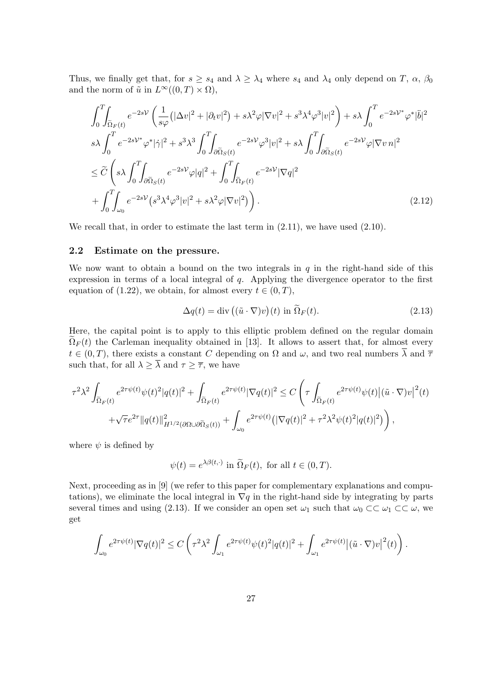Thus, we finally get that, for  $s \geq s_4$  and  $\lambda \geq \lambda_4$  where  $s_4$  and  $\lambda_4$  only depend on T,  $\alpha$ ,  $\beta_0$ and the norm of  $\tilde{u}$  in  $L^{\infty}((0,T) \times \Omega)$ ,

$$
\int_{0}^{T} \int_{\tilde{\Omega}_{F}(t)} e^{-2sV} \left( \frac{1}{s\varphi} \left( |\Delta v|^{2} + |\partial_{t} v|^{2} \right) + s\lambda^{2} \varphi |\nabla v|^{2} + s^{3} \lambda^{4} \varphi^{3} |v|^{2} \right) + s\lambda \int_{0}^{T} e^{-2sV^{*}} \varphi^{*} |\ddot{b}|^{2}
$$
\n
$$
s\lambda \int_{0}^{T} e^{-2sV^{*}} \varphi^{*} |\dot{\gamma}|^{2} + s^{3} \lambda^{3} \int_{0}^{T} \int_{\partial \tilde{\Omega}_{S}(t)} e^{-2sV} \varphi^{3} |v|^{2} + s\lambda \int_{0}^{T} \int_{\partial \tilde{\Omega}_{S}(t)} e^{-2sV} \varphi |\nabla v|^{2}
$$
\n
$$
\leq \widetilde{C} \left( s\lambda \int_{0}^{T} \int_{\partial \tilde{\Omega}_{S}(t)} e^{-2sV} \varphi |q|^{2} + \int_{0}^{T} \int_{\tilde{\Omega}_{F}(t)} e^{-2sV} |\nabla q|^{2} + \int_{0}^{T} \int_{\omega_{0}} e^{-2sV} (s^{3} \lambda^{4} \varphi^{3} |v|^{2} + s\lambda^{2} \varphi |\nabla v|^{2}) \right).
$$
\n(2.12)

We recall that, in order to estimate the last term in  $(2.11)$ , we have used  $(2.10)$ .

### 2.2 Estimate on the pressure.

We now want to obtain a bound on the two integrals in  $q$  in the right-hand side of this expression in terms of a local integral of q. Applying the divergence operator to the first equation of (1.22), we obtain, for almost every  $t \in (0, T)$ ,

$$
\Delta q(t) = \text{div}\left( (\tilde{u} \cdot \nabla)v \right)(t) \text{ in } \tilde{\Omega}_F(t). \tag{2.13}
$$

Here, the capital point is to apply to this elliptic problem defined on the regular domain  $\Omega_F(t)$  the Carleman inequality obtained in [13]. It allows to assert that, for almost every  $t \in (0,T)$ , there exists a constant C depending on  $\Omega$  and  $\omega$ , and two real numbers  $\overline{\lambda}$  and  $\overline{\tau}$ such that, for all  $\lambda \geq \overline{\lambda}$  and  $\tau \geq \overline{\tau}$ , we have

$$
\tau^2 \lambda^2 \int_{\tilde{\Omega}_F(t)} e^{2\tau \psi(t)} \psi(t)^2 |q(t)|^2 + \int_{\tilde{\Omega}_F(t)} e^{2\tau \psi(t)} |\nabla q(t)|^2 \leq C \left( \tau \int_{\tilde{\Omega}_F(t)} e^{2\tau \psi(t)} \psi(t) |(\tilde{u} \cdot \nabla) v|^2(t) \right. \\ \left. + \sqrt{\tau} e^{2\tau} ||q(t)||_{H^{1/2}(\partial \Omega \cup \partial \tilde{\Omega}_S(t))}^2 + \int_{\omega_0} e^{2\tau \psi(t)} (|\nabla q(t)|^2 + \tau^2 \lambda^2 \psi(t)^2 |q(t)|^2) \right),
$$

where  $\psi$  is defined by

$$
\psi(t) = e^{\lambda \beta(t, \cdot)} \text{ in } \widetilde{\Omega}_F(t), \text{ for all } t \in (0, T).
$$

Next, proceeding as in [9] (we refer to this paper for complementary explanations and computations), we eliminate the local integral in  $\nabla q$  in the right-hand side by integrating by parts several times and using (2.13). If we consider an open set  $\omega_1$  such that  $\omega_0 \subset\subset \omega_1 \subset\subset \omega$ , we get

$$
\int_{\omega_0} e^{2\tau\psi(t)} |\nabla q(t)|^2 \leq C \left( \tau^2 \lambda^2 \int_{\omega_1} e^{2\tau\psi(t)} \psi(t)^2 |q(t)|^2 + \int_{\omega_1} e^{2\tau\psi(t)} |(\tilde{u} \cdot \nabla) v|^2(t) \right).
$$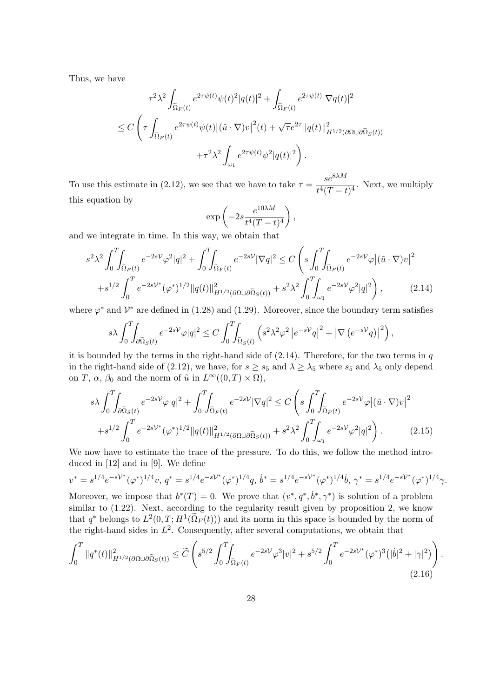Thus, we have

$$
\tau^2 \lambda^2 \int_{\tilde{\Omega}_F(t)} e^{2\tau \psi(t)} \psi(t)^2 |q(t)|^2 + \int_{\tilde{\Omega}_F(t)} e^{2\tau \psi(t)} |\nabla q(t)|^2
$$
  

$$
\leq C \left( \tau \int_{\tilde{\Omega}_F(t)} e^{2\tau \psi(t)} \psi(t) |(\tilde{u} \cdot \nabla) v|^2(t) + \sqrt{\tau} e^{2\tau} ||q(t)||^2_{H^{1/2}(\partial \Omega \cup \partial \tilde{\Omega}_S(t))} + \tau^2 \lambda^2 \int_{\omega_1} e^{2\tau \psi(t)} \psi^2 |q(t)|^2 \right).
$$

To use this estimate in (2.12), we see that we have to take  $\tau = \frac{se^{\&\lambda M}}{e^{A/T}}$  $\frac{60}{t^4(T-t)^4}$ . Next, we multiply this equation by

$$
\exp\left(-2s\frac{e^{10\lambda M}}{t^4(T-t)^4}\right),\,
$$

and we integrate in time. In this way, we obtain that

$$
s^{2} \lambda^{2} \int_{0}^{T} \int_{\tilde{\Omega}_{F}(t)} e^{-2s\mathcal{V}} \varphi^{2} |q|^{2} + \int_{0}^{T} \int_{\tilde{\Omega}_{F}(t)} e^{-2s\mathcal{V}} |\nabla q|^{2} \leq C \left( s \int_{0}^{T} \int_{\tilde{\Omega}_{F}(t)} e^{-2s\mathcal{V}} \varphi |(\tilde{u} \cdot \nabla) v|^{2} + s^{1/2} \int_{0}^{T} e^{-2s\mathcal{V}^{*}} (\varphi^{*})^{1/2} ||q(t)||_{H^{1/2}(\partial \Omega \cup \partial \tilde{\Omega}_{S}(t))}^{2} + s^{2} \lambda^{2} \int_{0}^{T} \int_{\omega_{1}} e^{-2s\mathcal{V}} \varphi^{2} |q|^{2} \right), \qquad (2.14)
$$

where  $\varphi^*$  and  $\mathcal{V}^*$  are defined in (1.28) and (1.29). Moreover, since the boundary term satisfies

$$
s\lambda \int_0^T \int_{\partial \widetilde{\Omega}_S(t)} e^{-2s\mathcal{V}} \varphi |q|^2 \leq C \int_0^T \int_{\widetilde{\Omega}_S(t)} \left( s^2 \lambda^2 \varphi^2 \left| e^{-s\mathcal{V}} q \right|^2 + \left| \nabla \left( e^{-s\mathcal{V}} q \right) \right|^2 \right),
$$

it is bounded by the terms in the right-hand side of  $(2.14)$ . Therefore, for the two terms in q in the right-hand side of (2.12), we have, for  $s \geq s_5$  and  $\lambda \geq \lambda_5$  where  $s_5$  and  $\lambda_5$  only depend on T,  $\alpha$ ,  $\beta_0$  and the norm of  $\tilde{u}$  in  $L^{\infty}((0,T) \times \Omega)$ ,

$$
s\lambda \int_0^T \int_{\partial \tilde{\Omega}_S(t)} e^{-2s\mathcal{V}} \varphi |q|^2 + \int_0^T \int_{\tilde{\Omega}_F(t)} e^{-2s\mathcal{V}} |\nabla q|^2 \leq C \left( s \int_0^T \int_{\tilde{\Omega}_F(t)} e^{-2s\mathcal{V}} \varphi |(\tilde{u} \cdot \nabla) v|^2 + s^{1/2} \int_0^T e^{-2s\mathcal{V}^*} (\varphi^*)^{1/2} ||q(t)||_{H^{1/2}(\partial \Omega \cup \partial \tilde{\Omega}_S(t))}^2 + s^2 \lambda^2 \int_0^T \int_{\omega_1} e^{-2s\mathcal{V}} \varphi^2 |q|^2 \right). \tag{2.15}
$$

We now have to estimate the trace of the pressure. To do this, we follow the method introduced in [12] and in [9]. We define

$$
v^* = s^{1/4} e^{-s\mathcal{V}^*} (\varphi^*)^{1/4} v, q^* = s^{1/4} e^{-s\mathcal{V}^*} (\varphi^*)^{1/4} q, b^* = s^{1/4} e^{-s\mathcal{V}^*} (\varphi^*)^{1/4} b, \gamma^* = s^{1/4} e^{-s\mathcal{V}^*} (\varphi^*)^{1/4} \gamma.
$$

Moreover, we impose that  $b^*(T) = 0$ . We prove that  $(v^*, q^*, \dot{b}^*, \gamma^*)$  is solution of a problem similar to (1.22). Next, according to the regularity result given by proposition 2, we know that  $q^*$  belongs to  $L^2(0,T;H^1(\tilde{\Omega}_F(t)))$  and its norm in this space is bounded by the norm of the right-hand sides in  $L^2$ . Consequently, after several computations, we obtain that

$$
\int_0^T \|q^*(t)\|_{H^{1/2}(\partial\Omega \cup \partial \tilde{\Omega}_S(t))}^2 \le \widetilde{C} \left( s^{5/2} \int_0^T \int_{\tilde{\Omega}_F(t)} e^{-2s\mathcal{V}} \varphi^3 |v|^2 + s^{5/2} \int_0^T e^{-2s\mathcal{V}^*} (\varphi^*)^3 (|\dot{b}|^2 + |\gamma|^2) \right). \tag{2.16}
$$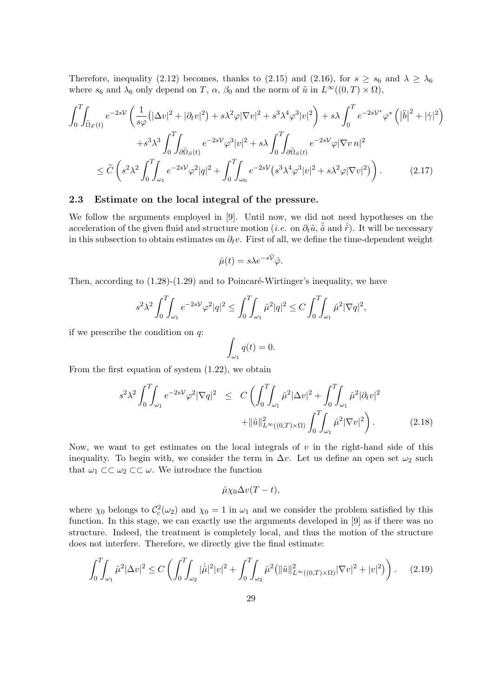Therefore, inequality (2.12) becomes, thanks to (2.15) and (2.16), for  $s \ge s_6$  and  $\lambda \ge \lambda_6$ where  $s_6$  and  $\lambda_6$  only depend on T,  $\alpha$ ,  $\beta_0$  and the norm of  $\tilde{u}$  in  $L^{\infty}((0,T)\times\Omega)$ ,

$$
\int_{0}^{T} \int_{\tilde{\Omega}_{F}(t)} e^{-2sV} \left( \frac{1}{s\varphi} \left( |\Delta v|^{2} + |\partial_{t} v|^{2} \right) + s\lambda^{2} \varphi |\nabla v|^{2} + s^{3} \lambda^{4} \varphi^{3} |v|^{2} \right) + s\lambda \int_{0}^{T} e^{-2sV^{*}} \varphi^{*} \left( |\ddot{b}|^{2} + |\dot{\gamma}|^{2} \right) \n+ s^{3} \lambda^{3} \int_{0}^{T} \int_{\partial \tilde{\Omega}_{S}(t)} e^{-2sV} \varphi^{3} |v|^{2} + s\lambda \int_{0}^{T} \int_{\partial \tilde{\Omega}_{S}(t)} e^{-2sV} \varphi |\nabla v \eta|^{2} \n\leq \widetilde{C} \left( s^{2} \lambda^{2} \int_{0}^{T} \int_{\omega_{1}} e^{-2sV} \varphi^{2} |q|^{2} + \int_{0}^{T} \int_{\omega_{0}} e^{-2sV} \left( s^{3} \lambda^{4} \varphi^{3} |v|^{2} + s\lambda^{2} \varphi |\nabla v|^{2} \right) \right).
$$
\n(2.17)

#### 2.3 Estimate on the local integral of the pressure.

We follow the arguments employed in [9]. Until now, we did not need hypotheses on the acceleration of the given fluid and structure motion (*i.e.* on  $\partial_t \tilde{u}$ ,  $\tilde{a}$  and  $\dot{\tilde{r}}$ ). It will be necessary in this subsection to obtain estimates on  $\partial_t v$ . First of all, we define the time-dependent weight

$$
\hat{\mu}(t) = s\lambda e^{-s\hat{\mathcal{V}}}\hat{\varphi}.
$$

Then, according to  $(1.28)-(1.29)$  and to Poincaré-Wirtinger's inequality, we have

$$
s^2 \lambda^2 \int_0^T \!\!\! \int_{\omega_1} e^{-2s\mathcal{V}} \varphi^2 |q|^2 \leq \int_0^T \!\!\! \int_{\omega_1} \hat{\mu}^2 |q|^2 \leq C \int_0^T \!\!\! \int_{\omega_1} \hat{\mu}^2 |\nabla q|^2,
$$

if we prescribe the condition on q:

$$
\int_{\omega_1} q(t) = 0.
$$

From the first equation of system (1.22), we obtain

$$
s^{2} \lambda^{2} \int_{0}^{T} \int_{\omega_{1}} e^{-2sV} \varphi^{2} |\nabla q|^{2} \leq C \left( \int_{0}^{T} \int_{\omega_{1}} \hat{\mu}^{2} |\Delta v|^{2} + \int_{0}^{T} \int_{\omega_{1}} \hat{\mu}^{2} |\partial_{t} v|^{2} + ||\tilde{u}||_{L^{\infty}((0,T) \times \Omega)}^{2} \int_{0}^{T} \int_{\omega_{1}} \hat{\mu}^{2} |\nabla v|^{2} \right).
$$
 (2.18)

Now, we want to get estimates on the local integrals of  $v$  in the right-hand side of this inequality. To begin with, we consider the term in  $\Delta v$ . Let us define an open set  $\omega_2$  such that  $\omega_1 \subset \subset \omega_2 \subset \subset \omega$ . We introduce the function

$$
\hat{\mu}\chi_0\Delta v(T-t),
$$

where  $\chi_0$  belongs to  $C_c^2(\omega_2)$  and  $\chi_0 = 1$  in  $\omega_1$  and we consider the problem satisfied by this function. In this stage, we can exactly use the arguments developed in [9] as if there was no structure. Indeed, the treatment is completely local, and thus the motion of the structure does not interfere. Therefore, we directly give the final estimate:

$$
\int_0^T \int_{\omega_1} \hat{\mu}^2 |\Delta v|^2 \le C \left( \int_0^T \int_{\omega_2} |\dot{\hat{\mu}}|^2 |v|^2 + \int_0^T \int_{\omega_2} \hat{\mu}^2 (||\tilde{u}||^2_{L^\infty((0,T)\times\Omega)} |\nabla v|^2 + |v|^2) \right). \tag{2.19}
$$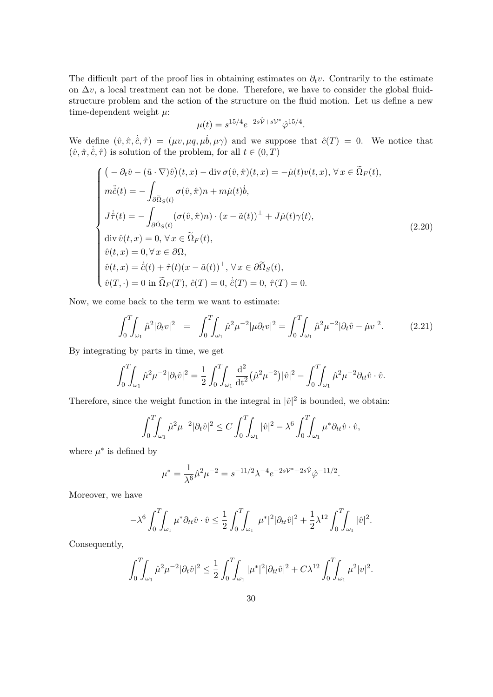The difficult part of the proof lies in obtaining estimates on  $\partial_t v$ . Contrarily to the estimate on  $\Delta v$ , a local treatment can not be done. Therefore, we have to consider the global fluidstructure problem and the action of the structure on the fluid motion. Let us define a new time-dependent weight  $\mu$ :

$$
\mu(t) = s^{15/4} e^{-2s\hat{V} + sV^*} \hat{\varphi}^{15/4}.
$$

We define  $(\hat{v}, \hat{\pi}, \dot{\hat{c}}, \hat{\tau}) = (\mu v, \mu q, \mu \dot{b}, \mu \gamma)$  and we suppose that  $\hat{c}(T) = 0$ . We notice that  $(\hat{v}, \hat{\pi}, \dot{\hat{c}}, \hat{\tau})$  is solution of the problem, for all  $t \in (0, T)$ 

$$
\begin{cases}\n\left(-\partial_t \hat{v} - (\tilde{u} \cdot \nabla)\hat{v}\right)(t, x) - \text{div }\sigma(\hat{v}, \hat{\pi})(t, x) = -\dot{\mu}(t)v(t, x), \forall x \in \tilde{\Omega}_F(t), \\
m\ddot{\hat{c}}(t) = -\int_{\partial \tilde{\Omega}_S(t)} \sigma(\hat{v}, \hat{\pi})n + m\dot{\mu}(t)\dot{b}, \\
J\dot{\tau}(t) = -\int_{\partial \tilde{\Omega}_S(t)} (\sigma(\hat{v}, \hat{\pi})n) \cdot (x - \tilde{a}(t))^{\perp} + J\dot{\mu}(t)\gamma(t), \\
\text{div }\hat{v}(t, x) = 0, \forall x \in \tilde{\Omega}_F(t), \\
\hat{v}(t, x) = 0, \forall x \in \partial\Omega, \\
\hat{v}(t, x) = \dot{\hat{c}}(t) + \hat{\tau}(t)(x - \tilde{a}(t))^{\perp}, \forall x \in \partial \tilde{\Omega}_S(t), \\
\hat{v}(T, \cdot) = 0 \text{ in } \tilde{\Omega}_F(T), \hat{c}(T) = 0, \hat{c}(T) = 0, \hat{\tau}(T) = 0.\n\end{cases}
$$
\n(2.20)

Now, we come back to the term we want to estimate:

$$
\int_0^T \int_{\omega_1} \hat{\mu}^2 |\partial_t v|^2 = \int_0^T \int_{\omega_1} \hat{\mu}^2 \mu^{-2} |\mu \partial_t v|^2 = \int_0^T \int_{\omega_1} \hat{\mu}^2 \mu^{-2} |\partial_t \hat{v} - \mu v|^2. \tag{2.21}
$$

By integrating by parts in time, we get

$$
\int_0^T \int_{\omega_1} \hat{\mu}^2 \mu^{-2} |\partial_t \hat{v}|^2 = \frac{1}{2} \int_0^T \int_{\omega_1} \frac{d^2}{dt^2} (\hat{\mu}^2 \mu^{-2}) |\hat{v}|^2 - \int_0^T \int_{\omega_1} \hat{\mu}^2 \mu^{-2} \partial_{tt} \hat{v} \cdot \hat{v}.
$$

Therefore, since the weight function in the integral in  $|\hat{v}|^2$  is bounded, we obtain:

$$
\int_0^T \int_{\omega_1} \hat{\mu}^2 \mu^{-2} |\partial_t \hat{v}|^2 \le C \int_0^T \int_{\omega_1} |\hat{v}|^2 - \lambda^6 \int_0^T \int_{\omega_1} \mu^* \partial_{tt} \hat{v} \cdot \hat{v},
$$

where  $\mu^*$  is defined by

$$
\mu^* = \frac{1}{\lambda^6} \hat{\mu}^2 \mu^{-2} = s^{-11/2} \lambda^{-4} e^{-2s\mathcal{V}^* + 2s\hat{\mathcal{V}}}\hat{\varphi}^{-11/2}.
$$

Moreover, we have

$$
-\lambda^6 \int_0^T \int_{\omega_1} \mu^* \partial_{tt} \hat{v} \cdot \hat{v} \leq \frac{1}{2} \int_0^T \int_{\omega_1} |\mu^*|^2 |\partial_{tt} \hat{v}|^2 + \frac{1}{2} \lambda^{12} \int_0^T \int_{\omega_1} |\hat{v}|^2.
$$

Consequently,

$$
\int_0^T \int_{\omega_1} \hat{\mu}^2 \mu^{-2} |\partial_t \hat{v}|^2 \leq \frac{1}{2} \int_0^T \int_{\omega_1} |\mu^*|^2 |\partial_{tt} \hat{v}|^2 + C \lambda^{12} \int_0^T \int_{\omega_1} \mu^2 |v|^2.
$$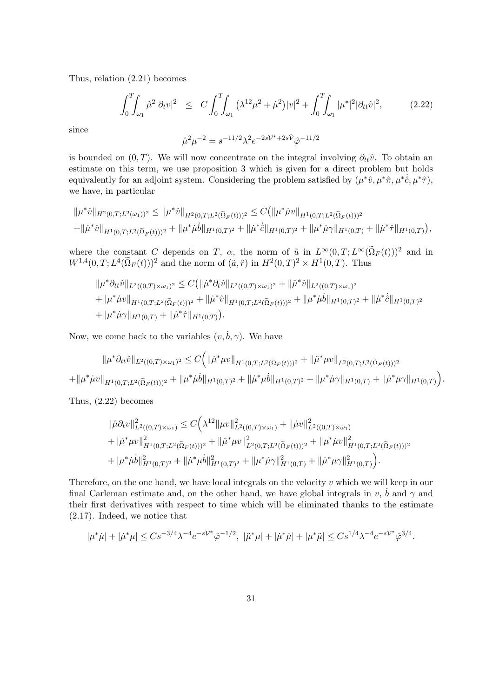Thus, relation (2.21) becomes

$$
\int_0^T \int_{\omega_1} \hat{\mu}^2 |\partial_t v|^2 \le C \int_0^T \int_{\omega_1} (\lambda^{12} \mu^2 + \dot{\mu}^2) |v|^2 + \int_0^T \int_{\omega_1} |\mu^*|^2 |\partial_{tt} \hat{v}|^2, \tag{2.22}
$$

since

$$
\hat{\mu}^2 \mu^{-2} = s^{-11/2} \lambda^2 e^{-2s\mathcal{V}^* + 2s\hat{\mathcal{V}}_{\hat{\varphi}} - 11/2}
$$

is bounded on  $(0, T)$ . We will now concentrate on the integral involving  $\partial_{tt}\hat{v}$ . To obtain an estimate on this term, we use proposition 3 which is given for a direct problem but holds equivalently for an adjoint system. Considering the problem satisfied by  $(\mu^*\hat{v}, \mu^*\hat{\pi}, \mu^*\dot{c}, \mu^*\hat{\tau})$ , we have, in particular

$$
\|\mu^*\hat{v}\|_{H^2(0,T;L^2(\omega_1))^2} \le \|\mu^*\hat{v}\|_{H^2(0,T;L^2(\tilde{\Omega}_F(t)))^2} \le C(\|\mu^*\mu v\|_{H^1(0,T;L^2(\tilde{\Omega}_F(t)))^2}
$$
  
 
$$
+\|\mu^*\hat{v}\|_{H^1(0,T;L^2(\tilde{\Omega}_F(t)))^2} + \|\mu^*\mu\hat{b}\|_{H^1(0,T)^2} + \|\mu^*\hat{c}\|_{H^1(0,T)^2} + \|\mu^*\mu\gamma\|_{H^1(0,T)} + \|\mu^*\hat{\tau}\|_{H^1(0,T)}),
$$

where the constant C depends on T,  $\alpha$ , the norm of  $\tilde{u}$  in  $L^{\infty}(0,T;L^{\infty}(\tilde{\Omega}_F(t)))^2$  and in  $W^{1,4}(0,T; L^4(\tilde{\Omega}_F(t)))^2$  and the norm of  $(\tilde{a}, \tilde{r})$  in  $H^2(0,T)^2 \times H^1(0,T)$ . Thus

$$
\|\mu^*\partial_{tt}\hat{v}\|_{L^2((0,T)\times\omega_1)^2} \leq C \big( \|\dot{\mu}^*\partial_t \hat{v}\|_{L^2((0,T)\times\omega_1)^2} + \|\ddot{\mu}^*\hat{v}\|_{L^2((0,T)\times\omega_1)^2}
$$
  
+ 
$$
\|\mu^*\dot{\mu}v\|_{H^1(0,T;L^2(\tilde{\Omega}_F(t)))^2} + \|\dot{\mu}^*\hat{v}\|_{H^1(0,T;L^2(\tilde{\Omega}_F(t)))^2} + \|\mu^*\dot{\mu}\dot{b}\|_{H^1(0,T)^2} + \|\dot{\mu}^*\dot{\hat{c}}\|_{H^1(0,T)^2}
$$
  
+ 
$$
\|\mu^*\dot{\mu}\gamma\|_{H^1(0,T)} + \|\dot{\mu}^*\hat{\tau}\|_{H^1(0,T)} \big).
$$

Now, we come back to the variables  $(v, \dot{b}, \gamma)$ . We have

$$
\|\mu^*\partial_{tt}\hat{v}\|_{L^2((0,T)\times\omega_1)^2} \leq C \Big( \|\dot{\mu}^*\mu v\|_{H^1(0,T;L^2(\tilde{\Omega}_F(t)))^2} + \|\ddot{\mu}^*\mu v\|_{L^2(0,T;L^2(\tilde{\Omega}_F(t)))^2}
$$
  
+
$$
\|\mu^*\dot{\mu}v\|_{H^1(0,T;L^2(\tilde{\Omega}_F(t)))^2} + \|\mu^*\dot{\mu}\dot{v}\|_{H^1(0,T)^2} + \|\dot{\mu}^*\mu\dot{v}\|_{H^1(0,T)^2} + \|\mu^*\dot{\mu}\gamma\|_{H^1(0,T)} + \|\dot{\mu}^*\mu\gamma\|_{H^1(0,T)} \Big).
$$

Thus, (2.22) becomes

$$
\|\hat{\mu}\partial_t v\|_{L^2((0,T)\times\omega_1)}^2 \leq C\Big(\lambda^{12}\|\mu v\|_{L^2((0,T)\times\omega_1)}^2 + \|\dot{\mu}v\|_{L^2((0,T)\times\omega_1)}^2 \n+ \|\dot{\mu}^*\mu v\|_{H^1(0,T;L^2(\tilde{\Omega}_F(t)))^2}^2 + \|\ddot{\mu}^*\mu v\|_{L^2(0,T;L^2(\tilde{\Omega}_F(t)))^2}^2 + \|\mu^*\dot{\mu}v\|_{H^1(0,T;L^2(\tilde{\Omega}_F(t)))^2}^2 \n+ \|\mu^*\dot{\mu}\dot{b}\|_{H^1(0,T)^2}^2 + \|\dot{\mu}^*\mu\dot{b}\|_{H^1(0,T)^2}^2 + \|\mu^*\dot{\mu}\gamma\|_{H^1(0,T)}^2 + \|\dot{\mu}^*\mu\gamma\|_{H^1(0,T)}^2\Big).
$$

Therefore, on the one hand, we have local integrals on the velocity  $v$  which we will keep in our final Carleman estimate and, on the other hand, we have global integrals in v,  $\dot{b}$  and  $\gamma$  and their first derivatives with respect to time which will be eliminated thanks to the estimate (2.17). Indeed, we notice that

$$
|\mu^*\mu| + |\dot{\mu}^*\mu| \le Cs^{-3/4}\lambda^{-4}e^{-s\mathcal{V}^*}\hat{\varphi}^{-1/2}, \ |\ddot{\mu}^*\mu| + |\dot{\mu}^*\dot{\mu}| + |\mu^*\ddot{\mu}| \le Cs^{1/4}\lambda^{-4}e^{-s\mathcal{V}^*}\hat{\varphi}^{3/4}.
$$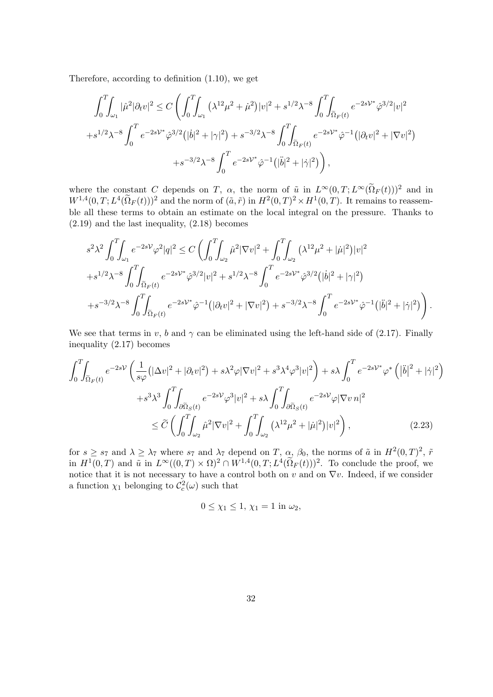Therefore, according to definition (1.10), we get

$$
\int_{0}^{T} \int_{\omega_{1}} |\hat{\mu}^{2}|\partial_{t}v|^{2} \leq C \left( \int_{0}^{T} \int_{\omega_{1}} (\lambda^{12} \mu^{2} + \dot{\mu}^{2}) |v|^{2} + s^{1/2} \lambda^{-8} \int_{0}^{T} \int_{\tilde{\Omega}_{F}(t)} e^{-2sV^{*}} \hat{\varphi}^{3/2} |v|^{2} + s^{1/2} \lambda^{-8} \int_{0}^{T} e^{-2sV^{*}} \hat{\varphi}^{3/2} (|\dot{b}|^{2} + |\gamma|^{2}) + s^{-3/2} \lambda^{-8} \int_{0}^{T} \int_{\tilde{\Omega}_{F}(t)} e^{-2sV^{*}} \hat{\varphi}^{-1} (|\partial_{t}v|^{2} + |\nabla v|^{2}) + s^{-3/2} \lambda^{-8} \int_{0}^{T} e^{-2sV^{*}} \hat{\varphi}^{-1} (|\ddot{b}|^{2} + |\dot{\gamma}|^{2}) \right),
$$

where the constant C depends on T,  $\alpha$ , the norm of  $\tilde{u}$  in  $L^{\infty}(0,T;L^{\infty}(\tilde{\Omega}_F(t)))^2$  and in  $W^{1,4}(0,T; L^4(\tilde{\Omega}_F(t)))^2$  and the norm of  $(\tilde{a}, \tilde{r})$  in  $H^2(0,T)^2 \times H^1(0,T)$ . It remains to reassemble all these terms to obtain an estimate on the local integral on the pressure. Thanks to (2.19) and the last inequality, (2.18) becomes

$$
s^{2} \lambda^{2} \int_{0}^{T} \int_{\omega_{1}} e^{-2s\mathcal{V}} \varphi^{2} |q|^{2} \leq C \left( \int_{0}^{T} \int_{\omega_{2}} \hat{\mu}^{2} |\nabla v|^{2} + \int_{0}^{T} \int_{\omega_{2}} (\lambda^{12} \mu^{2} + |\dot{\mu}|^{2}) |v|^{2} \right. \left. + s^{1/2} \lambda^{-8} \int_{0}^{T} \int_{\tilde{\Omega}_{F}(t)} e^{-2s\mathcal{V}^{*}} \hat{\varphi}^{3/2} |v|^{2} + s^{1/2} \lambda^{-8} \int_{0}^{T} e^{-2s\mathcal{V}^{*}} \hat{\varphi}^{3/2} (|\dot{b}|^{2} + |\gamma|^{2}) \right. \left. + s^{-3/2} \lambda^{-8} \int_{0}^{T} \int_{\tilde{\Omega}_{F}(t)} e^{-2s\mathcal{V}^{*}} \hat{\varphi}^{-1} (|\partial_{t} v|^{2} + |\nabla v|^{2}) + s^{-3/2} \lambda^{-8} \int_{0}^{T} e^{-2s\mathcal{V}^{*}} \hat{\varphi}^{-1} (|\ddot{b}|^{2} + |\dot{\gamma}|^{2}) \right). \right.
$$

We see that terms in v, b and  $\gamma$  can be eliminated using the left-hand side of (2.17). Finally inequality (2.17) becomes

$$
\int_{0}^{T} \int_{\tilde{\Omega}_{F}(t)} e^{-2s\mathcal{V}} \left( \frac{1}{s\varphi} \left( |\Delta v|^{2} + |\partial_{t} v|^{2} \right) + s\lambda^{2} \varphi |\nabla v|^{2} + s^{3} \lambda^{4} \varphi^{3} |v|^{2} \right) + s\lambda \int_{0}^{T} e^{-2s\mathcal{V}^{*}} \varphi^{*} \left( |\ddot{b}|^{2} + |\dot{\gamma}|^{2} \right) + s^{3} \lambda^{3} \int_{0}^{T} \int_{\partial \tilde{\Omega}_{S}(t)} e^{-2s\mathcal{V}} \varphi^{3} |v|^{2} + s\lambda \int_{0}^{T} \int_{\partial \tilde{\Omega}_{S}(t)} e^{-2s\mathcal{V}} \varphi |\nabla v \eta|^{2} \n\leq \widetilde{C} \left( \int_{0}^{T} \int_{\omega_{2}} \hat{\mu}^{2} |\nabla v|^{2} + \int_{0}^{T} \int_{\omega_{2}} (\lambda^{12} \mu^{2} + |\dot{\mu}|^{2}) |v|^{2} \right), \tag{2.23}
$$

for  $s \geq s_7$  and  $\lambda \geq \lambda_7$  where  $s_7$  and  $\lambda_7$  depend on  $T$ ,  $\alpha$ ,  $\beta_0$ , the norms of  $\tilde{a}$  in  $H^2(0,T)^2$ ,  $\tilde{r}$ in  $H^1(0,T)$  and  $\tilde{u}$  in  $L^{\infty}((0,T) \times \Omega)^2 \cap W^{1,4}(0,T; L^4(\tilde{\Omega}_F(t)))^2$ . To conclude the proof, we notice that it is not necessary to have a control both on v and on  $\nabla v$ . Indeed, if we consider a function  $\chi_1$  belonging to  $\mathcal{C}_c^2(\omega)$  such that

$$
0\leq \chi_1\leq 1, \,\chi_1=1\,\,\mathrm{in}\,\,\omega_2,
$$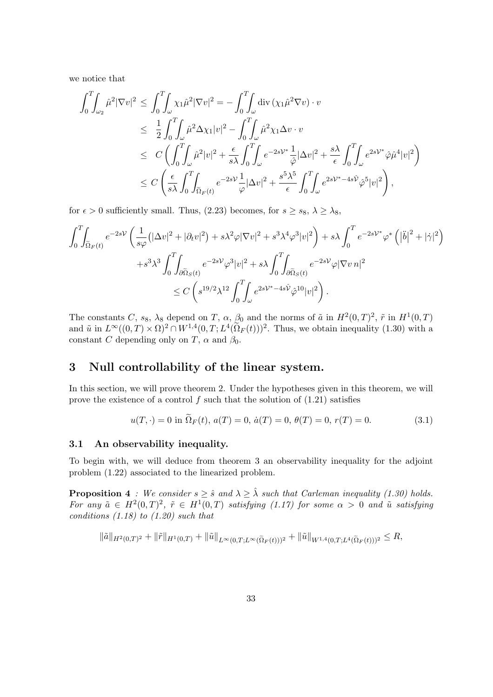we notice that

$$
\int_0^T \int_{\omega_2} \hat{\mu}^2 |\nabla v|^2 \le \int_0^T \int_{\omega} \chi_1 \hat{\mu}^2 |\nabla v|^2 = -\int_0^T \int_{\omega} \text{div} (\chi_1 \hat{\mu}^2 \nabla v) \cdot v
$$
  
\n
$$
\le \frac{1}{2} \int_0^T \int_{\omega} \hat{\mu}^2 \Delta \chi_1 |v|^2 - \int_0^T \int_{\omega} \hat{\mu}^2 \chi_1 \Delta v \cdot v
$$
  
\n
$$
\le C \left( \int_0^T \int_{\omega} \hat{\mu}^2 |v|^2 + \frac{\epsilon}{s\lambda} \int_0^T \int_{\omega} e^{-2s\mathcal{V}^*} \frac{1}{\hat{\varphi}} |\Delta v|^2 + \frac{s\lambda}{\epsilon} \int_0^T \int_{\omega} e^{2s\mathcal{V}^*} \hat{\varphi} \hat{\mu}^4 |v|^2 \right)
$$
  
\n
$$
\le C \left( \frac{\epsilon}{s\lambda} \int_0^T \int_{\tilde{\Omega}_F(t)} e^{-2s\mathcal{V}} \frac{1}{\varphi} |\Delta v|^2 + \frac{s^5 \lambda^5}{\epsilon} \int_0^T \int_{\omega} e^{2s\mathcal{V}^* - 4s\hat{\mathcal{V}}} \hat{\varphi}^5 |v|^2 \right),
$$

for  $\epsilon > 0$  sufficiently small. Thus, (2.23) becomes, for  $s \ge s_8$ ,  $\lambda \ge \lambda_8$ ,

$$
\int_0^T \int_{\tilde{\Omega}_F(t)} e^{-2sV} \left( \frac{1}{s\varphi} \left( |\Delta v|^2 + |\partial_t v|^2 \right) + s\lambda^2 \varphi |\nabla v|^2 + s^3 \lambda^4 \varphi^3 |v|^2 \right) + s\lambda \int_0^T e^{-2sV^*} \varphi^* \left( |\ddot{b}|^2 + |\dot{\gamma}|^2 \right) + s^3 \lambda^3 \int_0^T \int_{\partial \tilde{\Omega}_S(t)} e^{-2sV} \varphi^3 |v|^2 + s\lambda \int_0^T \int_{\partial \tilde{\Omega}_S(t)} e^{-2sV} \varphi |\nabla v \eta|^2 \n\leq C \left( s^{19/2} \lambda^{12} \int_0^T \int_{\omega} e^{2sV^* - 4s\hat{V}} \hat{\varphi}^{10} |v|^2 \right).
$$

The constants C,  $s_8$ ,  $\lambda_8$  depend on T,  $\alpha$ ,  $\beta_0$  and the norms of  $\tilde{a}$  in  $H^2(0,T)^2$ ,  $\tilde{r}$  in  $H^1(0,T)$ and  $\tilde{u}$  in  $L^{\infty}((0,T) \times \Omega)^2 \cap W^{1,4}(0,T; L^4(\tilde{\Omega}_F(t)))^2$ . Thus, we obtain inequality (1.30) with a constant C depending only on T,  $\alpha$  and  $\beta_0$ .

## 3 Null controllability of the linear system.

In this section, we will prove theorem 2. Under the hypotheses given in this theorem, we will prove the existence of a control  $f$  such that the solution of  $(1.21)$  satisfies

$$
u(T, \cdot) = 0 \text{ in } \Omega_F(t), \ a(T) = 0, \ \dot{a}(T) = 0, \ \theta(T) = 0, \ r(T) = 0. \tag{3.1}
$$

#### 3.1 An observability inequality.

To begin with, we will deduce from theorem 3 an observability inequality for the adjoint problem (1.22) associated to the linearized problem.

**Proposition 4** : We consider  $s \geq \hat{s}$  and  $\lambda \geq \hat{\lambda}$  such that Carleman inequality (1.30) holds. For any  $\tilde{a} \in H^2(0,T)^2$ ,  $\tilde{r} \in H^1(0,T)$  satisfying (1.17) for some  $\alpha > 0$  and  $\tilde{u}$  satisfying conditions  $(1.18)$  to  $(1.20)$  such that

$$
\|\tilde{a}\|_{H^2(0,T)^2} + \|\tilde{r}\|_{H^1(0,T)} + \|\tilde{u}\|_{L^\infty(0,T;L^\infty(\widetilde{\Omega}_F(t)))^2} + \|\tilde{u}\|_{W^{1,4}(0,T;L^4(\widetilde{\Omega}_F(t)))^2} \leq R,
$$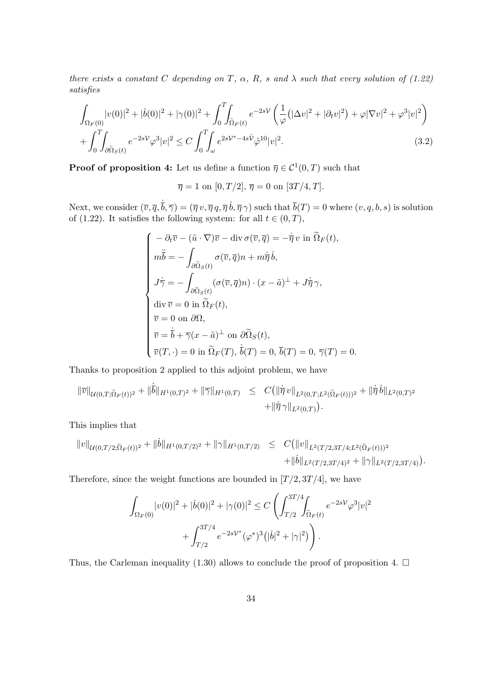there exists a constant C depending on T,  $\alpha$ , R, s and  $\lambda$  such that every solution of (1.22) satisfies

$$
\int_{\Omega_F(0)} |v(0)|^2 + |\dot{b}(0)|^2 + |\gamma(0)|^2 + \int_0^T \int_{\tilde{\Omega}_F(t)} e^{-2sV} \left( \frac{1}{\varphi} (|\Delta v|^2 + |\partial_t v|^2) + \varphi |\nabla v|^2 + \varphi^3 |v|^2 \right) + \int_0^T \int_{\partial \tilde{\Omega}_S(t)} e^{-2sV} \varphi^3 |v|^2 \le C \int_0^T \int_{\omega} e^{2sV^* - 4s\hat{V}} \hat{\varphi}^{10} |v|^2.
$$
\n(3.2)

**Proof of proposition 4:** Let us define a function  $\overline{\eta} \in C^1(0,T)$  such that

 $\overline{\eta} = 1$  on  $[0, T/2], \overline{\eta} = 0$  on  $[3T/4, T].$ 

Next, we consider  $(\overline{v}, \overline{q}, \dot{\overline{b}}, \overline{\gamma}) = (\overline{\eta} v, \overline{\eta} q, \overline{\eta} \dot{b}, \overline{\eta} \gamma)$  such that  $\overline{b}(T) = 0$  where  $(v, q, b, s)$  is solution of (1.22). It satisfies the following system: for all  $t \in (0, T)$ ,

$$
\begin{cases}\n-\partial_t \overline{v} - (\tilde{u} \cdot \nabla) \overline{v} - \text{div} \,\sigma(\overline{v}, \overline{q}) = -\dot{\overline{\eta}} \, v \text{ in } \widetilde{\Omega}_F(t), \\
m\ddot{\overline{b}} = -\int_{\partial \widetilde{\Omega}_S(t)} \sigma(\overline{v}, \overline{q}) n + m\dot{\overline{\eta}} \, \dot{b}, \\
J\dot{\overline{\gamma}} = -\int_{\partial \widetilde{\Omega}_S(t)} (\sigma(\overline{v}, \overline{q}) n) \cdot (x - \tilde{a})^\perp + J\dot{\overline{\eta}} \gamma, \\
\text{div } \overline{v} = 0 \text{ in } \widetilde{\Omega}_F(t), \\
\overline{v} = 0 \text{ on } \partial \Omega, \\
\overline{v} = \dot{\overline{b}} + \overline{\gamma}(x - \tilde{a})^\perp \text{ on } \partial \widetilde{\Omega}_S(t), \\
\overline{v}(T, \cdot) = 0 \text{ in } \widetilde{\Omega}_F(T), \dot{\overline{b}}(T) = 0, \overline{b}(T) = 0, \overline{\gamma}(T) = 0.\n\end{cases}
$$

Thanks to proposition 2 applied to this adjoint problem, we have

 $\ddot{\phantom{a}}$ 

$$
\|\overline{v}\|_{\mathcal{U}(0,T;\widetilde{\Omega}_F(t))^2} + \|\overline{b}\|_{H^1(0,T)^2} + \|\overline{\gamma}\|_{H^1(0,T)} \leq C(\|\overline{\eta}v\|_{L^2(0,T;L^2(\widetilde{\Omega}_F(t)))^2} + \|\overline{\eta}v\|_{L^2(0,T)^2} + \|\overline{\eta}v\|_{L^2(0,T)}).
$$

This implies that

$$
||v||_{\mathcal{U}(0,T/2;\widetilde{\Omega}_F(t))^2} + ||\dot{b}||_{H^1(0,T/2)^2} + ||\gamma||_{H^1(0,T/2)} \leq C(||v||_{L^2(T/2,3T/4;L^2(\widetilde{\Omega}_F(t)))^2} + ||\dot{b}||_{L^2(T/2,3T/4)^2} + ||\gamma||_{L^2(T/2,3T/4)}).
$$

Therefore, since the weight functions are bounded in  $[T/2, 3T/4]$ , we have

$$
\int_{\Omega_F(0)} |v(0)|^2 + |\dot{b}(0)|^2 + |\gamma(0)|^2 \le C \left( \int_{T/2}^{3T/4} \int_{\tilde{\Omega}_F(t)} e^{-2s\mathcal{V}} \varphi^3 |v|^2 + \int_{T/2}^{3T/4} e^{-2s\mathcal{V}^*} (\varphi^*)^3 (|\dot{b}|^2 + |\gamma|^2) \right).
$$

Thus, the Carleman inequality (1.30) allows to conclude the proof of proposition 4.  $\Box$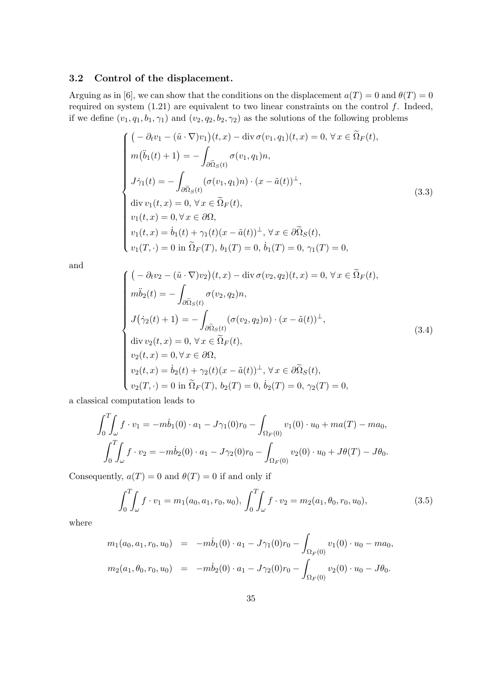## 3.2 Control of the displacement.

Arguing as in [6], we can show that the conditions on the displacement  $a(T) = 0$  and  $\theta(T) = 0$ required on system  $(1.21)$  are equivalent to two linear constraints on the control f. Indeed, if we define  $(v_1, q_1, b_1, \gamma_1)$  and  $(v_2, q_2, b_2, \gamma_2)$  as the solutions of the following problems

$$
\begin{cases}\n\left(-\partial_t v_1 - (\tilde{u} \cdot \nabla)v_1\right)(t, x) - \text{div }\sigma(v_1, q_1)(t, x) = 0, \forall x \in \tilde{\Omega}_F(t), \\
m(\ddot{b}_1(t) + 1) = -\int_{\partial \tilde{\Omega}_S(t)} \sigma(v_1, q_1) n, \\
J\dot{\gamma}_1(t) = -\int_{\partial \tilde{\Omega}_S(t)} (\sigma(v_1, q_1) n) \cdot (x - \tilde{a}(t))^{\perp}, \\
\text{div } v_1(t, x) = 0, \forall x \in \tilde{\Omega}_F(t), \\
v_1(t, x) = 0, \forall x \in \partial \Omega, \\
v_1(t, x) = \dot{b}_1(t) + \gamma_1(t)(x - \tilde{a}(t))^{\perp}, \forall x \in \partial \tilde{\Omega}_S(t), \\
v_1(T, \cdot) = 0 \text{ in } \tilde{\Omega}_F(T), b_1(T) = 0, \dot{b}_1(T) = 0, \gamma_1(T) = 0,\n\end{cases}
$$
\n(3.3)

and

$$
\begin{cases}\n\left(-\partial_t v_2 - (\tilde{u} \cdot \nabla)v_2\right)(t, x) - \text{div}\,\sigma(v_2, q_2)(t, x) = 0, \,\forall x \in \tilde{\Omega}_F(t), \\
m\ddot{b}_2(t) = -\int_{\partial \tilde{\Omega}_S(t)} \sigma(v_2, q_2)n, \\
J(\dot{\gamma}_2(t) + 1) = -\int_{\partial \tilde{\Omega}_S(t)} (\sigma(v_2, q_2)n) \cdot (x - \tilde{a}(t))^{\perp}, \\
\text{div}\, v_2(t, x) = 0, \,\forall x \in \tilde{\Omega}_F(t), \\
v_2(t, x) = 0, \forall x \in \partial \Omega, \\
v_2(t, x) = \dot{b}_2(t) + \gamma_2(t)(x - \tilde{a}(t))^{\perp}, \,\forall x \in \partial \tilde{\Omega}_S(t), \\
v_2(T, \cdot) = 0 \text{ in } \tilde{\Omega}_F(T), \, b_2(T) = 0, \, \dot{b}_2(T) = 0, \, \gamma_2(T) = 0,\n\end{cases}
$$
\n(3.4)

a classical computation leads to

$$
\int_0^T \int_{\omega} f \cdot v_1 = -m\dot{b}_1(0) \cdot a_1 - J\gamma_1(0)r_0 - \int_{\Omega_F(0)} v_1(0) \cdot u_0 + ma(T) - ma_0,
$$
  

$$
\int_0^T \int_{\omega} f \cdot v_2 = -m\dot{b}_2(0) \cdot a_1 - J\gamma_2(0)r_0 - \int_{\Omega_F(0)} v_2(0) \cdot u_0 + J\theta(T) - J\theta_0.
$$

Consequently,  $a(T) = 0$  and  $\theta(T) = 0$  if and only if

$$
\int_0^T \int_{\omega} f \cdot v_1 = m_1(a_0, a_1, r_0, u_0), \int_0^T \int_{\omega} f \cdot v_2 = m_2(a_1, \theta_0, r_0, u_0), \tag{3.5}
$$

where

$$
m_1(a_0, a_1, r_0, u_0) = -m\dot{b}_1(0) \cdot a_1 - J\gamma_1(0)r_0 - \int_{\Omega_F(0)} v_1(0) \cdot u_0 - ma_0,
$$
  

$$
m_2(a_1, \theta_0, r_0, u_0) = -m\dot{b}_2(0) \cdot a_1 - J\gamma_2(0)r_0 - \int_{\Omega_F(0)} v_2(0) \cdot u_0 - J\theta_0.
$$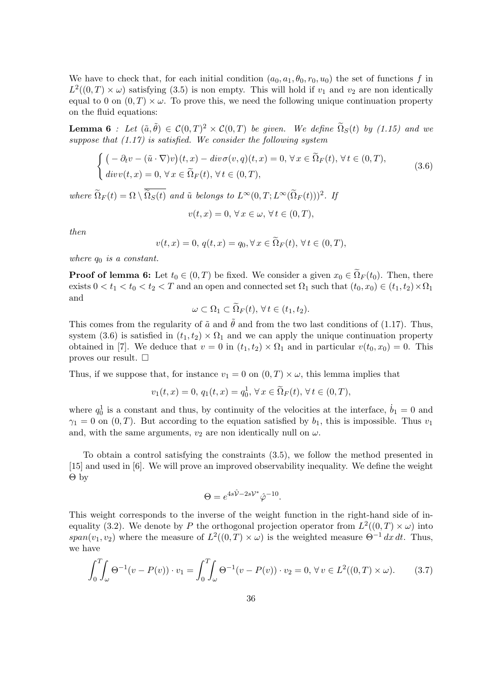We have to check that, for each initial condition  $(a_0, a_1, \theta_0, r_0, u_0)$  the set of functions f in  $L^2((0,T) \times \omega)$  satisfying (3.5) is non empty. This will hold if  $v_1$  and  $v_2$  are non identically equal to 0 on  $(0, T) \times \omega$ . To prove this, we need the following unique continuation property on the fluid equations:

**Lemma 6** : Let  $(\tilde{a}, \tilde{\theta}) \in C(0,T)^2 \times C(0,T)$  be given. We define  $\tilde{\Omega}_S(t)$  by (1.15) and we suppose that  $(1.17)$  is satisfied. We consider the following system

$$
\begin{cases}\n\big(-\partial_t v - (\tilde{u} \cdot \nabla)v\big)(t, x) - div \sigma(v, q)(t, x) = 0, \forall x \in \tilde{\Omega}_F(t), \forall t \in (0, T), \\
div v(t, x) = 0, \forall x \in \tilde{\Omega}_F(t), \forall t \in (0, T),\n\end{cases}
$$
\n(3.6)

where  $\Omega_F(t) = \Omega \setminus \Omega_S(t)$  and  $\tilde{u}$  belongs to  $L^{\infty}(0,T; L^{\infty}(\Omega_F(t)))^2$ . If

$$
v(t,x) = 0, \,\forall x \in \omega, \,\forall t \in (0,T),
$$

then

$$
v(t,x) = 0, q(t,x) = q_0, \forall x \in \tilde{\Omega}_F(t), \forall t \in (0,T),
$$

where  $q_0$  is a constant.

**Proof of lemma 6:** Let  $t_0 \in (0, T)$  be fixed. We consider a given  $x_0 \in \Omega_F(t_0)$ . Then, there exists  $0 < t_1 < t_0 < t_2 < T$  and an open and connected set  $\Omega_1$  such that  $(t_0, x_0) \in (t_1, t_2) \times \Omega_1$ and

$$
\omega \subset \Omega_1 \subset \widetilde{\Omega}_F(t), \,\forall \, t \in (t_1, t_2).
$$

This comes from the regularity of  $\tilde{a}$  and  $\tilde{\theta}$  and from the two last conditions of (1.17). Thus, system (3.6) is satisfied in  $(t_1, t_2) \times \Omega_1$  and we can apply the unique continuation property obtained in [7]. We deduce that  $v = 0$  in  $(t_1, t_2) \times \Omega_1$  and in particular  $v(t_0, x_0) = 0$ . This proves our result.  $\square$ 

Thus, if we suppose that, for instance  $v_1 = 0$  on  $(0, T) \times \omega$ , this lemma implies that

$$
v_1(t, x) = 0, q_1(t, x) = q_0^1, \forall x \in \tilde{\Omega}_F(t), \forall t \in (0, T),
$$

where  $q_0^1$  is a constant and thus, by continuity of the velocities at the interface,  $\dot{b}_1 = 0$  and  $\gamma_1 = 0$  on  $(0, T)$ . But according to the equation satisfied by  $b_1$ , this is impossible. Thus  $v_1$ and, with the same arguments,  $v_2$  are non identically null on  $\omega$ .

To obtain a control satisfying the constraints (3.5), we follow the method presented in [15] and used in [6]. We will prove an improved observability inequality. We define the weight Θ by

$$
\Theta = e^{4s\hat{\mathcal{V}} - 2s\mathcal{V}^*}\hat{\varphi}^{-10}.
$$

This weight corresponds to the inverse of the weight function in the right-hand side of inequality (3.2). We denote by P the orthogonal projection operator from  $L^2((0,T) \times \omega)$  into span( $v_1, v_2$ ) where the measure of  $L^2((0,T) \times \omega)$  is the weighted measure  $\Theta^{-1} dx dt$ . Thus, we have

$$
\int_0^T \int_{\omega} \Theta^{-1}(v - P(v)) \cdot v_1 = \int_0^T \int_{\omega} \Theta^{-1}(v - P(v)) \cdot v_2 = 0, \forall v \in L^2((0, T) \times \omega).
$$
 (3.7)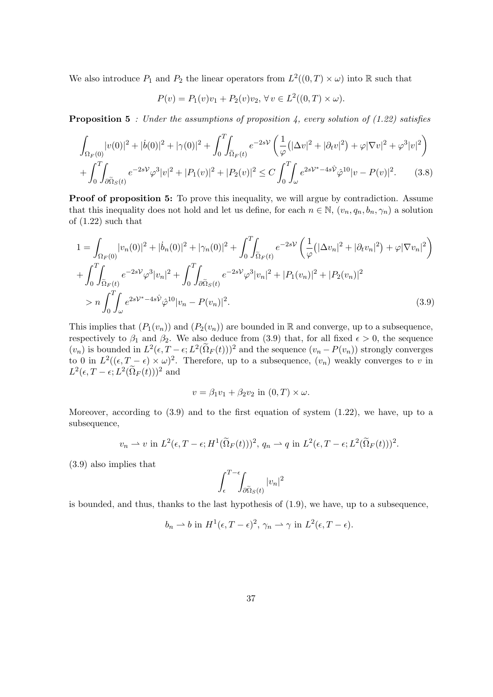We also introduce  $P_1$  and  $P_2$  the linear operators from  $L^2((0,T) \times \omega)$  into  $\mathbb R$  such that

$$
P(v) = P_1(v)v_1 + P_2(v)v_2, \forall v \in L^2((0, T) \times \omega).
$$

**Proposition 5** : Under the assumptions of proposition 4, every solution of  $(1.22)$  satisfies

$$
\int_{\Omega_F(0)} |v(0)|^2 + |\dot{b}(0)|^2 + |\gamma(0)|^2 + \int_0^T \int_{\tilde{\Omega}_F(t)} e^{-2sV} \left( \frac{1}{\varphi} (|\Delta v|^2 + |\partial_t v|^2) + \varphi |\nabla v|^2 + \varphi^3 |v|^2 \right) + \int_0^T \int_{\partial \tilde{\Omega}_S(t)} e^{-2sV} \varphi^3 |v|^2 + |P_1(v)|^2 + |P_2(v)|^2 \le C \int_0^T \int_{\omega} e^{2sV^* - 4s\hat{V}} \hat{\varphi}^{10} |v - P(v)|^2.
$$
 (3.8)

**Proof of proposition 5:** To prove this inequality, we will argue by contradiction. Assume that this inequality does not hold and let us define, for each  $n \in \mathbb{N}$ ,  $(v_n, q_n, b_n, \gamma_n)$  a solution of (1.22) such that

$$
1 = \int_{\Omega_F(0)} |v_n(0)|^2 + |\dot{b}_n(0)|^2 + |\gamma_n(0)|^2 + \int_0^T \int_{\tilde{\Omega}_F(t)} e^{-2s\mathcal{V}} \left(\frac{1}{\varphi} \left(|\Delta v_n|^2 + |\partial_t v_n|^2\right) + \varphi |\nabla v_n|^2\right) + \int_0^T \int_{\tilde{\Omega}_F(t)} e^{-2s\mathcal{V}} \varphi^3 |v_n|^2 + \int_0^T \int_{\partial \tilde{\Omega}_S(t)} e^{-2s\mathcal{V}} \varphi^3 |v_n|^2 + |P_1(v_n)|^2 + |P_2(v_n)|^2 > n \int_0^T \int_{\omega} e^{2s\mathcal{V}^* - 4s\hat{\mathcal{V}}} \hat{\varphi}^{10} |v_n - P(v_n)|^2.
$$
 (3.9)

This implies that  $(P_1(v_n))$  and  $(P_2(v_n))$  are bounded in R and converge, up to a subsequence, respectively to  $\beta_1$  and  $\beta_2$ . We also deduce from (3.9) that, for all fixed  $\epsilon > 0$ , the sequence  $(v_n)$  is bounded in  $L^2(\epsilon, T-\epsilon; L^2(\tilde{\Omega}_F(t)))^2$  and the sequence  $(v_n - P(v_n))$  strongly converges to 0 in  $L^2((\epsilon, T - \epsilon) \times \omega)^2$ . Therefore, up to a subsequence,  $(v_n)$  weakly converges to v in  $L^2(\epsilon, T - \epsilon; L^2(\Omega_F(t)))^2$  and

$$
v = \beta_1 v_1 + \beta_2 v_2 \text{ in } (0, T) \times \omega.
$$

Moreover, according to  $(3.9)$  and to the first equation of system  $(1.22)$ , we have, up to a subsequence,

$$
v_n \rightharpoonup v
$$
 in  $L^2(\epsilon, T - \epsilon; H^1(\widetilde{\Omega}_F(t)))^2$ ,  $q_n \rightharpoonup q$  in  $L^2(\epsilon, T - \epsilon; L^2(\widetilde{\Omega}_F(t)))^2$ .

(3.9) also implies that

$$
\int_{\epsilon}^{T-\epsilon} \int_{\partial \tilde{\Omega}_S(t)} |v_n|^2
$$

is bounded, and thus, thanks to the last hypothesis of (1.9), we have, up to a subsequence,

$$
b_n \rightharpoonup b
$$
 in  $H^1(\epsilon, T - \epsilon)^2$ ,  $\gamma_n \rightharpoonup \gamma$  in  $L^2(\epsilon, T - \epsilon)$ .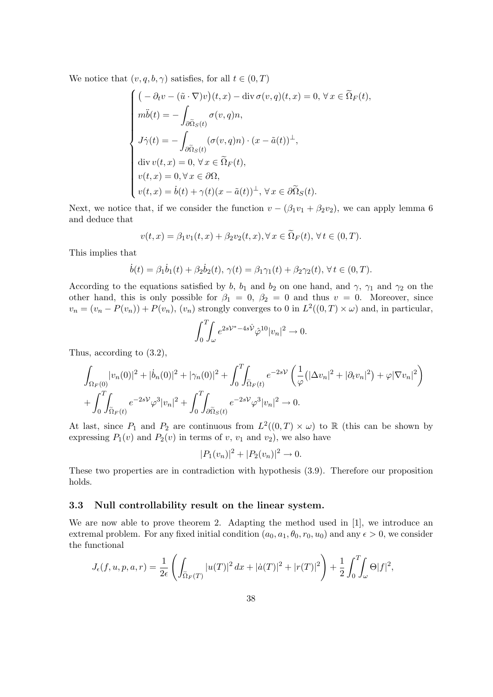We notice that  $(v, q, b, \gamma)$  satisfies, for all  $t \in (0, T)$ 

$$
\begin{cases}\n\left(-\partial_t v - (\tilde{u} \cdot \nabla)v\right)(t, x) - \text{div }\sigma(v, q)(t, x) = 0, \forall x \in \tilde{\Omega}_F(t), \\
m\ddot{b}(t) = -\int_{\partial \tilde{\Omega}_S(t)} \sigma(v, q)n, \\
J\dot{\gamma}(t) = -\int_{\partial \tilde{\Omega}_S(t)} (\sigma(v, q)n) \cdot (x - \tilde{a}(t))^{\perp}, \\
\text{div } v(t, x) = 0, \forall x \in \tilde{\Omega}_F(t), \\
v(t, x) = 0, \forall x \in \partial\Omega, \\
v(t, x) = \dot{b}(t) + \gamma(t)(x - \tilde{a}(t))^{\perp}, \forall x \in \partial \tilde{\Omega}_S(t).\n\end{cases}
$$

Next, we notice that, if we consider the function  $v - (\beta_1 v_1 + \beta_2 v_2)$ , we can apply lemma 6 and deduce that

$$
v(t,x) = \beta_1 v_1(t,x) + \beta_2 v_2(t,x), \forall x \in \tilde{\Omega}_F(t), \forall t \in (0,T).
$$

This implies that

$$
\dot{b}(t) = \beta_1 \dot{b}_1(t) + \beta_2 \dot{b}_2(t), \ \gamma(t) = \beta_1 \gamma_1(t) + \beta_2 \gamma_2(t), \ \forall \ t \in (0, T).
$$

According to the equations satisfied by b,  $b_1$  and  $b_2$  on one hand, and  $\gamma$ ,  $\gamma_1$  and  $\gamma_2$  on the other hand, this is only possible for  $\beta_1 = 0$ ,  $\beta_2 = 0$  and thus  $v = 0$ . Moreover, since  $v_n = (v_n - P(v_n)) + P(v_n)$ ,  $(v_n)$  strongly converges to 0 in  $L^2((0,T) \times \omega)$  and, in particular,

$$
\int_0^T \int_{\omega} e^{2s\mathcal{V}^* - 4s\hat{\mathcal{V}}}\hat{\varphi}^{10}|v_n|^2 \to 0.
$$

Thus, according to (3.2),

$$
\int_{\Omega_F(0)} |v_n(0)|^2 + |\dot{b}_n(0)|^2 + |\gamma_n(0)|^2 + \int_0^T \int_{\tilde{\Omega}_F(t)} e^{-2s\mathcal{V}} \left(\frac{1}{\varphi} \left(|\Delta v_n|^2 + |\partial_t v_n|^2\right) + \varphi |\nabla v_n|^2\right) + \int_0^T \int_{\tilde{\Omega}_F(t)} e^{-2s\mathcal{V}} \varphi^3 |v_n|^2 + \int_0^T \int_{\partial \tilde{\Omega}_S(t)} e^{-2s\mathcal{V}} \varphi^3 |v_n|^2 \to 0.
$$

At last, since  $P_1$  and  $P_2$  are continuous from  $L^2((0,T) \times \omega)$  to R (this can be shown by expressing  $P_1(v)$  and  $P_2(v)$  in terms of v,  $v_1$  and  $v_2$ ), we also have

$$
|P_1(v_n)|^2 + |P_2(v_n)|^2 \to 0.
$$

These two properties are in contradiction with hypothesis (3.9). Therefore our proposition holds.

#### 3.3 Null controllability result on the linear system.

We are now able to prove theorem 2. Adapting the method used in [1], we introduce an extremal problem. For any fixed initial condition  $(a_0, a_1, \theta_0, r_0, u_0)$  and any  $\epsilon > 0$ , we consider the functional

$$
J_{\epsilon}(f, u, p, a, r) = \frac{1}{2\epsilon} \left( \int_{\tilde{\Omega}_F(T)} |u(T)|^2 dx + |\dot{a}(T)|^2 + |r(T)|^2 \right) + \frac{1}{2} \int_0^T \int_{\omega} \Theta|f|^2,
$$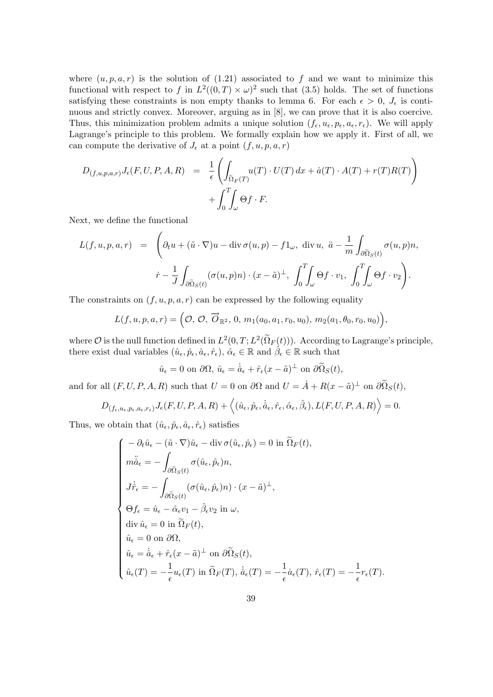where  $(u, p, a, r)$  is the solution of (1.21) associated to f and we want to minimize this functional with respect to f in  $L^2((0,T) \times \omega)^2$  such that (3.5) holds. The set of functions satisfying these constraints is non empty thanks to lemma 6. For each  $\epsilon > 0$ ,  $J_{\epsilon}$  is continuous and strictly convex. Moreover, arguing as in [8], we can prove that it is also coercive. Thus, this minimization problem admits a unique solution  $(f_{\epsilon}, u_{\epsilon}, p_{\epsilon}, a_{\epsilon}, r_{\epsilon})$ . We will apply Lagrange's principle to this problem. We formally explain how we apply it. First of all, we can compute the derivative of  $J_{\epsilon}$  at a point  $(f, u, p, a, r)$ 

$$
D_{(f,u,p,a,r)}J_{\epsilon}(F,U,P,A,R) = \frac{1}{\epsilon} \left( \int_{\tilde{\Omega}_F(T)} u(T) \cdot U(T) dx + \dot{a}(T) \cdot A(T) + r(T)R(T) \right) + \int_0^T \int_{\omega} \Theta f \cdot F.
$$

Next, we define the functional

$$
L(f, u, p, a, r) = \left(\partial_t u + (\tilde{u} \cdot \nabla)u - \text{div}\,\sigma(u, p) - f1_\omega, \text{ div } u, \ddot{a} - \frac{1}{m} \int_{\partial \tilde{\Omega}_S(t)} \sigma(u, p) n, \right.
$$

$$
\dot{r} - \frac{1}{J} \int_{\partial \tilde{\Omega}_S(t)} (\sigma(u, p) n) \cdot (x - \tilde{a})^\perp, \int_0^T \int_\omega \Theta f \cdot v_1, \int_0^T \int_\omega \Theta f \cdot v_2 \right).
$$

The constraints on  $(f, u, p, a, r)$  can be expressed by the following equality

$$
L(f, u, p, a, r) = \Big(\mathcal{O}, \overrightarrow{O}, \overrightarrow{O}_{\mathbb{R}^2}, 0, m_1(a_0, a_1, r_0, u_0), m_2(a_1, \theta_0, r_0, u_0)\Big),
$$

where  $\mathcal O$  is the null function defined in  $L^2(0,T;L^2(\Omega_F(t)))$ . According to Lagrange's principle, there exist dual variables  $(\hat{u}_{\epsilon}, \hat{p}_{\epsilon}, \hat{a}_{\epsilon}, \hat{r}_{\epsilon}), \hat{\alpha}_{\epsilon} \in \mathbb{R}$  and  $\hat{\beta}_{\epsilon} \in \mathbb{R}$  such that

$$
\hat{u}_{\epsilon} = 0
$$
 on  $\partial \Omega$ ,  $\hat{u}_{\epsilon} = \dot{\hat{a}}_{\epsilon} + \hat{r}_{\epsilon}(x - \tilde{a})^{\perp}$  on  $\partial \tilde{\Omega}_S(t)$ ,

and for all  $(F, U, P, A, R)$  such that  $U = 0$  on  $\partial\Omega$  and  $U = \dot{A} + R(x - \tilde{a})^{\perp}$  on  $\partial\tilde{\Omega}_S(t)$ ,

$$
D_{(f_{\epsilon},u_{\epsilon},p_{\epsilon},a_{\epsilon},r_{\epsilon})}J_{\epsilon}(F,U,P,A,R)+\left\langle (\hat{u}_{\epsilon},\hat{p}_{\epsilon},\dot{\hat{a}}_{\epsilon},\hat{r}_{\epsilon},\hat{\alpha}_{\epsilon},\hat{\beta}_{\epsilon}),L(F,U,P,A,R)\right\rangle =0.
$$

Thus, we obtain that  $(\hat{u}_{\epsilon}, \hat{p}_{\epsilon}, \hat{a}_{\epsilon}, \hat{r}_{\epsilon})$  satisfies

$$
\begin{cases}\n-\partial_t \hat{u}_{\epsilon} - (\tilde{u} \cdot \nabla) \hat{u}_{\epsilon} - \text{div} \,\sigma(\hat{u}_{\epsilon}, \hat{p}_{\epsilon}) = 0 \text{ in } \widetilde{\Omega}_F(t), \\
m\ddot{\hat{a}}_{\epsilon} = -\int_{\partial \widetilde{\Omega}_S(t)} \sigma(\hat{u}_{\epsilon}, \hat{p}_{\epsilon}) n, \\
J\dot{\hat{r}}_{\epsilon} = -\int_{\partial \widetilde{\Omega}_S(t)} (\sigma(\hat{u}_{\epsilon}, \hat{p}_{\epsilon}) n) \cdot (x - \tilde{a})^{\perp}, \\
\Theta f_{\epsilon} = \hat{u}_{\epsilon} - \hat{\alpha}_{\epsilon} v_1 - \hat{\beta}_{\epsilon} v_2 \text{ in } \omega, \\
\text{div } \hat{u}_{\epsilon} = 0 \text{ in } \widetilde{\Omega}_F(t), \\
\hat{u}_{\epsilon} = 0 \text{ on } \partial \Omega, \\
\hat{u}_{\epsilon} = \dot{\hat{a}}_{\epsilon} + \hat{r}_{\epsilon}(x - \tilde{a})^{\perp} \text{ on } \partial \widetilde{\Omega}_S(t), \\
\hat{u}_{\epsilon}(T) = -\frac{1}{\epsilon} u_{\epsilon}(T) \text{ in } \widetilde{\Omega}_F(T), \dot{\hat{a}}_{\epsilon}(T) = -\frac{1}{\epsilon} \dot{a}_{\epsilon}(T), \dot{r}_{\epsilon}(T) = -\frac{1}{\epsilon} r_{\epsilon}(T).\n\end{cases}
$$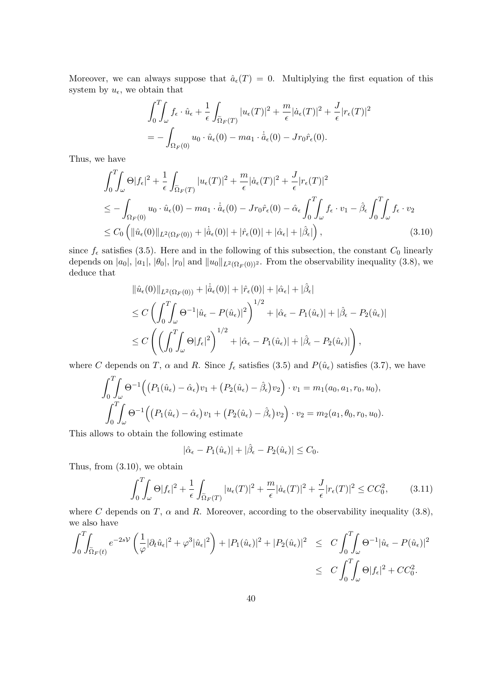Moreover, we can always suppose that  $\hat{a}_{\epsilon}(T) = 0$ . Multiplying the first equation of this system by  $u_{\epsilon}$ , we obtain that

$$
\int_0^T \int_{\omega} f_{\epsilon} \cdot \hat{u}_{\epsilon} + \frac{1}{\epsilon} \int_{\tilde{\Omega}_F(T)} |u_{\epsilon}(T)|^2 + \frac{m}{\epsilon} |\dot{a}_{\epsilon}(T)|^2 + \frac{J}{\epsilon} |r_{\epsilon}(T)|^2
$$
  
= 
$$
- \int_{\Omega_F(0)} u_0 \cdot \hat{u}_{\epsilon}(0) - ma_1 \cdot \dot{\hat{a}}_{\epsilon}(0) - Jr_0 \hat{r}_{\epsilon}(0).
$$

Thus, we have

$$
\int_{0}^{T} \int_{\omega} \Theta |f_{\epsilon}|^{2} + \frac{1}{\epsilon} \int_{\tilde{\Omega}_{F}(T)} |u_{\epsilon}(T)|^{2} + \frac{m}{\epsilon} |\dot{a}_{\epsilon}(T)|^{2} + \frac{J}{\epsilon} |r_{\epsilon}(T)|^{2}
$$
\n
$$
\leq - \int_{\Omega_{F}(0)} u_{0} \cdot \hat{u}_{\epsilon}(0) - ma_{1} \cdot \dot{\hat{a}}_{\epsilon}(0) - Jr_{0} \hat{r}_{\epsilon}(0) - \hat{\alpha}_{\epsilon} \int_{0}^{T} \int_{\omega} f_{\epsilon} \cdot v_{1} - \hat{\beta}_{\epsilon} \int_{0}^{T} \int_{\omega} f_{\epsilon} \cdot v_{2}
$$
\n
$$
\leq C_{0} \left( ||\hat{u}_{\epsilon}(0)||_{L^{2}(\Omega_{F}(0))} + |\dot{\hat{a}}_{\epsilon}(0)| + |\hat{r}_{\epsilon}(0)| + |\hat{\alpha}_{\epsilon}| + |\hat{\beta}_{\epsilon}|\right), \tag{3.10}
$$

since  $f_{\epsilon}$  satisfies (3.5). Here and in the following of this subsection, the constant  $C_0$  linearly depends on  $|a_0|$ ,  $|a_1|$ ,  $|\theta_0|$ ,  $|r_0|$  and  $||u_0||_{L^2(\Omega_F(0))^2}$ . From the observability inequality (3.8), we deduce that

$$
\begin{split} &\|\hat{u}_{\epsilon}(0)\|_{L^{2}(\Omega_{F}(0))} + |\dot{\hat{a}}_{\epsilon}(0)| + |\hat{r}_{\epsilon}(0)| + |\hat{\alpha}_{\epsilon}| + |\hat{\beta}_{\epsilon}| \\ &\leq C \left( \int_{0}^{T} \int_{\omega} \Theta^{-1} |\hat{u}_{\epsilon} - P(\hat{u}_{\epsilon})|^{2} \right)^{1/2} + |\hat{\alpha}_{\epsilon} - P_{1}(\hat{u}_{\epsilon})| + |\hat{\beta}_{\epsilon} - P_{2}(\hat{u}_{\epsilon})| \\ &\leq C \left( \left( \int_{0}^{T} \int_{\omega} \Theta |f_{\epsilon}|^{2} \right)^{1/2} + |\hat{\alpha}_{\epsilon} - P_{1}(\hat{u}_{\epsilon})| + |\hat{\beta}_{\epsilon} - P_{2}(\hat{u}_{\epsilon})| \right), \end{split}
$$

where C depends on T,  $\alpha$  and R. Since  $f_{\epsilon}$  satisfies (3.5) and  $P(\hat{u}_{\epsilon})$  satisfies (3.7), we have

$$
\int_0^T \int_{\omega} \Theta^{-1} \Big( \big( P_1(\hat{u}_{\epsilon}) - \hat{\alpha}_{\epsilon} \big) v_1 + \big( P_2(\hat{u}_{\epsilon}) - \hat{\beta}_{\epsilon} \big) v_2 \Big) \cdot v_1 = m_1(a_0, a_1, r_0, u_0),
$$
  

$$
\int_0^T \int_{\omega} \Theta^{-1} \Big( \big( P_1(\hat{u}_{\epsilon}) - \hat{\alpha}_{\epsilon} \big) v_1 + \big( P_2(\hat{u}_{\epsilon}) - \hat{\beta}_{\epsilon} \big) v_2 \Big) \cdot v_2 = m_2(a_1, \theta_0, r_0, u_0).
$$

This allows to obtain the following estimate

$$
|\hat{\alpha}_{\epsilon} - P_1(\hat{u}_{\epsilon})| + |\hat{\beta}_{\epsilon} - P_2(\hat{u}_{\epsilon})| \leq C_0.
$$

Thus, from (3.10), we obtain

$$
\int_0^T \int_{\omega} \Theta |f_{\epsilon}|^2 + \frac{1}{\epsilon} \int_{\tilde{\Omega}_F(T)} |u_{\epsilon}(T)|^2 + \frac{m}{\epsilon} |\dot{a}_{\epsilon}(T)|^2 + \frac{J}{\epsilon} |r_{\epsilon}(T)|^2 \le CC_0^2, \tag{3.11}
$$

where C depends on T,  $\alpha$  and R. Moreover, according to the observability inequality (3.8), we also have

$$
\int_0^T \int_{\tilde{\Omega}_F(t)} e^{-2sV} \left( \frac{1}{\varphi} |\partial_t \hat{u}_\epsilon|^2 + \varphi^3 |\hat{u}_\epsilon|^2 \right) + |P_1(\hat{u}_\epsilon)|^2 + |P_2(\hat{u}_\epsilon)|^2 \leq C \int_0^T \int_\omega \Theta^{-1} |\hat{u}_\epsilon - P(\hat{u}_\epsilon)|^2
$$
  

$$
\leq C \int_0^T \int_\omega \Theta |f_\epsilon|^2 + C C_0^2.
$$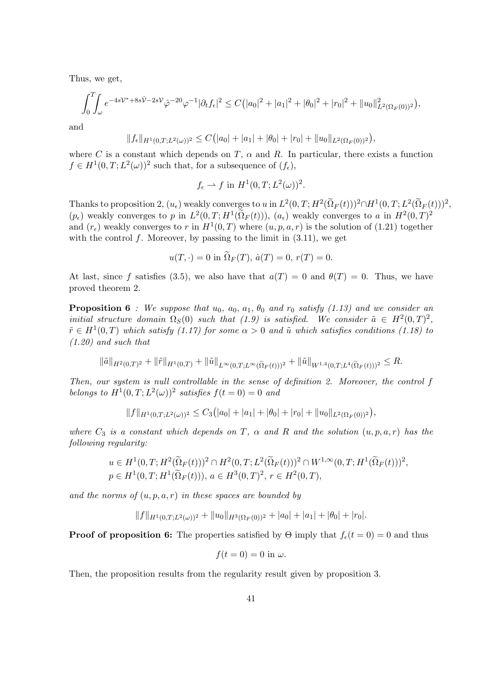Thus, we get,

$$
\int_0^T \int_{\omega} e^{-4s\mathcal{V}^*+8s\hat{\mathcal{V}}-2s\mathcal{V}} \hat{\varphi}^{-20} \varphi^{-1} |\partial_t f_{\epsilon}|^2 \leq C(|a_0|^2+|a_1|^2+|\theta_0|^2+|r_0|^2+||u_0||^2_{L^2(\Omega_F(0))^2}),
$$

and

$$
||f_{\epsilon}||_{H^1(0,T;L^2(\omega))^2} \leq C(|a_0|+|a_1|+|\theta_0|+|r_0|+||u_0||_{L^2(\Omega_F(0))^2}),
$$

where C is a constant which depends on T,  $\alpha$  and R. In particular, there exists a function  $f \in H^1(0,T; L^2(\omega))^2$  such that, for a subsequence of  $(f_{\epsilon}),$ 

$$
f_{\epsilon} \rightharpoonup f
$$
 in  $H^1(0,T;L^2(\omega))^2$ .

Thanks to proposition 2,  $(u_{\epsilon})$  weakly converges to u in  $L^2(0,T;H^2(\Omega_F(t)))^2 \cap H^1(0,T;L^2(\Omega_F(t)))^2$ ,  $(p_\epsilon)$  weakly converges to p in  $L^2(0,T;H^1(\Omega_F(t))), (a_\epsilon)$  weakly converges to a in  $H^2(0,T)^2$ and  $(r_{\epsilon})$  weakly converges to r in  $H^1(0,T)$  where  $(u, p, a, r)$  is the solution of (1.21) together with the control  $f$ . Moreover, by passing to the limit in  $(3.11)$ , we get

$$
u(T, \cdot) = 0
$$
 in  $\Omega_F(T)$ ,  $\dot{a}(T) = 0$ ,  $r(T) = 0$ .

At last, since f satisfies (3.5), we also have that  $a(T) = 0$  and  $\theta(T) = 0$ . Thus, we have proved theorem 2.

**Proposition 6** : We suppose that  $u_0$ ,  $a_0$ ,  $a_1$ ,  $\theta_0$  and  $r_0$  satisfy (1.13) and we consider an initial structure domain  $\Omega_S(0)$  such that (1.9) is satisfied. We consider  $\tilde{a} \in H^2(0,T)^2$ ,  $\tilde{r} \in H^1(0,T)$  which satisfy  $(1.17)$  for some  $\alpha > 0$  and  $\tilde{u}$  which satisfies conditions  $(1.18)$  to (1.20) and such that

$$
\|\tilde{a}\|_{H^2(0,T)^2} + \|\tilde{r}\|_{H^1(0,T)} + \|\tilde{u}\|_{L^\infty(0,T;L^\infty(\tilde{\Omega}_F(t)))^2} + \|\tilde{u}\|_{W^{1,4}(0,T;L^4(\tilde{\Omega}_F(t)))^2} \leq R.
$$

Then, our system is null controllable in the sense of definition 2. Moreover, the control f belongs to  $H^1(0,T;L^2(\omega))^2$  satisfies  $f(t=0)=0$  and

$$
||f||_{H^1(0,T;L^2(\omega))^2} \leq C_3(|a_0|+|a_1|+|\theta_0|+|r_0|+||u_0||_{L^2(\Omega_F(0))^2}),
$$

where  $C_3$  is a constant which depends on T,  $\alpha$  and R and the solution  $(u, p, a, r)$  has the following regularity:

$$
u \in H^1(0, T; H^2(\tilde{\Omega}_F(t)))^2 \cap H^2(0, T; L^2(\tilde{\Omega}_F(t)))^2 \cap W^{1, \infty}(0, T; H^1(\tilde{\Omega}_F(t)))^2,
$$
  

$$
p \in H^1(0, T; H^1(\tilde{\Omega}_F(t))), a \in H^3(0, T)^2, r \in H^2(0, T),
$$

and the norms of  $(u, p, a, r)$  in these spaces are bounded by

$$
||f||_{H^1(0,T;L^2(\omega))^2} + ||u_0||_{H^3(\Omega_F(0))^2} + |a_0| + |a_1| + |\theta_0| + |r_0|.
$$

**Proof of proposition 6:** The properties satisfied by  $\Theta$  imply that  $f_{\epsilon}(t=0) = 0$  and thus

$$
f(t=0) = 0
$$
in  $\omega$ .

Then, the proposition results from the regularity result given by proposition 3.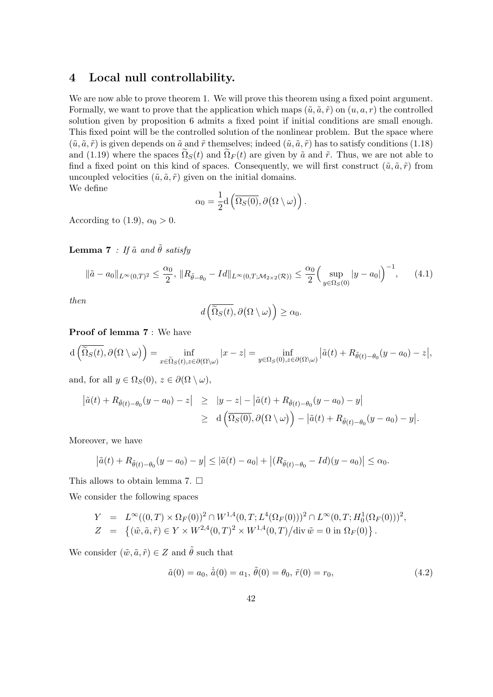## 4 Local null controllability.

We are now able to prove theorem 1. We will prove this theorem using a fixed point argument. Formally, we want to prove that the application which maps  $(\tilde{u}, \tilde{a}, \tilde{r})$  on  $(u, a, r)$  the controlled solution given by proposition 6 admits a fixed point if initial conditions are small enough. This fixed point will be the controlled solution of the nonlinear problem. But the space where  $(\tilde{u}, \tilde{a}, \tilde{r})$  is given depends on  $\tilde{a}$  and  $\tilde{r}$  themselves; indeed  $(\tilde{u}, \tilde{a}, \tilde{r})$  has to satisfy conditions (1.18) and (1.19) where the spaces  $\tilde{\Omega}_S(t)$  and  $\tilde{\Omega}_F(t)$  are given by  $\tilde{a}$  and  $\tilde{r}$ . Thus, we are not able to find a fixed point on this kind of spaces. Consequently, we will first construct  $(\tilde{u}, \tilde{a}, \tilde{r})$  from uncoupled velocities  $(\tilde{u}, \tilde{a}, \tilde{r})$  given on the initial domains. We define

$$
\alpha_0 = \frac{1}{2} d\left(\overline{\Omega_S(0)}, \partial(\Omega \setminus \omega)\right).
$$

According to (1.9),  $\alpha_0 > 0$ .

**Lemma 7** : If  $\tilde{a}$  and  $\tilde{\theta}$  satisfy

$$
\|\tilde{a} - a_0\|_{L^\infty(0,T)^2} \le \frac{\alpha_0}{2}, \|R_{\tilde{\theta} - \theta_0} - Id\|_{L^\infty(0,T; \mathcal{M}_{2 \times 2}(\mathcal{R}))} \le \frac{\alpha_0}{2} \Big( \sup_{y \in \Omega_S(0)} |y - a_0| \Big)^{-1}, \tag{4.1}
$$

then

$$
d\left(\overline{\widetilde{\Omega}_S(t)},\partial\big(\Omega\setminus\omega\big)\right)\geq\alpha_0.
$$

Proof of lemma 7 : We have

$$
d\left(\overline{\widetilde{\Omega}_S(t)},\partial\big(\Omega\setminus\omega\big)\right)=\inf_{x\in\widetilde{\Omega}_S(t),z\in\partial\big(\Omega\setminus\omega\big)}|x-z|=\inf_{y\in\Omega_S(0),z\in\partial\big(\Omega\setminus\omega\big)}\big|\tilde{a}(t)+R_{\tilde{\theta}(t)-\theta_0}(y-a_0)-z\big|,
$$

and, for all  $y \in \Omega_S(0)$ ,  $z \in \partial(\Omega \setminus \omega)$ ,

$$
\begin{array}{lcl} \left| \tilde{a}(t) + R_{\tilde{\theta}(t) - \theta_0}(y - a_0) - z \right| & \geq & \left| y - z \right| - \left| \tilde{a}(t) + R_{\tilde{\theta}(t) - \theta_0}(y - a_0) - y \right| \\ \\ & \geq & \mathrm{d} \left( \overline{\Omega_S(0)}, \partial(\Omega \setminus \omega) \right) - \left| \tilde{a}(t) + R_{\tilde{\theta}(t) - \theta_0}(y - a_0) - y \right|. \end{array}
$$

Moreover, we have

$$
|\tilde{a}(t) + R_{\tilde{\theta}(t) - \theta_0}(y - a_0) - y| \leq |\tilde{a}(t) - a_0| + |(R_{\tilde{\theta}(t) - \theta_0} - Id)(y - a_0)| \leq \alpha_0.
$$

This allows to obtain lemma 7.  $\square$ 

We consider the following spaces

$$
Y = L^{\infty}((0,T) \times \Omega_F(0))^2 \cap W^{1,4}(0,T;L^4(\Omega_F(0)))^2 \cap L^{\infty}(0,T;H_0^1(\Omega_F(0)))^2,
$$
  
\n
$$
Z = \{ (\tilde{w}, \tilde{a}, \tilde{r}) \in Y \times W^{2,4}(0,T)^2 \times W^{1,4}(0,T)/\text{div } \tilde{w} = 0 \text{ in } \Omega_F(0) \}.
$$

We consider  $(\tilde{w}, \tilde{a}, \tilde{r}) \in Z$  and  $\tilde{\theta}$  such that

$$
\tilde{a}(0) = a_0, \,\dot{\tilde{a}}(0) = a_1, \,\tilde{\theta}(0) = \theta_0, \,\tilde{r}(0) = r_0,\tag{4.2}
$$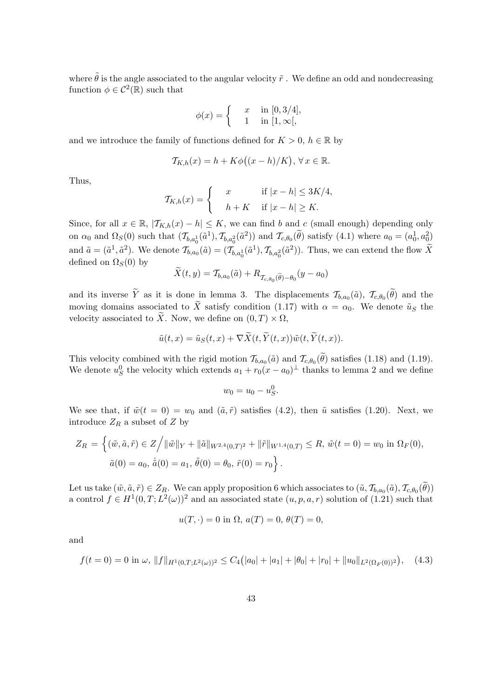where  $\tilde{\theta}$  is the angle associated to the angular velocity  $\tilde{r}$ . We define an odd and nondecreasing function  $\phi \in C^2(\mathbb{R})$  such that

$$
\phi(x) = \begin{cases} x & \text{in } [0, 3/4], \\ 1 & \text{in } [1, \infty[, \end{cases}
$$

and we introduce the family of functions defined for  $K > 0$ ,  $h \in \mathbb{R}$  by

$$
\mathcal{T}_{K,h}(x) = h + K\phi((x-h)/K), \forall x \in \mathbb{R}.
$$

Thus,

$$
\mathcal{T}_{K,h}(x) = \begin{cases} x & \text{if } |x - h| \le 3K/4, \\ h + K & \text{if } |x - h| \ge K. \end{cases}
$$

Since, for all  $x \in \mathbb{R}$ ,  $|\mathcal{T}_{K,h}(x) - h| \leq K$ , we can find b and c (small enough) depending only on  $\alpha_0$  and  $\Omega_S(0)$  such that  $(\mathcal{T}_{b,a_0^1}(\tilde{a}^1), \mathcal{T}_{b,a_0^2}(\tilde{a}^2))$  and  $\mathcal{T}_{c,\theta_0}(\tilde{\theta})$  satisfy  $(4.1)$  where  $a_0 = (a_0^1, a_0^2)$ and  $\tilde{a} = (\tilde{a}^1, \tilde{a}^2)$ . We denote  $\mathcal{T}_{b,a_0}(\tilde{a}) = (\mathcal{T}_{b,a_0^1}(\tilde{a}^1), \mathcal{T}_{b,a_0^2}(\tilde{a}^2))$ . Thus, we can extend the flow X defined on  $\Omega_S(0)$  by

$$
X(t, y) = \mathcal{T}_{b, a_0}(\tilde{a}) + R_{\mathcal{T}_{c, \theta_0}(\tilde{\theta}) - \theta_0}(y - a_0)
$$

and its inverse Y as it is done in lemma 3. The displacements  $\mathcal{T}_{b,a_0}(\tilde{a})$ ,  $\mathcal{T}_{c,\theta_0}(\theta)$  and the moving domains associated to  $\widetilde{X}$  satisfy condition (1.17) with  $\alpha = \alpha_0$ . We denote  $\widetilde{u}_S$  the velocity associated to  $\widetilde{X}$ . Now, we define on  $(0, T) \times \Omega$ ,

$$
\tilde{u}(t,x) = \tilde{u}_S(t,x) + \nabla \tilde{X}(t,\tilde{Y}(t,x))\tilde{w}(t,\tilde{Y}(t,x)).
$$

This velocity combined with the rigid motion  $\mathcal{T}_{b,a_0}(\tilde{a})$  and  $\mathcal{T}_{c,\theta_0}(\theta)$  satisfies (1.18) and (1.19). We denote  $u_S^0$  the velocity which extends  $a_1 + r_0(x - a_0)^{\perp}$  thanks to lemma 2 and we define

$$
w_0 = u_0 - u_S^0.
$$

We see that, if  $\tilde{w}(t = 0) = w_0$  and  $(\tilde{a}, \tilde{r})$  satisfies (4.2), then  $\tilde{u}$  satisfies (1.20). Next, we introduce  $Z_R$  a subset of Z by

$$
Z_R = \left\{ (\tilde{w}, \tilde{a}, \tilde{r}) \in Z / \|\tilde{w}\|_Y + \|\tilde{a}\|_{W^{2,4}(0,T)^2} + \|\tilde{r}\|_{W^{1,4}(0,T)} \le R, \ \tilde{w}(t=0) = w_0 \text{ in } \Omega_F(0),
$$
  

$$
\tilde{a}(0) = a_0, \ \dot{\tilde{a}}(0) = a_1, \ \tilde{\theta}(0) = \theta_0, \ \tilde{r}(0) = r_0 \right\}.
$$

Let us take  $(\tilde{w}, \tilde{a}, \tilde{r}) \in Z_R$ . We can apply proposition 6 which associates to  $(\tilde{u}, \mathcal{T}_{b,a_0}(\tilde{a}), \mathcal{T}_{c,\theta_0}(\theta))$ a control  $f \in H^1(0,T; L^2(\omega))^2$  and an associated state  $(u, p, a, r)$  solution of (1.21) such that

$$
u(T, \cdot) = 0
$$
 in  $\Omega$ ,  $a(T) = 0$ ,  $\theta(T) = 0$ ,

and

$$
f(t=0) = 0 \text{ in } \omega, \|f\|_{H^1(0,T;L^2(\omega))^2} \le C_4(|a_0| + |a_1| + |\theta_0| + |r_0| + \|u_0\|_{L^2(\Omega_F(0))^2}), \quad (4.3)
$$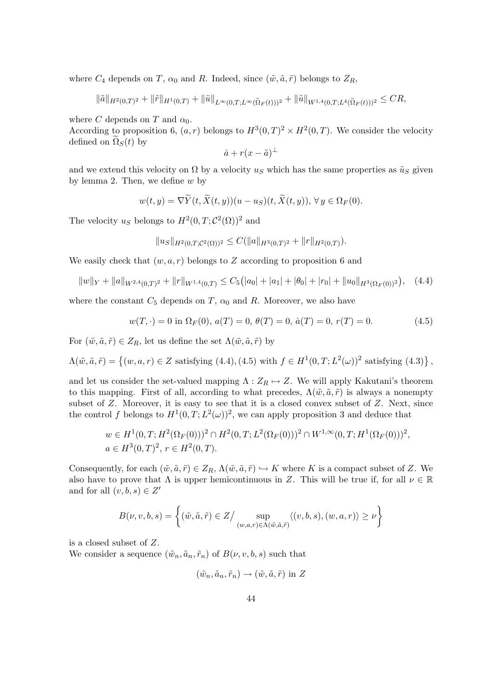where  $C_4$  depends on T,  $\alpha_0$  and R. Indeed, since  $(\tilde{w}, \tilde{a}, \tilde{r})$  belongs to  $Z_R$ ,

$$
\|\tilde{a}\|_{H^2(0,T)^2} + \|\tilde{r}\|_{H^1(0,T)} + \|\tilde{u}\|_{L^\infty(0,T;L^\infty(\tilde{\Omega}_F(t)))^2} + \|\tilde{u}\|_{W^{1,4}(0,T;L^4(\tilde{\Omega}_F(t)))^2} \leq CR,
$$

where C depends on T and  $\alpha_0$ .

According to proposition 6,  $(a, r)$  belongs to  $H^3(0, T)^2 \times H^2(0, T)$ . We consider the velocity defined on  $\Omega<sub>S</sub>(t)$  by

$$
\dot{a} + r(x - \tilde{a})^{\perp}
$$

and we extend this velocity on  $\Omega$  by a velocity us which has the same properties as  $\tilde{u}_S$  given by lemma 2. Then, we define  $w$  by

$$
w(t,y) = \nabla \widetilde{Y}(t, \widetilde{X}(t,y))(u - u_S)(t, \widetilde{X}(t,y)), \forall y \in \Omega_F(0).
$$

The velocity  $u_S$  belongs to  $H^2(0,T; \mathcal{C}^2(\Omega))^2$  and

$$
||u_S||_{H^2(0,T;\mathcal{C}^2(\Omega))^2} \leq C(||a||_{H^3(0,T)^2} + ||r||_{H^2(0,T)}).
$$

We easily check that  $(w, a, r)$  belongs to Z according to proposition 6 and

$$
||w||_Y + ||a||_{W^{2,4}(0,T)^2} + ||r||_{W^{1,4}(0,T)} \leq C_5(|a_0| + |a_1| + |\theta_0| + |r_0| + ||u_0||_{H^3(\Omega_F(0))^2}), \quad (4.4)
$$

where the constant  $C_5$  depends on T,  $\alpha_0$  and R. Moreover, we also have

$$
w(T, \cdot) = 0 \text{ in } \Omega_F(0), a(T) = 0, \theta(T) = 0, \dot{a}(T) = 0, r(T) = 0.
$$
 (4.5)

For  $(\tilde{w}, \tilde{a}, \tilde{r}) \in Z_R$ , let us define the set  $\Lambda(\tilde{w}, \tilde{a}, \tilde{r})$  by

$$
\Lambda(\tilde{w}, \tilde{a}, \tilde{r}) = \left\{ (w, a, r) \in Z \text{ satisfying (4.4), (4.5) with } f \in H^1(0, T; L^2(\omega))^2 \text{ satisfying (4.3)} \right\},\
$$

and let us consider the set-valued mapping  $\Lambda:Z_R\mapsto Z$ . We will apply Kakutani's theorem to this mapping. First of all, according to what precedes,  $\Lambda(\tilde{w}, \tilde{a}, \tilde{r})$  is always a nonempty subset of  $Z$ . Moreover, it is easy to see that it is a closed convex subset of  $Z$ . Next, since the control f belongs to  $H^1(0,T;L^2(\omega))^2$ , we can apply proposition 3 and deduce that

$$
w \in H^1(0, T; H^2(\Omega_F(0)))^2 \cap H^2(0, T; L^2(\Omega_F(0)))^2 \cap W^{1, \infty}(0, T; H^1(\Omega_F(0)))^2,
$$
  

$$
a \in H^3(0, T)^2, r \in H^2(0, T).
$$

Consequently, for each  $(\tilde{w}, \tilde{a}, \tilde{r}) \in Z_R$ ,  $\Lambda(\tilde{w}, \tilde{a}, \tilde{r}) \hookrightarrow K$  where K is a compact subset of Z. We also have to prove that  $\Lambda$  is upper hemicontinuous in Z. This will be true if, for all  $\nu \in \mathbb{R}$ and for all  $(v, b, s) \in Z'$ 

$$
B(\nu, v, b, s) = \left\{ (\tilde{w}, \tilde{a}, \tilde{r}) \in Z / \sup_{(w,a,r) \in \Lambda(\tilde{w}, \tilde{a}, \tilde{r})} \langle (v,b,s), (w,a,r) \rangle \ge \nu \right\}
$$

is a closed subset of Z.

We consider a sequence  $(\tilde{w}_n, \tilde{a}_n, \tilde{r}_n)$  of  $B(\nu, v, b, s)$  such that

$$
(\tilde{w}_n, \tilde{a}_n, \tilde{r}_n) \to (\tilde{w}, \tilde{a}, \tilde{r}) \text{ in } Z
$$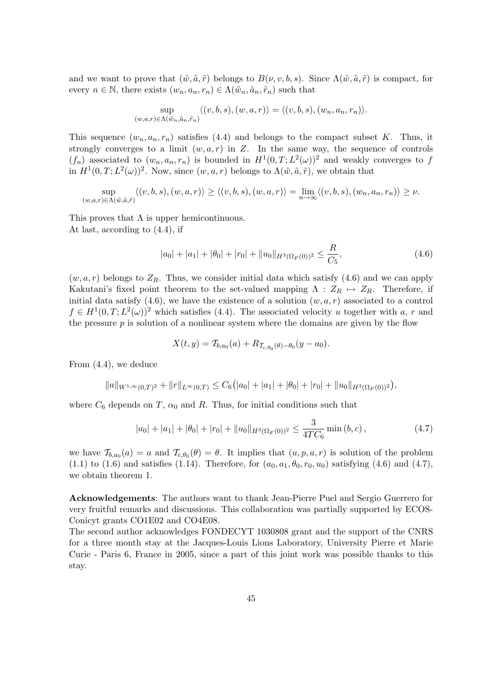and we want to prove that  $(\tilde{w}, \tilde{a}, \tilde{r})$  belongs to  $B(\nu, v, b, s)$ . Since  $\Lambda(\tilde{w}, \tilde{a}, \tilde{r})$  is compact, for every  $n \in \mathbb{N}$ , there exists  $(w_n, a_n, r_n) \in \Lambda(\tilde{w}_n, \tilde{a}_n, \tilde{r}_n)$  such that

$$
\sup_{(w,a,r)\in\Lambda(\tilde{w}_n,\tilde{a}_n,\tilde{r}_n)} \langle (v,b,s),(w,a,r) \rangle = \langle (v,b,s),(w_n,a_n,r_n) \rangle.
$$

This sequence  $(w_n, a_n, r_n)$  satisfies (4.4) and belongs to the compact subset K. Thus, it strongly converges to a limit  $(w, a, r)$  in Z. In the same way, the sequence of controls  $(f_n)$  associated to  $(w_n, a_n, r_n)$  is bounded in  $H^1(0, T; L^2(\omega))^2$  and weakly converges to f in  $H^1(0,T;L^2(\omega))^2$ . Now, since  $(w,a,r)$  belongs to  $\Lambda(\tilde{w},\tilde{a},\tilde{r})$ , we obtain that

$$
\sup_{(w,a,r)\in\Lambda(\tilde{w},\tilde{a},\tilde{r})}\langle (v,b,s),(w,a,r)\rangle\geq\langle (v,b,s),(w,a,r)\rangle=\lim_{n\to\infty}\langle (v,b,s),(w_n,a_n,r_n)\rangle\geq\nu.
$$

This proves that  $\Lambda$  is upper hemicontinuous. At last, according to (4.4), if

$$
|a_0| + |a_1| + |\theta_0| + |r_0| + ||u_0||_{H^3(\Omega_F(0))^2} \le \frac{R}{C_5},
$$
\n(4.6)

 $(w, a, r)$  belongs to  $Z_R$ . Thus, we consider initial data which satisfy (4.6) and we can apply Kakutani's fixed point theorem to the set-valued mapping  $\Lambda : Z_R \mapsto Z_R$ . Therefore, if initial data satisfy (4.6), we have the existence of a solution  $(w, a, r)$  associated to a control  $f \in H^1(0,T; L^2(\omega))^2$  which satisfies (4.4). The associated velocity u together with a, r and the pressure  $p$  is solution of a nonlinear system where the domains are given by the flow

$$
X(t, y) = T_{b, a_0}(a) + R_{T_{c, \theta_0}(\theta) - \theta_0}(y - a_0).
$$

From (4.4), we deduce

$$
||a||_{W^{1,\infty}(0,T)^2} + ||r||_{L^{\infty}(0,T)} \leq C_6(|a_0|+|a_1|+|\theta_0|+|r_0|+||u_0||_{H^3(\Omega_F(0))^2}),
$$

where  $C_6$  depends on T,  $\alpha_0$  and R. Thus, for initial conditions such that

$$
|a_0| + |a_1| + |\theta_0| + |r_0| + \|u_0\|_{H^3(\Omega_F(0))^2} \le \frac{3}{4TC_6} \min\left(b, c\right),\tag{4.7}
$$

we have  $\mathcal{T}_{b,a_0}(a) = a$  and  $\mathcal{T}_{c,\theta_0}(\theta) = \theta$ . It implies that  $(u, p, a, r)$  is solution of the problem (1.1) to (1.6) and satisfies (1.14). Therefore, for  $(a_0, a_1, \theta_0, r_0, u_0)$  satisfying (4.6) and (4.7), we obtain theorem 1.

Acknowledgements: The authors want to thank Jean-Pierre Puel and Sergio Guerrero for very fruitful remarks and discussions. This collaboration was partially supported by ECOS-Conicyt grants CO1E02 and CO4E08.

The second author acknowledges FONDECYT 1030808 grant and the support of the CNRS for a three month stay at the Jacques-Louis Lions Laboratory, University Pierre et Marie Curie - Paris 6, France in 2005, since a part of this joint work was possible thanks to this stay.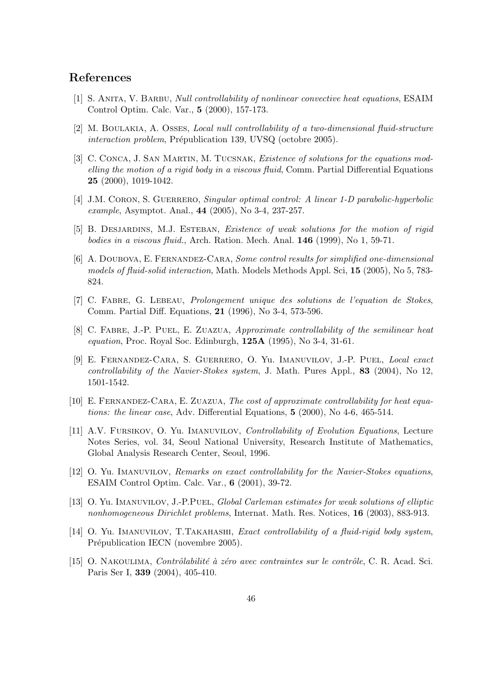## References

- [1] S. Anita, V. Barbu, Null controllability of nonlinear convective heat equations, ESAIM Control Optim. Calc. Var., 5 (2000), 157-173.
- [2] M. Boulakia, A. Osses, Local null controllability of a two-dimensional fluid-structure interaction problem, Prépublication 139, UVSQ (octobre 2005).
- [3] C. CONCA, J. SAN MARTIN, M. TUCSNAK, *Existence of solutions for the equations mod*elling the motion of a rigid body in a viscous fluid, Comm. Partial Differential Equations 25 (2000), 1019-1042.
- [4] J.M. CORON, S. GUERRERO, Singular optimal control: A linear 1-D parabolic-hyperbolic example, Asymptot. Anal., 44 (2005), No 3-4, 237-257.
- [5] B. Desjardins, M.J. Esteban, Existence of weak solutions for the motion of rigid bodies in a viscous fluid., Arch. Ration. Mech. Anal. **146** (1999), No 1, 59-71.
- [6] A. Doubova, E. Fernandez-Cara, Some control results for simplified one-dimensional models of fluid-solid interaction, Math. Models Methods Appl. Sci, 15 (2005), No 5, 783- 824.
- [7] C. Fabre, G. Lebeau, Prolongement unique des solutions de l'equation de Stokes, Comm. Partial Diff. Equations, 21 (1996), No 3-4, 573-596.
- [8] C. Fabre, J.-P. Puel, E. Zuazua, Approximate controllability of the semilinear heat equation, Proc. Royal Soc. Edinburgh, 125A (1995), No 3-4, 31-61.
- [9] E. Fernandez-Cara, S. Guerrero, O. Yu. Imanuvilov, J.-P. Puel, Local exact controllability of the Navier-Stokes system, J. Math. Pures Appl., 83 (2004), No 12, 1501-1542.
- [10] E. FERNANDEZ-CARA, E. ZUAZUA, The cost of approximate controllability for heat equations: the linear case, Adv. Differential Equations, 5 (2000), No 4-6, 465-514.
- [11] A.V. Fursikov, O. Yu. Imanuvilov, Controllability of Evolution Equations, Lecture Notes Series, vol. 34, Seoul National University, Research Institute of Mathematics, Global Analysis Research Center, Seoul, 1996.
- [12] O. Yu. Imanuvilov, Remarks on exact controllability for the Navier-Stokes equations, ESAIM Control Optim. Calc. Var., 6 (2001), 39-72.
- [13] O. Yu. Imanuvilov, J.-P.Puel, Global Carleman estimates for weak solutions of elliptic nonhomogeneous Dirichlet problems, Internat. Math. Res. Notices, 16 (2003), 883-913.
- [14] O. Yu. IMANUVILOV, T.TAKAHASHI, *Exact controllability of a fluid-rigid body system*, Prépublication IECN (novembre 2005).
- [15] O. NAKOULIMA, *Contrôlabilité à zéro avec contraintes sur le contrôle*, C. R. Acad. Sci. Paris Ser I, 339 (2004), 405-410.